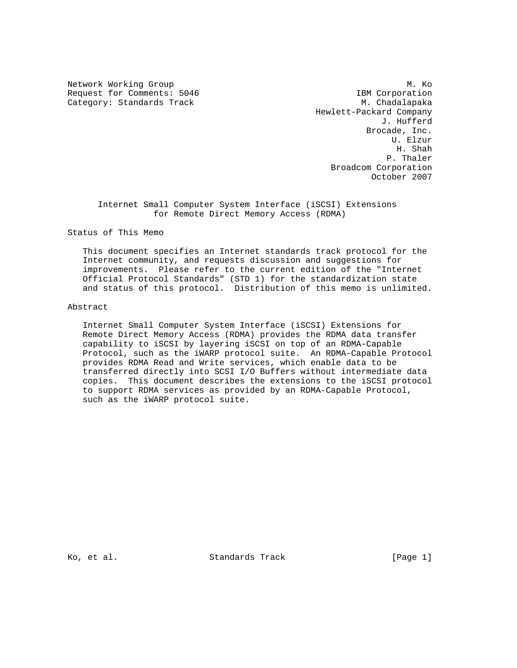Request for Comments: 5046 IBM Corporation Category: Standards Track M. Chadalapaka

Network Working Group Manuscript and Manuscript Methods Manuscript Manuscript Manuscript Manuscript Manuscript Hewlett-Packard Company J. Hufferd Brocade, Inc. U. Elzur H. Shah P. Thaler Broadcom Corporation October 2007

 Internet Small Computer System Interface (iSCSI) Extensions for Remote Direct Memory Access (RDMA)

Status of This Memo

 This document specifies an Internet standards track protocol for the Internet community, and requests discussion and suggestions for improvements. Please refer to the current edition of the "Internet Official Protocol Standards" (STD 1) for the standardization state and status of this protocol. Distribution of this memo is unlimited.

#### Abstract

 Internet Small Computer System Interface (iSCSI) Extensions for Remote Direct Memory Access (RDMA) provides the RDMA data transfer capability to iSCSI by layering iSCSI on top of an RDMA-Capable Protocol, such as the iWARP protocol suite. An RDMA-Capable Protocol provides RDMA Read and Write services, which enable data to be transferred directly into SCSI I/O Buffers without intermediate data copies. This document describes the extensions to the iSCSI protocol to support RDMA services as provided by an RDMA-Capable Protocol, such as the iWARP protocol suite.

Ko, et al. Standards Track [Page 1]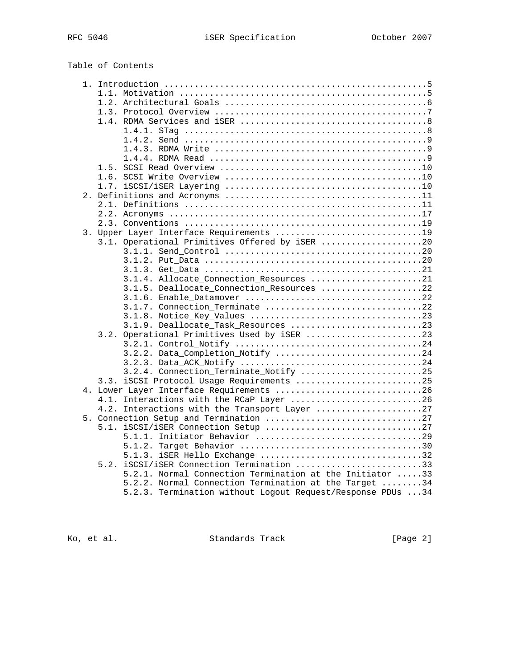## Table of Contents

| 3. Upper Layer Interface Requirements 19                   |  |
|------------------------------------------------------------|--|
| 3.1. Operational Primitives Offered by iSER 20             |  |
|                                                            |  |
|                                                            |  |
|                                                            |  |
| 3.1.4. Allocate Connection Resources 21                    |  |
| 3.1.5. Deallocate_Connection_Resources 22                  |  |
|                                                            |  |
| 3.1.7. Connection Terminate 22                             |  |
|                                                            |  |
| 3.1.9. Deallocate_Task_Resources 23                        |  |
| 3.2. Operational Primitives Used by iSER 23                |  |
|                                                            |  |
| 3.2.2. Data_Completion_Notify 24                           |  |
|                                                            |  |
| 3.2.4. Connection_Terminate_Notify 25                      |  |
| 3.3. iSCSI Protocol Usage Requirements 25                  |  |
| 4. Lower Layer Interface Requirements 26                   |  |
| 4.1. Interactions with the RCaP Layer 26                   |  |
| 4.2. Interactions with the Transport Layer 27              |  |
|                                                            |  |
|                                                            |  |
|                                                            |  |
|                                                            |  |
| 5.1.3. iSER Hello Exchange 32                              |  |
| 5.2. iSCSI/iSER Connection Termination 33                  |  |
| 5.2.1. Normal Connection Termination at the Initiator 33   |  |
| 5.2.2. Normal Connection Termination at the Target 34      |  |
| 5.2.3. Termination without Logout Request/Response PDUs 34 |  |

Ko, et al. Standards Track [Page 2]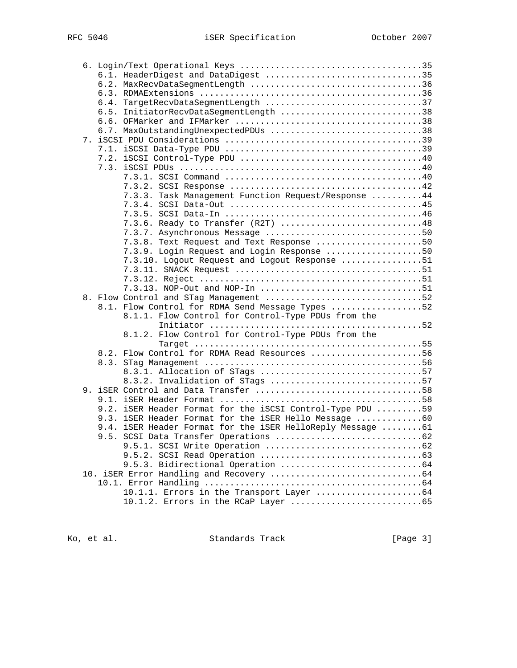|  | 6.1. HeaderDigest and DataDigest 35                        |  |
|--|------------------------------------------------------------|--|
|  | 6.2. MaxRecvDataSegmentLength 36                           |  |
|  |                                                            |  |
|  | 6.4. TargetRecvDataSegmentLength 37                        |  |
|  | 6.5. InitiatorRecvDataSegmentLength 38                     |  |
|  |                                                            |  |
|  | 6.7. MaxOutstandingUnexpectedPDUs 38                       |  |
|  |                                                            |  |
|  |                                                            |  |
|  |                                                            |  |
|  |                                                            |  |
|  |                                                            |  |
|  |                                                            |  |
|  | 7.3.3. Task Management Function Request/Response 44        |  |
|  |                                                            |  |
|  |                                                            |  |
|  | 7.3.6. Ready to Transfer (R2T) 48                          |  |
|  |                                                            |  |
|  | 7.3.8. Text Request and Text Response 50                   |  |
|  | 7.3.9. Login Request and Login Response 50                 |  |
|  | 7.3.10. Logout Request and Logout Response 51              |  |
|  |                                                            |  |
|  |                                                            |  |
|  | 7.3.13. NOP-Out and NOP-In 51                              |  |
|  |                                                            |  |
|  | 8.1. Flow Control for RDMA Send Message Types 52           |  |
|  | 8.1.1. Flow Control for Control-Type PDUs from the         |  |
|  |                                                            |  |
|  | 8.1.2. Flow Control for Control-Type PDUs from the         |  |
|  |                                                            |  |
|  | 8.2. Flow Control for RDMA Read Resources 56               |  |
|  |                                                            |  |
|  |                                                            |  |
|  | 8.3.2. Invalidation of STags 57                            |  |
|  |                                                            |  |
|  |                                                            |  |
|  | 9.2. iSER Header Format for the iSCSI Control-Type PDU 59  |  |
|  | 9.3. iSER Header Format for the iSER Hello Message 60      |  |
|  | 9.4. iSER Header Format for the iSER HelloReply Message 61 |  |
|  |                                                            |  |
|  |                                                            |  |
|  |                                                            |  |
|  |                                                            |  |
|  |                                                            |  |
|  |                                                            |  |
|  |                                                            |  |
|  |                                                            |  |

Ko, et al. Standards Track [Page 3]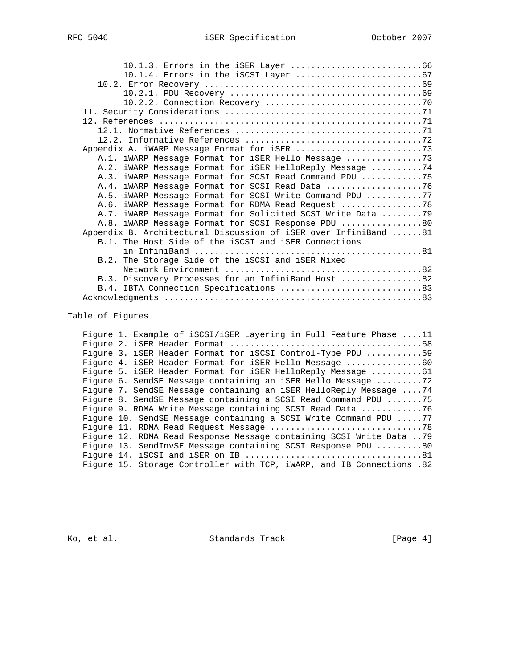| A.2. iWARP Message Format for iSER HelloReply Message 74        |
|-----------------------------------------------------------------|
| A.3. iWARP Message Format for SCSI Read Command PDU 75          |
| A.4. iWARP Message Format for SCSI Read Data 76                 |
| A.5. iWARP Message Format for SCSI Write Command PDU 77         |
| A.6. iWARP Message Format for RDMA Read Request 78              |
| A.7. iWARP Message Format for Solicited SCSI Write Data  79     |
| A.8. iWARP Message Format for SCSI Response PDU 80              |
| Appendix B. Architectural Discussion of iSER over InfiniBand 81 |
| B.1. The Host Side of the iSCSI and iSER Connections            |
|                                                                 |
| B.2. The Storage Side of the iSCSI and iSER Mixed               |
|                                                                 |
| B.3. Discovery Processes for an InfiniBand Host 82              |
|                                                                 |
|                                                                 |
|                                                                 |

## Table of Figures

|  | Figure 1. Example of iSCSI/iSER Layering in Full Feature Phase 11     |
|--|-----------------------------------------------------------------------|
|  |                                                                       |
|  | Figure 3. iSER Header Format for iSCSI Control-Type PDU 59            |
|  | Figure 4. iSER Header Format for iSER Hello Message 60                |
|  | Fiqure 5. iSER Header Format for iSER HelloReply Message 61           |
|  | Figure 6. SendSE Message containing an iSER Hello Message 72          |
|  | Figure 7. SendSE Message containing an iSER HelloReply Message  74    |
|  | Figure 8. SendSE Message containing a SCSI Read Command PDU 75        |
|  | Figure 9. RDMA Write Message containing SCSI Read Data 76             |
|  | Figure 10. SendSE Message containing a SCSI Write Command PDU 77      |
|  |                                                                       |
|  | Figure 12. RDMA Read Response Message containing SCSI Write Data  79  |
|  | Fiqure 13. SendInvSE Message containing SCSI Response PDU 80          |
|  |                                                                       |
|  | Figure 15. Storage Controller with TCP, iWARP, and IB Connections .82 |
|  |                                                                       |

Ko, et al. Standards Track [Page 4]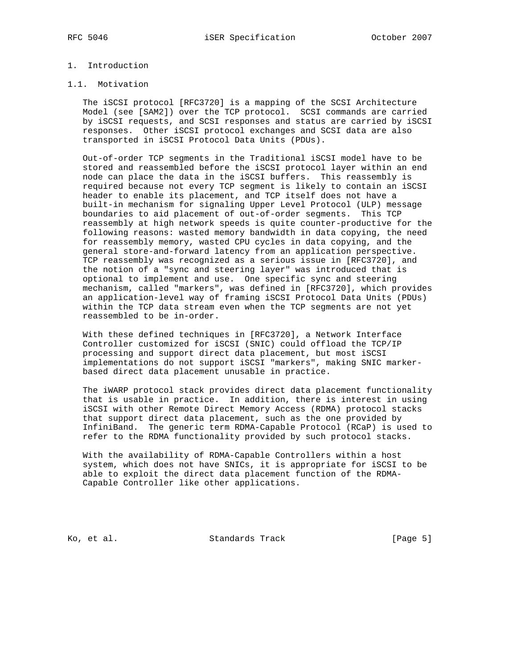## 1. Introduction

#### 1.1. Motivation

 The iSCSI protocol [RFC3720] is a mapping of the SCSI Architecture Model (see [SAM2]) over the TCP protocol. SCSI commands are carried by iSCSI requests, and SCSI responses and status are carried by iSCSI responses. Other iSCSI protocol exchanges and SCSI data are also transported in iSCSI Protocol Data Units (PDUs).

 Out-of-order TCP segments in the Traditional iSCSI model have to be stored and reassembled before the iSCSI protocol layer within an end node can place the data in the iSCSI buffers. This reassembly is required because not every TCP segment is likely to contain an iSCSI header to enable its placement, and TCP itself does not have a built-in mechanism for signaling Upper Level Protocol (ULP) message boundaries to aid placement of out-of-order segments. This TCP reassembly at high network speeds is quite counter-productive for the following reasons: wasted memory bandwidth in data copying, the need for reassembly memory, wasted CPU cycles in data copying, and the general store-and-forward latency from an application perspective. TCP reassembly was recognized as a serious issue in [RFC3720], and the notion of a "sync and steering layer" was introduced that is optional to implement and use. One specific sync and steering mechanism, called "markers", was defined in [RFC3720], which provides an application-level way of framing iSCSI Protocol Data Units (PDUs) within the TCP data stream even when the TCP segments are not yet reassembled to be in-order.

 With these defined techniques in [RFC3720], a Network Interface Controller customized for iSCSI (SNIC) could offload the TCP/IP processing and support direct data placement, but most iSCSI implementations do not support iSCSI "markers", making SNIC marker based direct data placement unusable in practice.

 The iWARP protocol stack provides direct data placement functionality that is usable in practice. In addition, there is interest in using iSCSI with other Remote Direct Memory Access (RDMA) protocol stacks that support direct data placement, such as the one provided by InfiniBand. The generic term RDMA-Capable Protocol (RCaP) is used to refer to the RDMA functionality provided by such protocol stacks.

 With the availability of RDMA-Capable Controllers within a host system, which does not have SNICs, it is appropriate for iSCSI to be able to exploit the direct data placement function of the RDMA- Capable Controller like other applications.

Ko, et al. Standards Track [Page 5]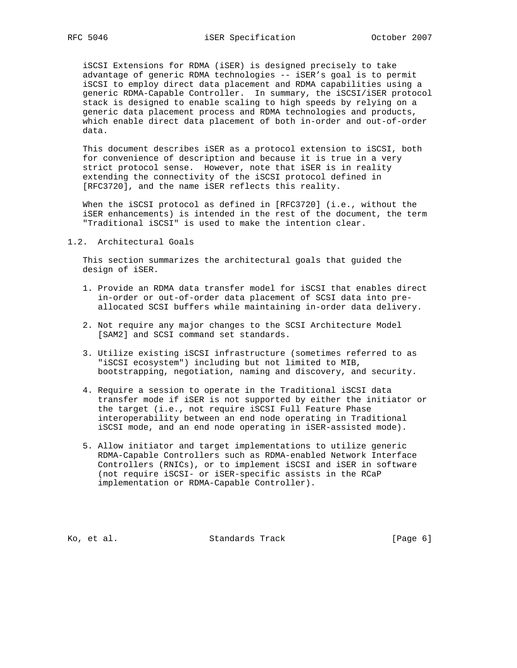iSCSI Extensions for RDMA (iSER) is designed precisely to take advantage of generic RDMA technologies -- iSER's goal is to permit iSCSI to employ direct data placement and RDMA capabilities using a generic RDMA-Capable Controller. In summary, the iSCSI/iSER protocol stack is designed to enable scaling to high speeds by relying on a generic data placement process and RDMA technologies and products, which enable direct data placement of both in-order and out-of-order data.

 This document describes iSER as a protocol extension to iSCSI, both for convenience of description and because it is true in a very strict protocol sense. However, note that iSER is in reality extending the connectivity of the iSCSI protocol defined in [RFC3720], and the name iSER reflects this reality.

 When the iSCSI protocol as defined in [RFC3720] (i.e., without the iSER enhancements) is intended in the rest of the document, the term "Traditional iSCSI" is used to make the intention clear.

1.2. Architectural Goals

 This section summarizes the architectural goals that guided the design of iSER.

- 1. Provide an RDMA data transfer model for iSCSI that enables direct in-order or out-of-order data placement of SCSI data into pre allocated SCSI buffers while maintaining in-order data delivery.
- 2. Not require any major changes to the SCSI Architecture Model [SAM2] and SCSI command set standards.
- 3. Utilize existing iSCSI infrastructure (sometimes referred to as "iSCSI ecosystem") including but not limited to MIB, bootstrapping, negotiation, naming and discovery, and security.
- 4. Require a session to operate in the Traditional iSCSI data transfer mode if iSER is not supported by either the initiator or the target (i.e., not require iSCSI Full Feature Phase interoperability between an end node operating in Traditional iSCSI mode, and an end node operating in iSER-assisted mode).
- 5. Allow initiator and target implementations to utilize generic RDMA-Capable Controllers such as RDMA-enabled Network Interface Controllers (RNICs), or to implement iSCSI and iSER in software (not require iSCSI- or iSER-specific assists in the RCaP implementation or RDMA-Capable Controller).

Ko, et al. Standards Track [Page 6]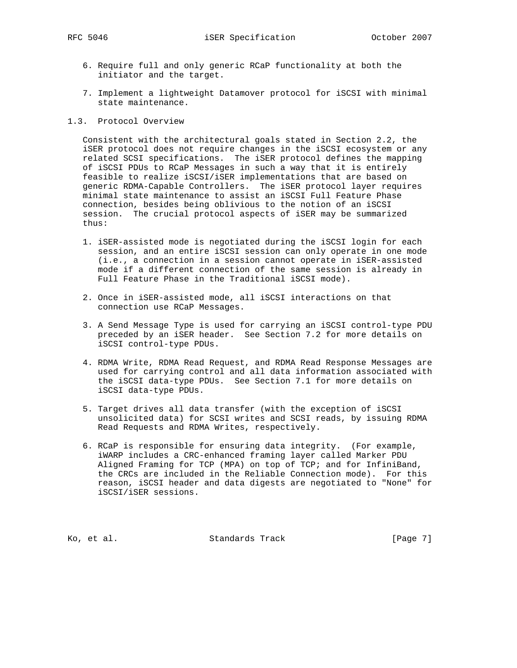- 6. Require full and only generic RCaP functionality at both the initiator and the target.
- 7. Implement a lightweight Datamover protocol for iSCSI with minimal state maintenance.
- 1.3. Protocol Overview

 Consistent with the architectural goals stated in Section 2.2, the iSER protocol does not require changes in the iSCSI ecosystem or any related SCSI specifications. The iSER protocol defines the mapping of iSCSI PDUs to RCaP Messages in such a way that it is entirely feasible to realize iSCSI/iSER implementations that are based on generic RDMA-Capable Controllers. The iSER protocol layer requires minimal state maintenance to assist an iSCSI Full Feature Phase connection, besides being oblivious to the notion of an iSCSI session. The crucial protocol aspects of iSER may be summarized thus:

- 1. iSER-assisted mode is negotiated during the iSCSI login for each session, and an entire iSCSI session can only operate in one mode (i.e., a connection in a session cannot operate in iSER-assisted mode if a different connection of the same session is already in Full Feature Phase in the Traditional iSCSI mode).
- 2. Once in iSER-assisted mode, all iSCSI interactions on that connection use RCaP Messages.
- 3. A Send Message Type is used for carrying an iSCSI control-type PDU preceded by an iSER header. See Section 7.2 for more details on iSCSI control-type PDUs.
- 4. RDMA Write, RDMA Read Request, and RDMA Read Response Messages are used for carrying control and all data information associated with the iSCSI data-type PDUs. See Section 7.1 for more details on iSCSI data-type PDUs.
- 5. Target drives all data transfer (with the exception of iSCSI unsolicited data) for SCSI writes and SCSI reads, by issuing RDMA Read Requests and RDMA Writes, respectively.
- 6. RCaP is responsible for ensuring data integrity. (For example, iWARP includes a CRC-enhanced framing layer called Marker PDU Aligned Framing for TCP (MPA) on top of TCP; and for InfiniBand, the CRCs are included in the Reliable Connection mode). For this reason, iSCSI header and data digests are negotiated to "None" for iSCSI/iSER sessions.

Ko, et al. Standards Track [Page 7]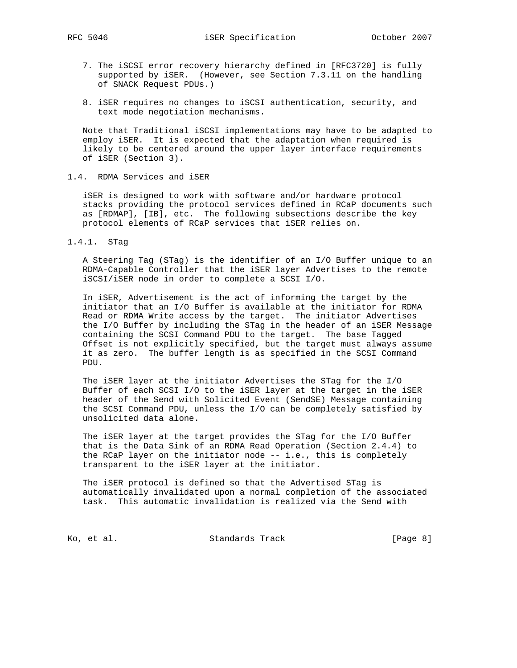- 7. The iSCSI error recovery hierarchy defined in [RFC3720] is fully supported by iSER. (However, see Section 7.3.11 on the handling of SNACK Request PDUs.)
- 8. iSER requires no changes to iSCSI authentication, security, and text mode negotiation mechanisms.

 Note that Traditional iSCSI implementations may have to be adapted to employ iSER. It is expected that the adaptation when required is likely to be centered around the upper layer interface requirements of iSER (Section 3).

## 1.4. RDMA Services and iSER

 iSER is designed to work with software and/or hardware protocol stacks providing the protocol services defined in RCaP documents such as [RDMAP], [IB], etc. The following subsections describe the key protocol elements of RCaP services that iSER relies on.

1.4.1. STag

 A Steering Tag (STag) is the identifier of an I/O Buffer unique to an RDMA-Capable Controller that the iSER layer Advertises to the remote iSCSI/iSER node in order to complete a SCSI I/O.

 In iSER, Advertisement is the act of informing the target by the initiator that an I/O Buffer is available at the initiator for RDMA Read or RDMA Write access by the target. The initiator Advertises the I/O Buffer by including the STag in the header of an iSER Message containing the SCSI Command PDU to the target. The base Tagged Offset is not explicitly specified, but the target must always assume it as zero. The buffer length is as specified in the SCSI Command PDU.

 The iSER layer at the initiator Advertises the STag for the I/O Buffer of each SCSI I/O to the iSER layer at the target in the iSER header of the Send with Solicited Event (SendSE) Message containing the SCSI Command PDU, unless the I/O can be completely satisfied by unsolicited data alone.

 The iSER layer at the target provides the STag for the I/O Buffer that is the Data Sink of an RDMA Read Operation (Section 2.4.4) to the RCaP layer on the initiator node -- i.e., this is completely transparent to the iSER layer at the initiator.

 The iSER protocol is defined so that the Advertised STag is automatically invalidated upon a normal completion of the associated task. This automatic invalidation is realized via the Send with

Ko, et al. Standards Track [Page 8]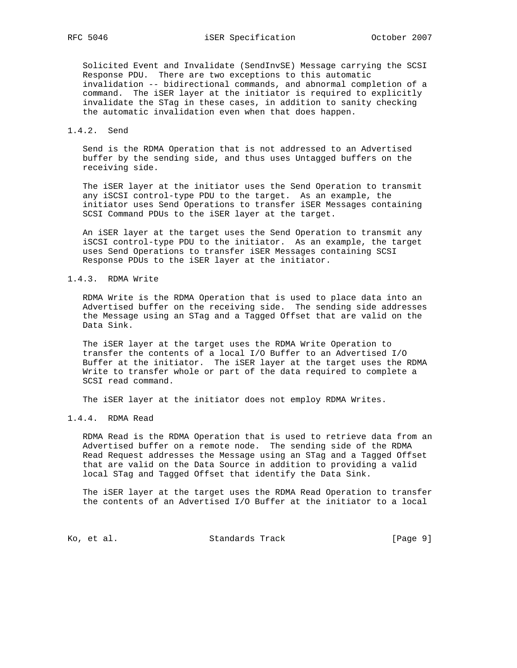Solicited Event and Invalidate (SendInvSE) Message carrying the SCSI Response PDU. There are two exceptions to this automatic invalidation -- bidirectional commands, and abnormal completion of a command. The iSER layer at the initiator is required to explicitly invalidate the STag in these cases, in addition to sanity checking the automatic invalidation even when that does happen.

#### 1.4.2. Send

 Send is the RDMA Operation that is not addressed to an Advertised buffer by the sending side, and thus uses Untagged buffers on the receiving side.

 The iSER layer at the initiator uses the Send Operation to transmit any iSCSI control-type PDU to the target. As an example, the initiator uses Send Operations to transfer iSER Messages containing SCSI Command PDUs to the iSER layer at the target.

 An iSER layer at the target uses the Send Operation to transmit any iSCSI control-type PDU to the initiator. As an example, the target uses Send Operations to transfer iSER Messages containing SCSI Response PDUs to the iSER layer at the initiator.

#### 1.4.3. RDMA Write

 RDMA Write is the RDMA Operation that is used to place data into an Advertised buffer on the receiving side. The sending side addresses the Message using an STag and a Tagged Offset that are valid on the Data Sink.

 The iSER layer at the target uses the RDMA Write Operation to transfer the contents of a local I/O Buffer to an Advertised I/O Buffer at the initiator. The iSER layer at the target uses the RDMA Write to transfer whole or part of the data required to complete a SCSI read command.

The iSER layer at the initiator does not employ RDMA Writes.

### 1.4.4. RDMA Read

 RDMA Read is the RDMA Operation that is used to retrieve data from an Advertised buffer on a remote node. The sending side of the RDMA Read Request addresses the Message using an STag and a Tagged Offset that are valid on the Data Source in addition to providing a valid local STag and Tagged Offset that identify the Data Sink.

 The iSER layer at the target uses the RDMA Read Operation to transfer the contents of an Advertised I/O Buffer at the initiator to a local

Ko, et al. Standards Track [Page 9]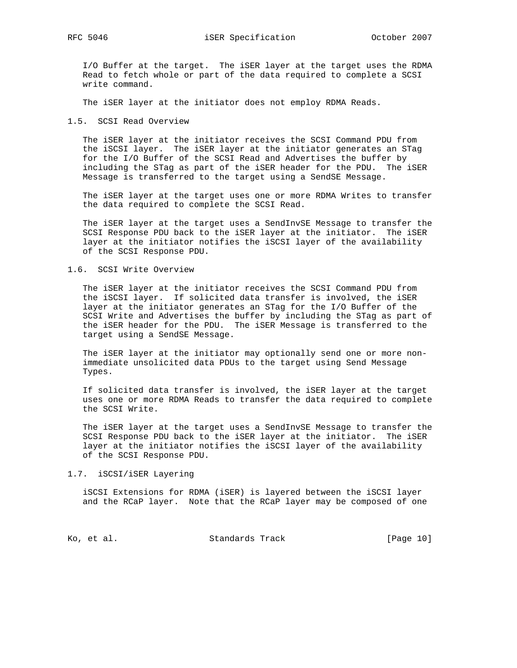I/O Buffer at the target. The iSER layer at the target uses the RDMA Read to fetch whole or part of the data required to complete a SCSI write command.

The iSER layer at the initiator does not employ RDMA Reads.

1.5. SCSI Read Overview

 The iSER layer at the initiator receives the SCSI Command PDU from the iSCSI layer. The iSER layer at the initiator generates an STag for the I/O Buffer of the SCSI Read and Advertises the buffer by including the STag as part of the iSER header for the PDU. The iSER Message is transferred to the target using a SendSE Message.

 The iSER layer at the target uses one or more RDMA Writes to transfer the data required to complete the SCSI Read.

 The iSER layer at the target uses a SendInvSE Message to transfer the SCSI Response PDU back to the iSER layer at the initiator. The iSER layer at the initiator notifies the iSCSI layer of the availability of the SCSI Response PDU.

#### 1.6. SCSI Write Overview

 The iSER layer at the initiator receives the SCSI Command PDU from the iSCSI layer. If solicited data transfer is involved, the iSER layer at the initiator generates an STag for the I/O Buffer of the SCSI Write and Advertises the buffer by including the STag as part of the iSER header for the PDU. The iSER Message is transferred to the target using a SendSE Message.

 The iSER layer at the initiator may optionally send one or more non immediate unsolicited data PDUs to the target using Send Message Types.

 If solicited data transfer is involved, the iSER layer at the target uses one or more RDMA Reads to transfer the data required to complete the SCSI Write.

 The iSER layer at the target uses a SendInvSE Message to transfer the SCSI Response PDU back to the iSER layer at the initiator. The iSER layer at the initiator notifies the iSCSI layer of the availability of the SCSI Response PDU.

#### 1.7. iSCSI/iSER Layering

 iSCSI Extensions for RDMA (iSER) is layered between the iSCSI layer and the RCaP layer. Note that the RCaP layer may be composed of one

Ko, et al. Standards Track [Page 10]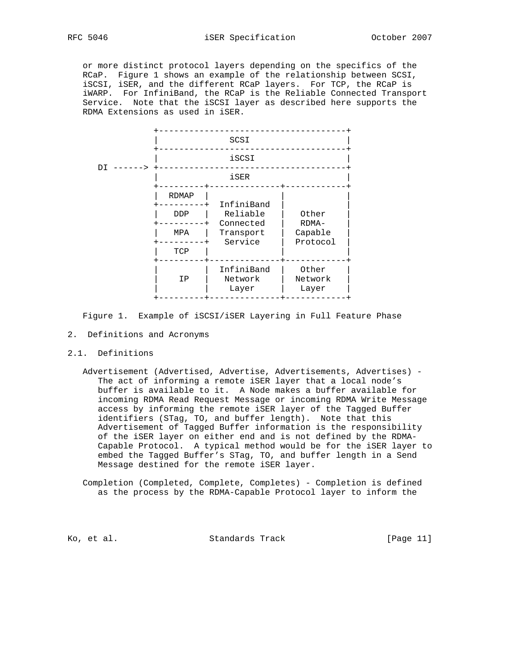or more distinct protocol layers depending on the specifics of the RCaP. Figure 1 shows an example of the relationship between SCSI, iSCSI, iSER, and the different RCaP layers. For TCP, the RCaP is iWARP. For InfiniBand, the RCaP is the Reliable Connected Transport Service. Note that the iSCSI layer as described here supports the RDMA Extensions as used in iSER.



Figure 1. Example of iSCSI/iSER Layering in Full Feature Phase

- 2. Definitions and Acronyms
- 2.1. Definitions
	- Advertisement (Advertised, Advertise, Advertisements, Advertises) The act of informing a remote iSER layer that a local node's buffer is available to it. A Node makes a buffer available for incoming RDMA Read Request Message or incoming RDMA Write Message access by informing the remote iSER layer of the Tagged Buffer identifiers (STag, TO, and buffer length). Note that this Advertisement of Tagged Buffer information is the responsibility of the iSER layer on either end and is not defined by the RDMA- Capable Protocol. A typical method would be for the iSER layer to embed the Tagged Buffer's STag, TO, and buffer length in a Send Message destined for the remote iSER layer.
	- Completion (Completed, Complete, Completes) Completion is defined as the process by the RDMA-Capable Protocol layer to inform the

Ko, et al. Standards Track [Page 11]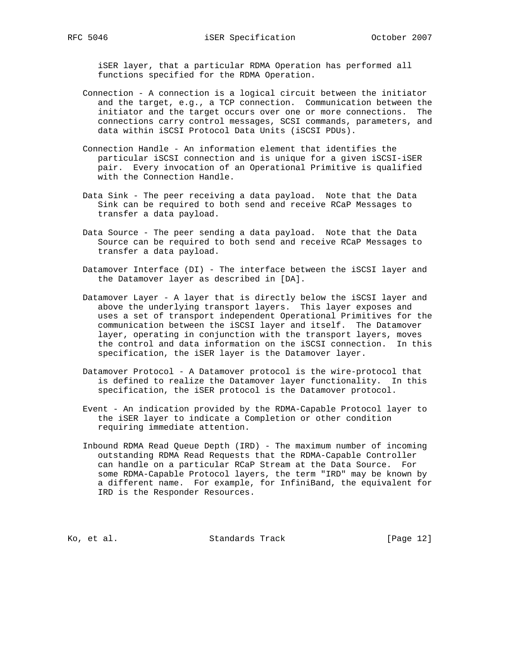iSER layer, that a particular RDMA Operation has performed all functions specified for the RDMA Operation.

- Connection A connection is a logical circuit between the initiator and the target, e.g., a TCP connection. Communication between the initiator and the target occurs over one or more connections. The connections carry control messages, SCSI commands, parameters, and data within iSCSI Protocol Data Units (iSCSI PDUs).
- Connection Handle An information element that identifies the particular iSCSI connection and is unique for a given iSCSI-iSER pair. Every invocation of an Operational Primitive is qualified with the Connection Handle.
- Data Sink The peer receiving a data payload. Note that the Data Sink can be required to both send and receive RCaP Messages to transfer a data payload.
- Data Source The peer sending a data payload. Note that the Data Source can be required to both send and receive RCaP Messages to transfer a data payload.
- Datamover Interface (DI) The interface between the iSCSI layer and the Datamover layer as described in [DA].
- Datamover Layer A layer that is directly below the iSCSI layer and above the underlying transport layers. This layer exposes and uses a set of transport independent Operational Primitives for the communication between the iSCSI layer and itself. The Datamover layer, operating in conjunction with the transport layers, moves the control and data information on the iSCSI connection. In this specification, the iSER layer is the Datamover layer.
- Datamover Protocol A Datamover protocol is the wire-protocol that is defined to realize the Datamover layer functionality. In this specification, the iSER protocol is the Datamover protocol.
- Event An indication provided by the RDMA-Capable Protocol layer to the iSER layer to indicate a Completion or other condition requiring immediate attention.
- Inbound RDMA Read Queue Depth (IRD) The maximum number of incoming outstanding RDMA Read Requests that the RDMA-Capable Controller can handle on a particular RCaP Stream at the Data Source. For some RDMA-Capable Protocol layers, the term "IRD" may be known by a different name. For example, for InfiniBand, the equivalent for IRD is the Responder Resources.

Ko, et al. Standards Track [Page 12]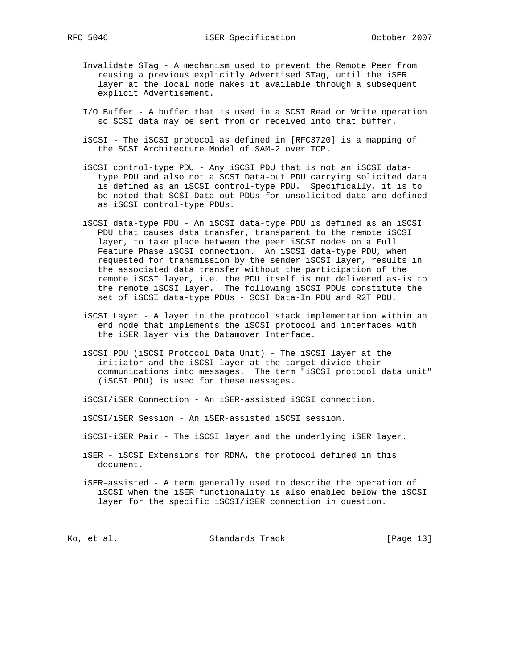- Invalidate STag A mechanism used to prevent the Remote Peer from reusing a previous explicitly Advertised STag, until the iSER layer at the local node makes it available through a subsequent explicit Advertisement.
- I/O Buffer A buffer that is used in a SCSI Read or Write operation so SCSI data may be sent from or received into that buffer.
- iSCSI The iSCSI protocol as defined in [RFC3720] is a mapping of the SCSI Architecture Model of SAM-2 over TCP.
- iSCSI control-type PDU Any iSCSI PDU that is not an iSCSI data type PDU and also not a SCSI Data-out PDU carrying solicited data is defined as an iSCSI control-type PDU. Specifically, it is to be noted that SCSI Data-out PDUs for unsolicited data are defined as iSCSI control-type PDUs.
- iSCSI data-type PDU An iSCSI data-type PDU is defined as an iSCSI PDU that causes data transfer, transparent to the remote iSCSI layer, to take place between the peer iSCSI nodes on a Full Feature Phase iSCSI connection. An iSCSI data-type PDU, when requested for transmission by the sender iSCSI layer, results in the associated data transfer without the participation of the remote iSCSI layer, i.e. the PDU itself is not delivered as-is to the remote iSCSI layer. The following iSCSI PDUs constitute the set of iSCSI data-type PDUs - SCSI Data-In PDU and R2T PDU.
- iSCSI Layer A layer in the protocol stack implementation within an end node that implements the iSCSI protocol and interfaces with the iSER layer via the Datamover Interface.
- iSCSI PDU (iSCSI Protocol Data Unit) The iSCSI layer at the initiator and the iSCSI layer at the target divide their communications into messages. The term "iSCSI protocol data unit" (iSCSI PDU) is used for these messages.

iSCSI/iSER Connection - An iSER-assisted iSCSI connection.

iSCSI/iSER Session - An iSER-assisted iSCSI session.

- iSCSI-iSER Pair The iSCSI layer and the underlying iSER layer.
- iSER iSCSI Extensions for RDMA, the protocol defined in this document.
- iSER-assisted A term generally used to describe the operation of iSCSI when the iSER functionality is also enabled below the iSCSI layer for the specific iSCSI/iSER connection in question.

Ko, et al. Standards Track [Page 13]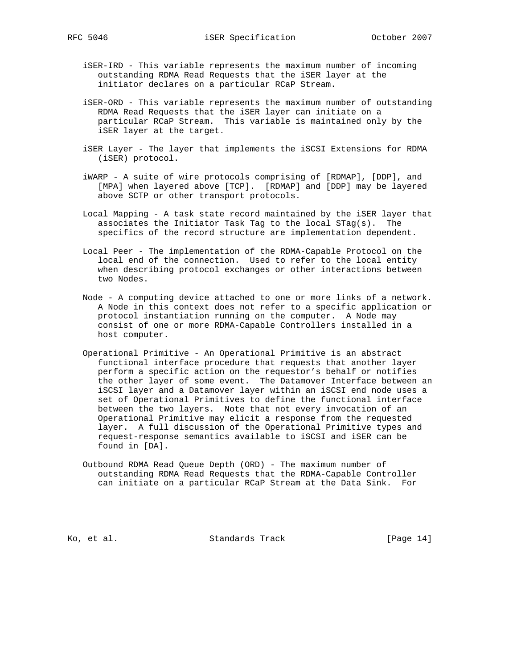- iSER-IRD This variable represents the maximum number of incoming outstanding RDMA Read Requests that the iSER layer at the initiator declares on a particular RCaP Stream.
- iSER-ORD This variable represents the maximum number of outstanding RDMA Read Requests that the iSER layer can initiate on a particular RCaP Stream. This variable is maintained only by the iSER layer at the target.
- iSER Layer The layer that implements the iSCSI Extensions for RDMA (iSER) protocol.
- iWARP A suite of wire protocols comprising of [RDMAP], [DDP], and [MPA] when layered above [TCP]. [RDMAP] and [DDP] may be layered above SCTP or other transport protocols.
- Local Mapping A task state record maintained by the iSER layer that associates the Initiator Task Tag to the local STag(s). The specifics of the record structure are implementation dependent.
- Local Peer The implementation of the RDMA-Capable Protocol on the local end of the connection. Used to refer to the local entity when describing protocol exchanges or other interactions between two Nodes.
- Node A computing device attached to one or more links of a network. A Node in this context does not refer to a specific application or protocol instantiation running on the computer. A Node may consist of one or more RDMA-Capable Controllers installed in a host computer.
- Operational Primitive An Operational Primitive is an abstract functional interface procedure that requests that another layer perform a specific action on the requestor's behalf or notifies the other layer of some event. The Datamover Interface between an iSCSI layer and a Datamover layer within an iSCSI end node uses a set of Operational Primitives to define the functional interface between the two layers. Note that not every invocation of an Operational Primitive may elicit a response from the requested layer. A full discussion of the Operational Primitive types and request-response semantics available to iSCSI and iSER can be found in [DA].
- Outbound RDMA Read Queue Depth (ORD) The maximum number of outstanding RDMA Read Requests that the RDMA-Capable Controller can initiate on a particular RCaP Stream at the Data Sink. For

Ko, et al. Standards Track [Page 14]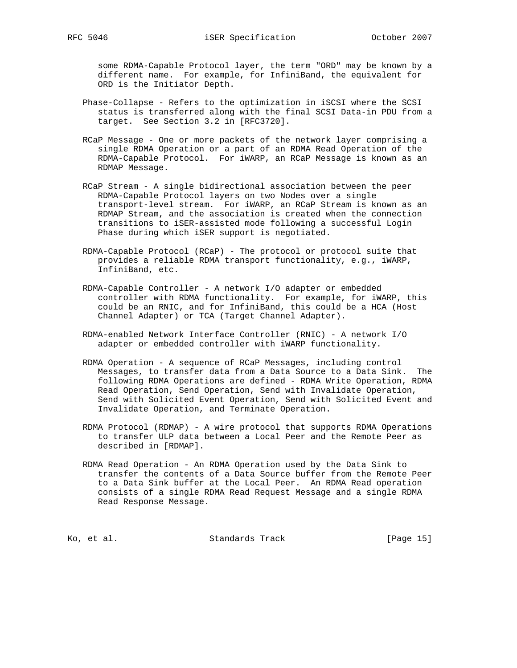some RDMA-Capable Protocol layer, the term "ORD" may be known by a different name. For example, for InfiniBand, the equivalent for ORD is the Initiator Depth.

- Phase-Collapse Refers to the optimization in iSCSI where the SCSI status is transferred along with the final SCSI Data-in PDU from a target. See Section 3.2 in [RFC3720].
- RCaP Message One or more packets of the network layer comprising a single RDMA Operation or a part of an RDMA Read Operation of the RDMA-Capable Protocol. For iWARP, an RCaP Message is known as an RDMAP Message.
- RCaP Stream A single bidirectional association between the peer RDMA-Capable Protocol layers on two Nodes over a single transport-level stream. For iWARP, an RCaP Stream is known as an RDMAP Stream, and the association is created when the connection transitions to iSER-assisted mode following a successful Login Phase during which iSER support is negotiated.
- RDMA-Capable Protocol (RCaP) The protocol or protocol suite that provides a reliable RDMA transport functionality, e.g., iWARP, InfiniBand, etc.
- RDMA-Capable Controller A network I/O adapter or embedded controller with RDMA functionality. For example, for iWARP, this could be an RNIC, and for InfiniBand, this could be a HCA (Host Channel Adapter) or TCA (Target Channel Adapter).
- RDMA-enabled Network Interface Controller (RNIC) A network I/O adapter or embedded controller with iWARP functionality.
- RDMA Operation A sequence of RCaP Messages, including control Messages, to transfer data from a Data Source to a Data Sink. The following RDMA Operations are defined - RDMA Write Operation, RDMA Read Operation, Send Operation, Send with Invalidate Operation, Send with Solicited Event Operation, Send with Solicited Event and Invalidate Operation, and Terminate Operation.
- RDMA Protocol (RDMAP) A wire protocol that supports RDMA Operations to transfer ULP data between a Local Peer and the Remote Peer as described in [RDMAP].
- RDMA Read Operation An RDMA Operation used by the Data Sink to transfer the contents of a Data Source buffer from the Remote Peer to a Data Sink buffer at the Local Peer. An RDMA Read operation consists of a single RDMA Read Request Message and a single RDMA Read Response Message.

Ko, et al. Standards Track [Page 15]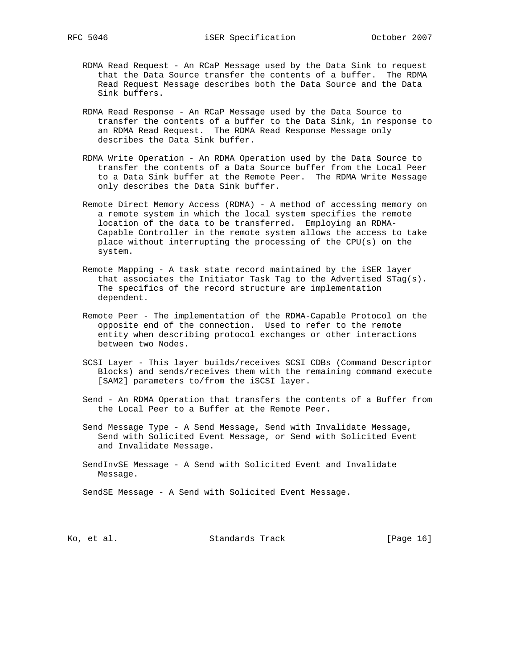- RDMA Read Request An RCaP Message used by the Data Sink to request that the Data Source transfer the contents of a buffer. The RDMA Read Request Message describes both the Data Source and the Data Sink buffers.
- RDMA Read Response An RCaP Message used by the Data Source to transfer the contents of a buffer to the Data Sink, in response to an RDMA Read Request. The RDMA Read Response Message only describes the Data Sink buffer.
- RDMA Write Operation An RDMA Operation used by the Data Source to transfer the contents of a Data Source buffer from the Local Peer to a Data Sink buffer at the Remote Peer. The RDMA Write Message only describes the Data Sink buffer.
- Remote Direct Memory Access (RDMA) A method of accessing memory on a remote system in which the local system specifies the remote location of the data to be transferred. Employing an RDMA- Capable Controller in the remote system allows the access to take place without interrupting the processing of the CPU(s) on the system.
- Remote Mapping A task state record maintained by the iSER layer that associates the Initiator Task Tag to the Advertised STag(s). The specifics of the record structure are implementation dependent.
- Remote Peer The implementation of the RDMA-Capable Protocol on the opposite end of the connection. Used to refer to the remote entity when describing protocol exchanges or other interactions between two Nodes.
- SCSI Layer This layer builds/receives SCSI CDBs (Command Descriptor Blocks) and sends/receives them with the remaining command execute [SAM2] parameters to/from the iSCSI layer.
- Send An RDMA Operation that transfers the contents of a Buffer from the Local Peer to a Buffer at the Remote Peer.
- Send Message Type A Send Message, Send with Invalidate Message, Send with Solicited Event Message, or Send with Solicited Event and Invalidate Message.
- SendInvSE Message A Send with Solicited Event and Invalidate Message.

SendSE Message - A Send with Solicited Event Message.

Ko, et al. Standards Track [Page 16]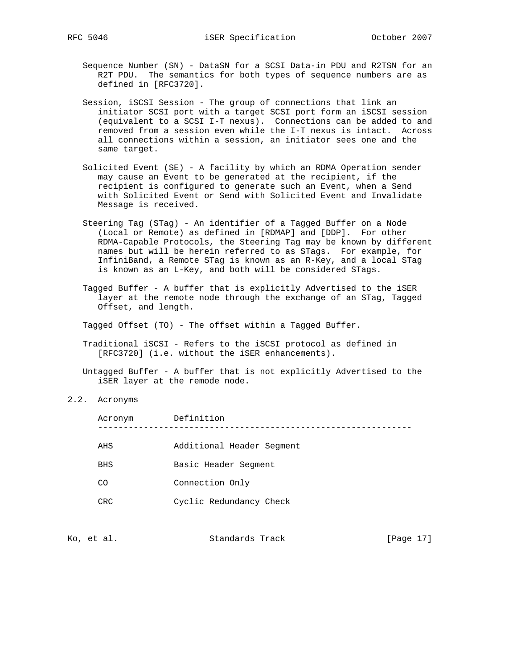- Sequence Number (SN) DataSN for a SCSI Data-in PDU and R2TSN for an R2T PDU. The semantics for both types of sequence numbers are as defined in [RFC3720].
- Session, iSCSI Session The group of connections that link an initiator SCSI port with a target SCSI port form an iSCSI session (equivalent to a SCSI I-T nexus). Connections can be added to and removed from a session even while the I-T nexus is intact. Across all connections within a session, an initiator sees one and the same target.
- Solicited Event (SE) A facility by which an RDMA Operation sender may cause an Event to be generated at the recipient, if the recipient is configured to generate such an Event, when a Send with Solicited Event or Send with Solicited Event and Invalidate Message is received.
- Steering Tag (STag) An identifier of a Tagged Buffer on a Node (Local or Remote) as defined in [RDMAP] and [DDP]. For other RDMA-Capable Protocols, the Steering Tag may be known by different names but will be herein referred to as STags. For example, for InfiniBand, a Remote STag is known as an R-Key, and a local STag is known as an L-Key, and both will be considered STags.
- Tagged Buffer A buffer that is explicitly Advertised to the iSER layer at the remote node through the exchange of an STag, Tagged Offset, and length.
- Tagged Offset (TO) The offset within a Tagged Buffer.
- Traditional iSCSI Refers to the iSCSI protocol as defined in [RFC3720] (i.e. without the iSER enhancements).
- Untagged Buffer A buffer that is not explicitly Advertised to the iSER layer at the remode node.
- 2.2. Acronyms

| Acronym    | Definition                |
|------------|---------------------------|
|            |                           |
| AHS        | Additional Header Segment |
| <b>BHS</b> | Basic Header Seqment      |
| CO         | Connection Only           |
| CRC.       | Cyclic Redundancy Check   |
|            |                           |

| Standards Track<br>Ko, et al. | [Page 17] |  |  |
|-------------------------------|-----------|--|--|
|-------------------------------|-----------|--|--|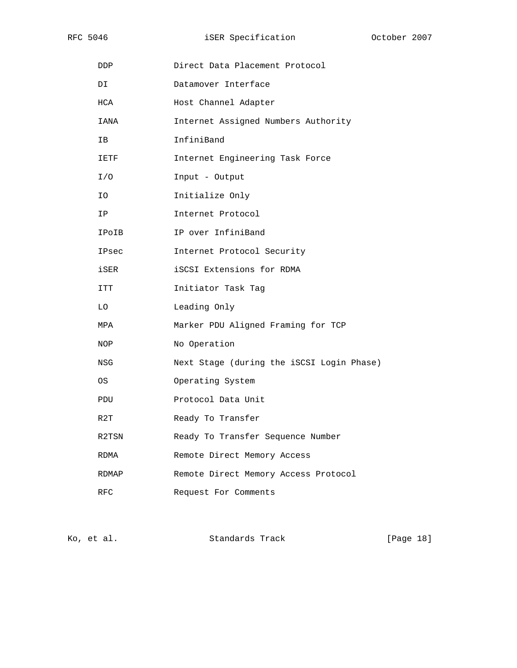RFC 5046 **iSER** Specification **October 2007** 

| DDP        | Direct Data Placement Protocol            |
|------------|-------------------------------------------|
| DI         | Datamover Interface                       |
| HCA        | Host Channel Adapter                      |
| IANA       | Internet Assigned Numbers Authority       |
| IΒ         | InfiniBand                                |
| IETF       | Internet Engineering Task Force           |
| I/O        | Input - Output                            |
| ΙO         | Initialize Only                           |
| ΙP         | Internet Protocol                         |
| IPoIB      | IP over InfiniBand                        |
| IPsec      | Internet Protocol Security                |
| iSER       | iSCSI Extensions for RDMA                 |
| ITT        | Initiator Task Tag                        |
| LO         | Leading Only                              |
| MPA        | Marker PDU Aligned Framing for TCP        |
| NOP        | No Operation                              |
| NSG        | Next Stage (during the iSCSI Login Phase) |
| 0S         | Operating System                          |
| PDU        | Protocol Data Unit                        |
| R2T        | Ready To Transfer                         |
| R2TSN      | Ready To Transfer Sequence Number         |
| RDMA       | Remote Direct Memory Access               |
| RDMAP      | Remote Direct Memory Access Protocol      |
| <b>RFC</b> | Request For Comments                      |

Ko, et al. Standards Track [Page 18]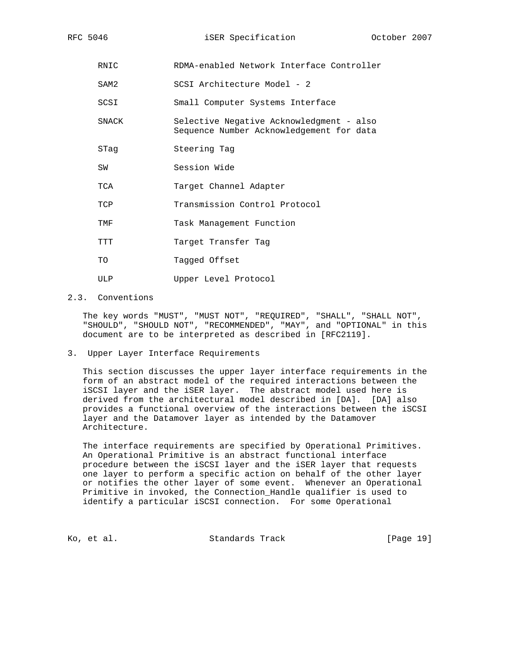- RNIC RDMA-enabled Network Interface Controller
- SAM2 SCSI Architecture Model 2
- SCSI Small Computer Systems Interface
- SNACK Selective Negative Acknowledgment also Sequence Number Acknowledgement for data
- STag Steering Tag
- SW Session Wide
- TCA Target Channel Adapter
- TCP Transmission Control Protocol
- TMF Task Management Function
- TTT Target Transfer Tag
- TO Tagged Offset
- ULP Upper Level Protocol

## 2.3. Conventions

 The key words "MUST", "MUST NOT", "REQUIRED", "SHALL", "SHALL NOT", "SHOULD", "SHOULD NOT", "RECOMMENDED", "MAY", and "OPTIONAL" in this document are to be interpreted as described in [RFC2119].

3. Upper Layer Interface Requirements

 This section discusses the upper layer interface requirements in the form of an abstract model of the required interactions between the iSCSI layer and the iSER layer. The abstract model used here is derived from the architectural model described in [DA]. [DA] also provides a functional overview of the interactions between the iSCSI layer and the Datamover layer as intended by the Datamover Architecture.

 The interface requirements are specified by Operational Primitives. An Operational Primitive is an abstract functional interface procedure between the iSCSI layer and the iSER layer that requests one layer to perform a specific action on behalf of the other layer or notifies the other layer of some event. Whenever an Operational Primitive in invoked, the Connection\_Handle qualifier is used to identify a particular iSCSI connection. For some Operational

Ko, et al. Standards Track [Page 19]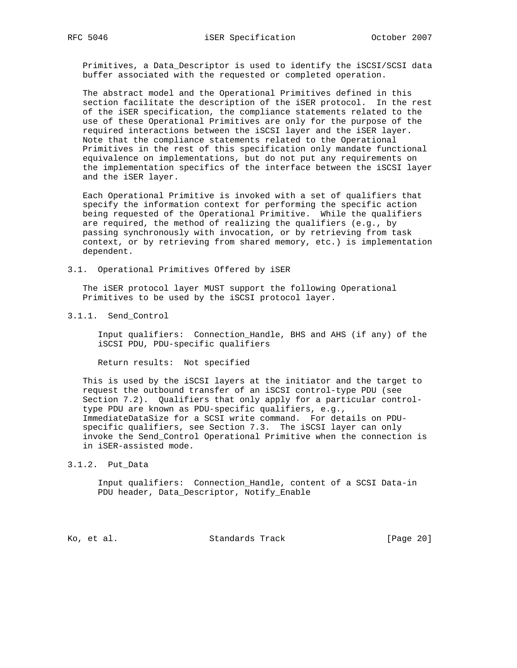Primitives, a Data\_Descriptor is used to identify the iSCSI/SCSI data buffer associated with the requested or completed operation.

 The abstract model and the Operational Primitives defined in this section facilitate the description of the iSER protocol. In the rest of the iSER specification, the compliance statements related to the use of these Operational Primitives are only for the purpose of the required interactions between the iSCSI layer and the iSER layer. Note that the compliance statements related to the Operational Primitives in the rest of this specification only mandate functional equivalence on implementations, but do not put any requirements on the implementation specifics of the interface between the iSCSI layer and the iSER layer.

 Each Operational Primitive is invoked with a set of qualifiers that specify the information context for performing the specific action being requested of the Operational Primitive. While the qualifiers are required, the method of realizing the qualifiers (e.g., by passing synchronously with invocation, or by retrieving from task context, or by retrieving from shared memory, etc.) is implementation dependent.

3.1. Operational Primitives Offered by iSER

 The iSER protocol layer MUST support the following Operational Primitives to be used by the iSCSI protocol layer.

3.1.1. Send\_Control

 Input qualifiers: Connection\_Handle, BHS and AHS (if any) of the iSCSI PDU, PDU-specific qualifiers

Return results: Not specified

 This is used by the iSCSI layers at the initiator and the target to request the outbound transfer of an iSCSI control-type PDU (see Section 7.2). Qualifiers that only apply for a particular control type PDU are known as PDU-specific qualifiers, e.g., ImmediateDataSize for a SCSI write command. For details on PDU specific qualifiers, see Section 7.3. The iSCSI layer can only invoke the Send\_Control Operational Primitive when the connection is in iSER-assisted mode.

3.1.2. Put\_Data

 Input qualifiers: Connection\_Handle, content of a SCSI Data-in PDU header, Data\_Descriptor, Notify\_Enable

Ko, et al. Standards Track [Page 20]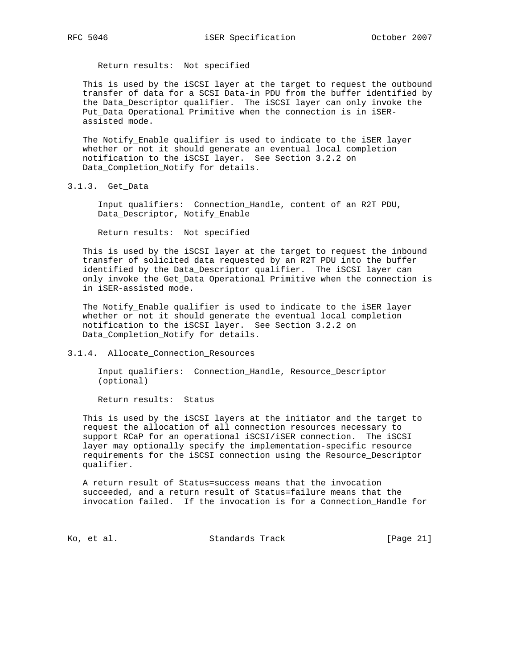Return results: Not specified

 This is used by the iSCSI layer at the target to request the outbound transfer of data for a SCSI Data-in PDU from the buffer identified by the Data\_Descriptor qualifier. The iSCSI layer can only invoke the Put\_Data Operational Primitive when the connection is in iSER assisted mode.

 The Notify\_Enable qualifier is used to indicate to the iSER layer whether or not it should generate an eventual local completion notification to the iSCSI layer. See Section 3.2.2 on Data\_Completion\_Notify for details.

3.1.3. Get\_Data

 Input qualifiers: Connection\_Handle, content of an R2T PDU, Data\_Descriptor, Notify\_Enable

Return results: Not specified

 This is used by the iSCSI layer at the target to request the inbound transfer of solicited data requested by an R2T PDU into the buffer identified by the Data\_Descriptor qualifier. The iSCSI layer can only invoke the Get\_Data Operational Primitive when the connection is in iSER-assisted mode.

 The Notify\_Enable qualifier is used to indicate to the iSER layer whether or not it should generate the eventual local completion notification to the iSCSI layer. See Section 3.2.2 on Data\_Completion\_Notify for details.

3.1.4. Allocate\_Connection\_Resources

 Input qualifiers: Connection\_Handle, Resource\_Descriptor (optional)

Return results: Status

 This is used by the iSCSI layers at the initiator and the target to request the allocation of all connection resources necessary to support RCaP for an operational iSCSI/iSER connection. The iSCSI layer may optionally specify the implementation-specific resource requirements for the iSCSI connection using the Resource\_Descriptor qualifier.

 A return result of Status=success means that the invocation succeeded, and a return result of Status=failure means that the invocation failed. If the invocation is for a Connection\_Handle for

Ko, et al. Standards Track [Page 21]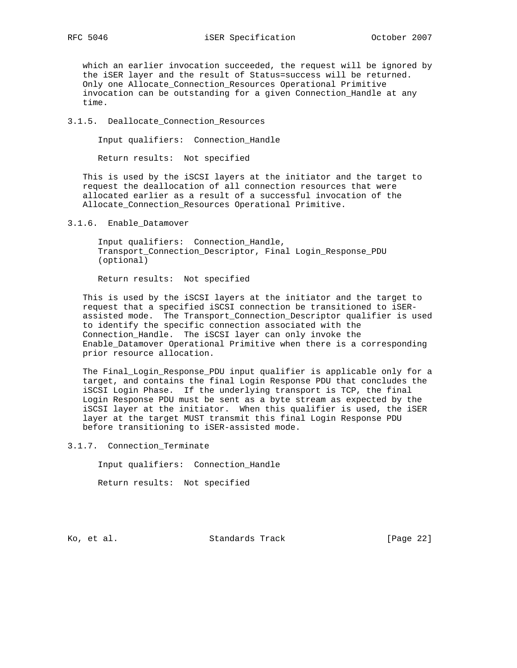which an earlier invocation succeeded, the request will be ignored by the iSER layer and the result of Status=success will be returned. Only one Allocate\_Connection\_Resources Operational Primitive invocation can be outstanding for a given Connection\_Handle at any time.

#### 3.1.5. Deallocate\_Connection\_Resources

Input qualifiers: Connection\_Handle

Return results: Not specified

 This is used by the iSCSI layers at the initiator and the target to request the deallocation of all connection resources that were allocated earlier as a result of a successful invocation of the Allocate\_Connection\_Resources Operational Primitive.

3.1.6. Enable\_Datamover

 Input qualifiers: Connection\_Handle, Transport\_Connection\_Descriptor, Final Login\_Response\_PDU (optional)

Return results: Not specified

 This is used by the iSCSI layers at the initiator and the target to request that a specified iSCSI connection be transitioned to iSER assisted mode. The Transport\_Connection\_Descriptor qualifier is used to identify the specific connection associated with the Connection\_Handle. The iSCSI layer can only invoke the Enable\_Datamover Operational Primitive when there is a corresponding prior resource allocation.

 The Final\_Login\_Response\_PDU input qualifier is applicable only for a target, and contains the final Login Response PDU that concludes the iSCSI Login Phase. If the underlying transport is TCP, the final Login Response PDU must be sent as a byte stream as expected by the iSCSI layer at the initiator. When this qualifier is used, the iSER layer at the target MUST transmit this final Login Response PDU before transitioning to iSER-assisted mode.

3.1.7. Connection\_Terminate

Input qualifiers: Connection\_Handle

Return results: Not specified

Ko, et al. Standards Track [Page 22]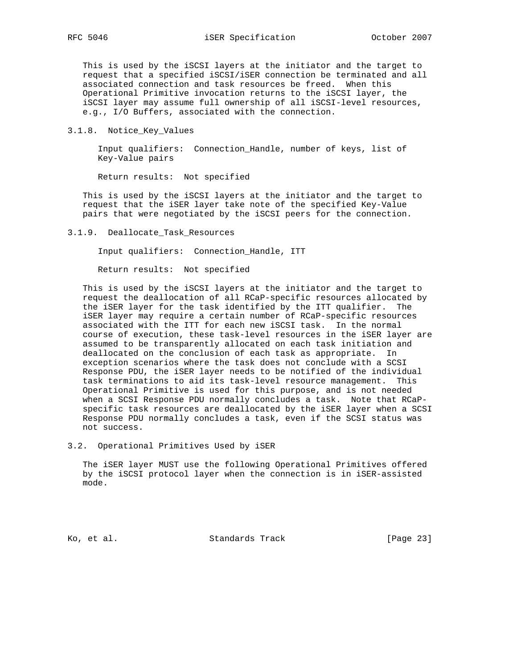This is used by the iSCSI layers at the initiator and the target to request that a specified iSCSI/iSER connection be terminated and all associated connection and task resources be freed. When this Operational Primitive invocation returns to the iSCSI layer, the iSCSI layer may assume full ownership of all iSCSI-level resources, e.g., I/O Buffers, associated with the connection.

3.1.8. Notice\_Key\_Values

 Input qualifiers: Connection\_Handle, number of keys, list of Key-Value pairs

Return results: Not specified

 This is used by the iSCSI layers at the initiator and the target to request that the iSER layer take note of the specified Key-Value pairs that were negotiated by the iSCSI peers for the connection.

3.1.9. Deallocate\_Task\_Resources

Input qualifiers: Connection\_Handle, ITT

Return results: Not specified

 This is used by the iSCSI layers at the initiator and the target to request the deallocation of all RCaP-specific resources allocated by the iSER layer for the task identified by the ITT qualifier. The iSER layer may require a certain number of RCaP-specific resources associated with the ITT for each new iSCSI task. In the normal course of execution, these task-level resources in the iSER layer are assumed to be transparently allocated on each task initiation and deallocated on the conclusion of each task as appropriate. In exception scenarios where the task does not conclude with a SCSI Response PDU, the iSER layer needs to be notified of the individual task terminations to aid its task-level resource management. This Operational Primitive is used for this purpose, and is not needed when a SCSI Response PDU normally concludes a task. Note that RCaP specific task resources are deallocated by the iSER layer when a SCSI Response PDU normally concludes a task, even if the SCSI status was not success.

3.2. Operational Primitives Used by iSER

 The iSER layer MUST use the following Operational Primitives offered by the iSCSI protocol layer when the connection is in iSER-assisted mode.

Ko, et al. Standards Track [Page 23]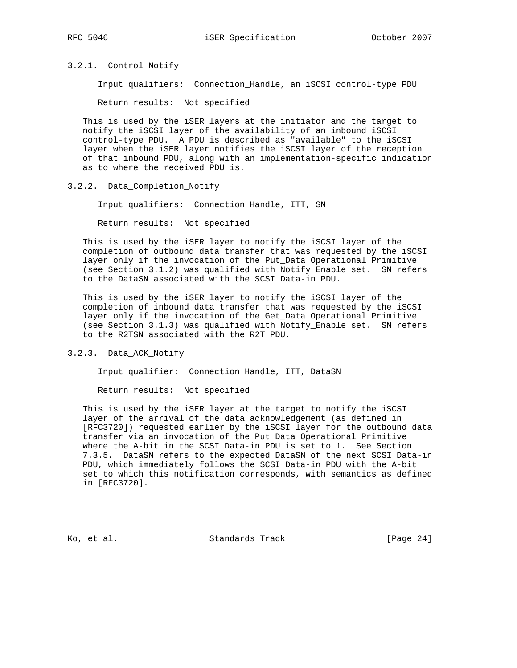#### 3.2.1. Control\_Notify

Input qualifiers: Connection\_Handle, an iSCSI control-type PDU

Return results: Not specified

 This is used by the iSER layers at the initiator and the target to notify the iSCSI layer of the availability of an inbound iSCSI control-type PDU. A PDU is described as "available" to the iSCSI layer when the iSER layer notifies the iSCSI layer of the reception of that inbound PDU, along with an implementation-specific indication as to where the received PDU is.

3.2.2. Data\_Completion\_Notify

Input qualifiers: Connection\_Handle, ITT, SN

Return results: Not specified

 This is used by the iSER layer to notify the iSCSI layer of the completion of outbound data transfer that was requested by the iSCSI layer only if the invocation of the Put\_Data Operational Primitive (see Section 3.1.2) was qualified with Notify\_Enable set. SN refers to the DataSN associated with the SCSI Data-in PDU.

 This is used by the iSER layer to notify the iSCSI layer of the completion of inbound data transfer that was requested by the iSCSI layer only if the invocation of the Get\_Data Operational Primitive (see Section 3.1.3) was qualified with Notify\_Enable set. SN refers to the R2TSN associated with the R2T PDU.

#### 3.2.3. Data\_ACK\_Notify

Input qualifier: Connection\_Handle, ITT, DataSN

Return results: Not specified

 This is used by the iSER layer at the target to notify the iSCSI layer of the arrival of the data acknowledgement (as defined in [RFC3720]) requested earlier by the iSCSI layer for the outbound data transfer via an invocation of the Put\_Data Operational Primitive where the A-bit in the SCSI Data-in PDU is set to 1. See Section 7.3.5. DataSN refers to the expected DataSN of the next SCSI Data-in PDU, which immediately follows the SCSI Data-in PDU with the A-bit set to which this notification corresponds, with semantics as defined in [RFC3720].

Ko, et al. Standards Track [Page 24]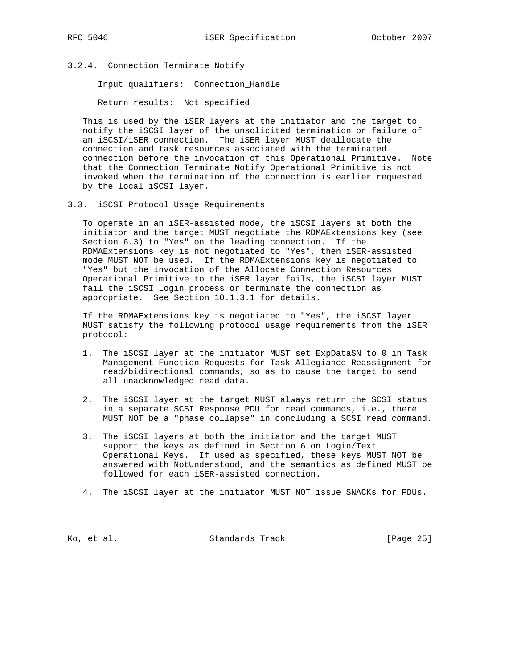3.2.4. Connection\_Terminate\_Notify

Input qualifiers: Connection\_Handle

Return results: Not specified

 This is used by the iSER layers at the initiator and the target to notify the iSCSI layer of the unsolicited termination or failure of an iSCSI/iSER connection. The iSER layer MUST deallocate the connection and task resources associated with the terminated connection before the invocation of this Operational Primitive. Note that the Connection\_Terminate\_Notify Operational Primitive is not invoked when the termination of the connection is earlier requested by the local iSCSI layer.

3.3. iSCSI Protocol Usage Requirements

 To operate in an iSER-assisted mode, the iSCSI layers at both the initiator and the target MUST negotiate the RDMAExtensions key (see Section 6.3) to "Yes" on the leading connection. If the RDMAExtensions key is not negotiated to "Yes", then iSER-assisted mode MUST NOT be used. If the RDMAExtensions key is negotiated to "Yes" but the invocation of the Allocate\_Connection\_Resources Operational Primitive to the iSER layer fails, the iSCSI layer MUST fail the iSCSI Login process or terminate the connection as appropriate. See Section 10.1.3.1 for details.

 If the RDMAExtensions key is negotiated to "Yes", the iSCSI layer MUST satisfy the following protocol usage requirements from the iSER protocol:

- 1. The iSCSI layer at the initiator MUST set ExpDataSN to 0 in Task Management Function Requests for Task Allegiance Reassignment for read/bidirectional commands, so as to cause the target to send all unacknowledged read data.
- 2. The iSCSI layer at the target MUST always return the SCSI status in a separate SCSI Response PDU for read commands, i.e., there MUST NOT be a "phase collapse" in concluding a SCSI read command.
- 3. The iSCSI layers at both the initiator and the target MUST support the keys as defined in Section 6 on Login/Text Operational Keys. If used as specified, these keys MUST NOT be answered with NotUnderstood, and the semantics as defined MUST be followed for each iSER-assisted connection.
- 4. The iSCSI layer at the initiator MUST NOT issue SNACKs for PDUs.

Ko, et al. Standards Track [Page 25]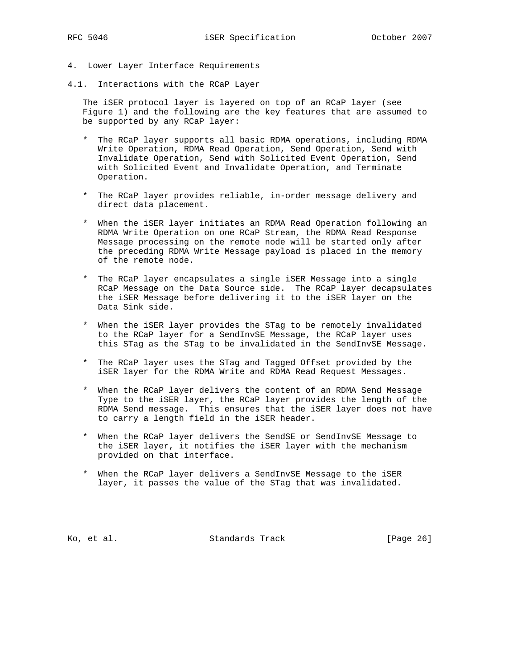- 4. Lower Layer Interface Requirements
- 4.1. Interactions with the RCaP Layer

 The iSER protocol layer is layered on top of an RCaP layer (see Figure 1) and the following are the key features that are assumed to be supported by any RCaP layer:

- \* The RCaP layer supports all basic RDMA operations, including RDMA Write Operation, RDMA Read Operation, Send Operation, Send with Invalidate Operation, Send with Solicited Event Operation, Send with Solicited Event and Invalidate Operation, and Terminate Operation.
- \* The RCaP layer provides reliable, in-order message delivery and direct data placement.
- \* When the iSER layer initiates an RDMA Read Operation following an RDMA Write Operation on one RCaP Stream, the RDMA Read Response Message processing on the remote node will be started only after the preceding RDMA Write Message payload is placed in the memory of the remote node.
- \* The RCaP layer encapsulates a single iSER Message into a single RCaP Message on the Data Source side. The RCaP layer decapsulates the iSER Message before delivering it to the iSER layer on the Data Sink side.
- \* When the iSER layer provides the STag to be remotely invalidated to the RCaP layer for a SendInvSE Message, the RCaP layer uses this STag as the STag to be invalidated in the SendInvSE Message.
- \* The RCaP layer uses the STag and Tagged Offset provided by the iSER layer for the RDMA Write and RDMA Read Request Messages.
- \* When the RCaP layer delivers the content of an RDMA Send Message Type to the iSER layer, the RCaP layer provides the length of the RDMA Send message. This ensures that the iSER layer does not have to carry a length field in the iSER header.
- \* When the RCaP layer delivers the SendSE or SendInvSE Message to the iSER layer, it notifies the iSER layer with the mechanism provided on that interface.
- \* When the RCaP layer delivers a SendInvSE Message to the iSER layer, it passes the value of the STag that was invalidated.

Ko, et al. Standards Track [Page 26]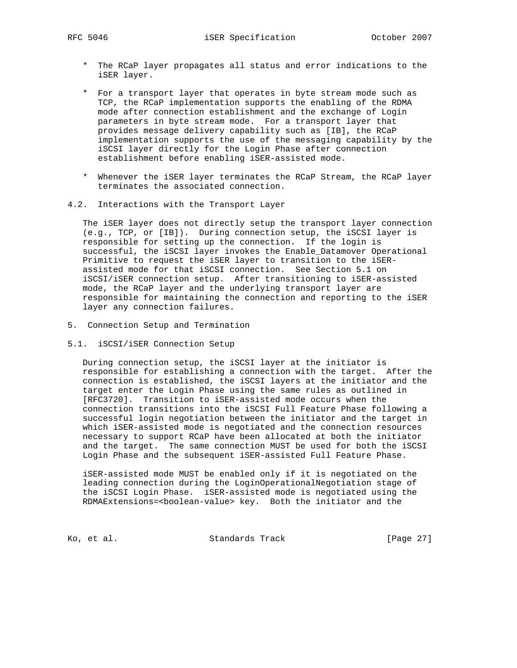- \* The RCaP layer propagates all status and error indications to the iSER layer.
- \* For a transport layer that operates in byte stream mode such as TCP, the RCaP implementation supports the enabling of the RDMA mode after connection establishment and the exchange of Login parameters in byte stream mode. For a transport layer that provides message delivery capability such as [IB], the RCaP implementation supports the use of the messaging capability by the iSCSI layer directly for the Login Phase after connection establishment before enabling iSER-assisted mode.
- \* Whenever the iSER layer terminates the RCaP Stream, the RCaP layer terminates the associated connection.
- 4.2. Interactions with the Transport Layer

 The iSER layer does not directly setup the transport layer connection (e.g., TCP, or [IB]). During connection setup, the iSCSI layer is responsible for setting up the connection. If the login is successful, the iSCSI layer invokes the Enable\_Datamover Operational Primitive to request the iSER layer to transition to the iSER assisted mode for that iSCSI connection. See Section 5.1 on iSCSI/iSER connection setup. After transitioning to iSER-assisted mode, the RCaP layer and the underlying transport layer are responsible for maintaining the connection and reporting to the iSER layer any connection failures.

- 5. Connection Setup and Termination
- 5.1. iSCSI/iSER Connection Setup

 During connection setup, the iSCSI layer at the initiator is responsible for establishing a connection with the target. After the connection is established, the iSCSI layers at the initiator and the target enter the Login Phase using the same rules as outlined in [RFC3720]. Transition to iSER-assisted mode occurs when the connection transitions into the iSCSI Full Feature Phase following a successful login negotiation between the initiator and the target in which iSER-assisted mode is negotiated and the connection resources necessary to support RCaP have been allocated at both the initiator and the target. The same connection MUST be used for both the iSCSI Login Phase and the subsequent iSER-assisted Full Feature Phase.

 iSER-assisted mode MUST be enabled only if it is negotiated on the leading connection during the LoginOperationalNegotiation stage of the iSCSI Login Phase. iSER-assisted mode is negotiated using the RDMAExtensions=<boolean-value> key. Both the initiator and the

Ko, et al. Standards Track [Page 27]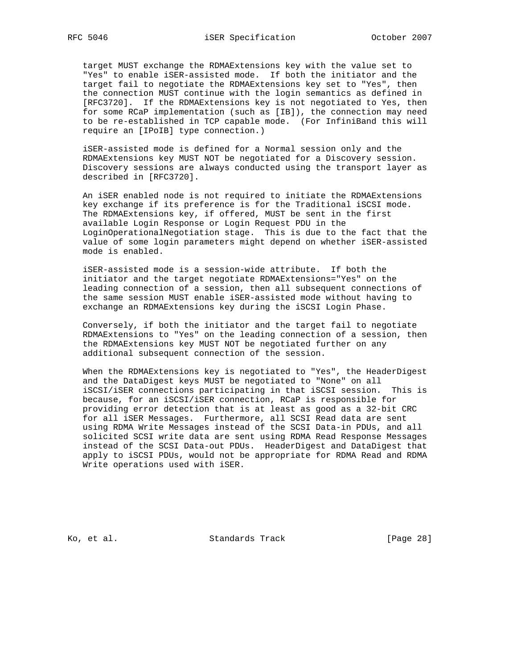target MUST exchange the RDMAExtensions key with the value set to "Yes" to enable iSER-assisted mode. If both the initiator and the target fail to negotiate the RDMAExtensions key set to "Yes", then the connection MUST continue with the login semantics as defined in [RFC3720]. If the RDMAExtensions key is not negotiated to Yes, then for some RCaP implementation (such as [IB]), the connection may need to be re-established in TCP capable mode. (For InfiniBand this will require an [IPoIB] type connection.)

 iSER-assisted mode is defined for a Normal session only and the RDMAExtensions key MUST NOT be negotiated for a Discovery session. Discovery sessions are always conducted using the transport layer as described in [RFC3720].

 An iSER enabled node is not required to initiate the RDMAExtensions key exchange if its preference is for the Traditional iSCSI mode. The RDMAExtensions key, if offered, MUST be sent in the first available Login Response or Login Request PDU in the LoginOperationalNegotiation stage. This is due to the fact that the value of some login parameters might depend on whether iSER-assisted mode is enabled.

 iSER-assisted mode is a session-wide attribute. If both the initiator and the target negotiate RDMAExtensions="Yes" on the leading connection of a session, then all subsequent connections of the same session MUST enable iSER-assisted mode without having to exchange an RDMAExtensions key during the iSCSI Login Phase.

 Conversely, if both the initiator and the target fail to negotiate RDMAExtensions to "Yes" on the leading connection of a session, then the RDMAExtensions key MUST NOT be negotiated further on any additional subsequent connection of the session.

 When the RDMAExtensions key is negotiated to "Yes", the HeaderDigest and the DataDigest keys MUST be negotiated to "None" on all iSCSI/iSER connections participating in that iSCSI session. This is because, for an iSCSI/iSER connection, RCaP is responsible for providing error detection that is at least as good as a 32-bit CRC for all iSER Messages. Furthermore, all SCSI Read data are sent using RDMA Write Messages instead of the SCSI Data-in PDUs, and all solicited SCSI write data are sent using RDMA Read Response Messages instead of the SCSI Data-out PDUs. HeaderDigest and DataDigest that apply to iSCSI PDUs, would not be appropriate for RDMA Read and RDMA Write operations used with iSER.

Ko, et al. Standards Track [Page 28]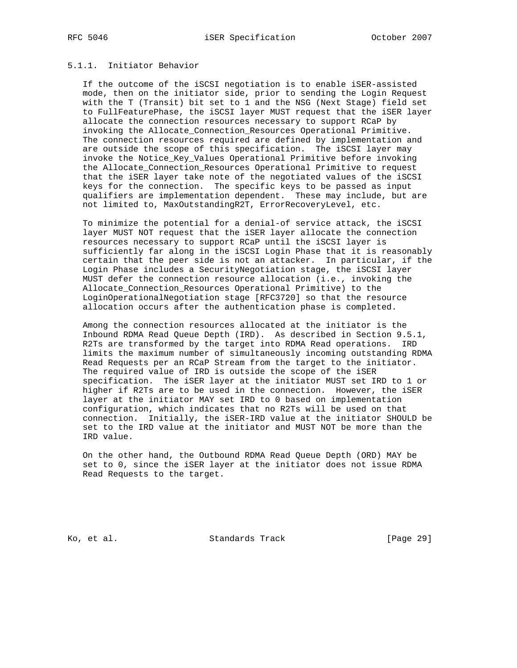## 5.1.1. Initiator Behavior

 If the outcome of the iSCSI negotiation is to enable iSER-assisted mode, then on the initiator side, prior to sending the Login Request with the T (Transit) bit set to 1 and the NSG (Next Stage) field set to FullFeaturePhase, the iSCSI layer MUST request that the iSER layer allocate the connection resources necessary to support RCaP by invoking the Allocate\_Connection\_Resources Operational Primitive. The connection resources required are defined by implementation and are outside the scope of this specification. The iSCSI layer may invoke the Notice\_Key\_Values Operational Primitive before invoking the Allocate\_Connection\_Resources Operational Primitive to request that the iSER layer take note of the negotiated values of the iSCSI keys for the connection. The specific keys to be passed as input qualifiers are implementation dependent. These may include, but are not limited to, MaxOutstandingR2T, ErrorRecoveryLevel, etc.

 To minimize the potential for a denial-of service attack, the iSCSI layer MUST NOT request that the iSER layer allocate the connection resources necessary to support RCaP until the iSCSI layer is sufficiently far along in the iSCSI Login Phase that it is reasonably certain that the peer side is not an attacker. In particular, if the Login Phase includes a SecurityNegotiation stage, the iSCSI layer MUST defer the connection resource allocation (i.e., invoking the Allocate\_Connection\_Resources Operational Primitive) to the LoginOperationalNegotiation stage [RFC3720] so that the resource allocation occurs after the authentication phase is completed.

 Among the connection resources allocated at the initiator is the Inbound RDMA Read Queue Depth (IRD). As described in Section 9.5.1, R2Ts are transformed by the target into RDMA Read operations. IRD limits the maximum number of simultaneously incoming outstanding RDMA Read Requests per an RCaP Stream from the target to the initiator. The required value of IRD is outside the scope of the iSER specification. The iSER layer at the initiator MUST set IRD to 1 or higher if R2Ts are to be used in the connection. However, the iSER layer at the initiator MAY set IRD to 0 based on implementation configuration, which indicates that no R2Ts will be used on that connection. Initially, the iSER-IRD value at the initiator SHOULD be set to the IRD value at the initiator and MUST NOT be more than the IRD value.

 On the other hand, the Outbound RDMA Read Queue Depth (ORD) MAY be set to 0, since the iSER layer at the initiator does not issue RDMA Read Requests to the target.

Ko, et al. Standards Track [Page 29]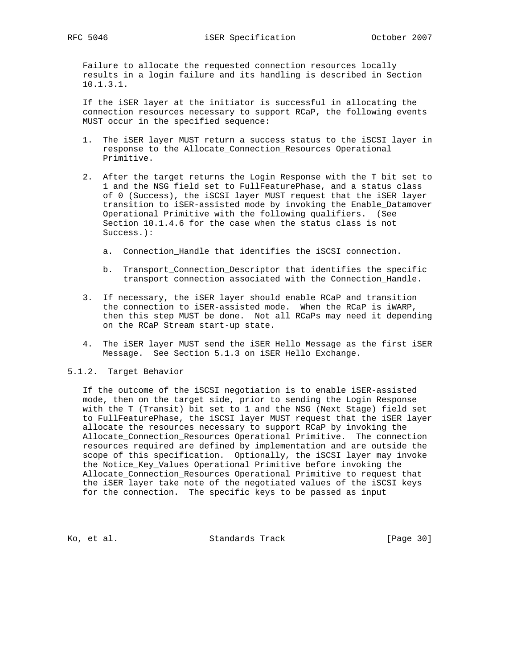Failure to allocate the requested connection resources locally results in a login failure and its handling is described in Section 10.1.3.1.

 If the iSER layer at the initiator is successful in allocating the connection resources necessary to support RCaP, the following events MUST occur in the specified sequence:

- 1. The iSER layer MUST return a success status to the iSCSI layer in response to the Allocate\_Connection\_Resources Operational Primitive.
- 2. After the target returns the Login Response with the T bit set to 1 and the NSG field set to FullFeaturePhase, and a status class of 0 (Success), the iSCSI layer MUST request that the iSER layer transition to iSER-assisted mode by invoking the Enable\_Datamover Operational Primitive with the following qualifiers. (See Section 10.1.4.6 for the case when the status class is not Success.):
	- a. Connection\_Handle that identifies the iSCSI connection.
	- b. Transport\_Connection\_Descriptor that identifies the specific transport connection associated with the Connection\_Handle.
- 3. If necessary, the iSER layer should enable RCaP and transition the connection to iSER-assisted mode. When the RCaP is iWARP, then this step MUST be done. Not all RCaPs may need it depending on the RCaP Stream start-up state.
- 4. The iSER layer MUST send the iSER Hello Message as the first iSER Message. See Section 5.1.3 on iSER Hello Exchange.

#### 5.1.2. Target Behavior

 If the outcome of the iSCSI negotiation is to enable iSER-assisted mode, then on the target side, prior to sending the Login Response with the T (Transit) bit set to 1 and the NSG (Next Stage) field set to FullFeaturePhase, the iSCSI layer MUST request that the iSER layer allocate the resources necessary to support RCaP by invoking the Allocate\_Connection\_Resources Operational Primitive. The connection resources required are defined by implementation and are outside the scope of this specification. Optionally, the iSCSI layer may invoke the Notice\_Key\_Values Operational Primitive before invoking the Allocate\_Connection\_Resources Operational Primitive to request that the iSER layer take note of the negotiated values of the iSCSI keys for the connection. The specific keys to be passed as input

Ko, et al. Standards Track [Page 30]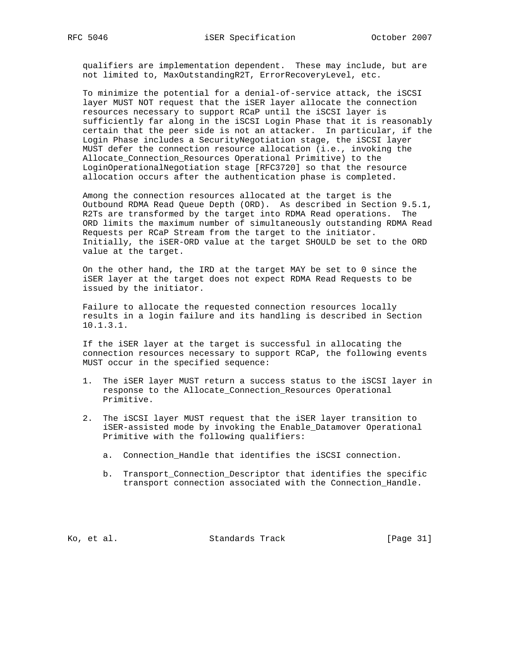qualifiers are implementation dependent. These may include, but are not limited to, MaxOutstandingR2T, ErrorRecoveryLevel, etc.

 To minimize the potential for a denial-of-service attack, the iSCSI layer MUST NOT request that the iSER layer allocate the connection resources necessary to support RCaP until the iSCSI layer is sufficiently far along in the iSCSI Login Phase that it is reasonably certain that the peer side is not an attacker. In particular, if the Login Phase includes a SecurityNegotiation stage, the iSCSI layer MUST defer the connection resource allocation (i.e., invoking the Allocate\_Connection\_Resources Operational Primitive) to the LoginOperationalNegotiation stage [RFC3720] so that the resource allocation occurs after the authentication phase is completed.

 Among the connection resources allocated at the target is the Outbound RDMA Read Queue Depth (ORD). As described in Section 9.5.1, R2Ts are transformed by the target into RDMA Read operations. The ORD limits the maximum number of simultaneously outstanding RDMA Read Requests per RCaP Stream from the target to the initiator. Initially, the iSER-ORD value at the target SHOULD be set to the ORD value at the target.

 On the other hand, the IRD at the target MAY be set to 0 since the iSER layer at the target does not expect RDMA Read Requests to be issued by the initiator.

 Failure to allocate the requested connection resources locally results in a login failure and its handling is described in Section 10.1.3.1.

 If the iSER layer at the target is successful in allocating the connection resources necessary to support RCaP, the following events MUST occur in the specified sequence:

- 1. The iSER layer MUST return a success status to the iSCSI layer in response to the Allocate\_Connection\_Resources Operational Primitive.
- 2. The iSCSI layer MUST request that the iSER layer transition to iSER-assisted mode by invoking the Enable\_Datamover Operational Primitive with the following qualifiers:
	- a. Connection\_Handle that identifies the iSCSI connection.
	- b. Transport\_Connection\_Descriptor that identifies the specific transport connection associated with the Connection\_Handle.

Ko, et al. Standards Track [Page 31]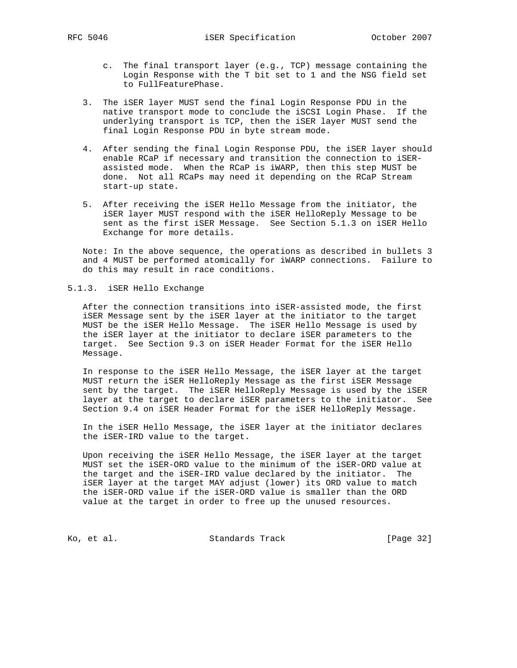- c. The final transport layer (e.g., TCP) message containing the Login Response with the T bit set to 1 and the NSG field set to FullFeaturePhase.
- 3. The iSER layer MUST send the final Login Response PDU in the native transport mode to conclude the iSCSI Login Phase. If the underlying transport is TCP, then the iSER layer MUST send the final Login Response PDU in byte stream mode.
- 4. After sending the final Login Response PDU, the iSER layer should enable RCaP if necessary and transition the connection to iSER assisted mode. When the RCaP is iWARP, then this step MUST be done. Not all RCaPs may need it depending on the RCaP Stream start-up state.
- 5. After receiving the iSER Hello Message from the initiator, the iSER layer MUST respond with the iSER HelloReply Message to be sent as the first iSER Message. See Section 5.1.3 on iSER Hello Exchange for more details.

 Note: In the above sequence, the operations as described in bullets 3 and 4 MUST be performed atomically for iWARP connections. Failure to do this may result in race conditions.

5.1.3. iSER Hello Exchange

 After the connection transitions into iSER-assisted mode, the first iSER Message sent by the iSER layer at the initiator to the target MUST be the iSER Hello Message. The iSER Hello Message is used by the iSER layer at the initiator to declare iSER parameters to the target. See Section 9.3 on iSER Header Format for the iSER Hello Message.

 In response to the iSER Hello Message, the iSER layer at the target MUST return the iSER HelloReply Message as the first iSER Message sent by the target. The iSER HelloReply Message is used by the iSER layer at the target to declare iSER parameters to the initiator. See Section 9.4 on iSER Header Format for the iSER HelloReply Message.

 In the iSER Hello Message, the iSER layer at the initiator declares the iSER-IRD value to the target.

 Upon receiving the iSER Hello Message, the iSER layer at the target MUST set the iSER-ORD value to the minimum of the iSER-ORD value at the target and the iSER-IRD value declared by the initiator. The iSER layer at the target MAY adjust (lower) its ORD value to match the iSER-ORD value if the iSER-ORD value is smaller than the ORD value at the target in order to free up the unused resources.

Ko, et al. Standards Track [Page 32]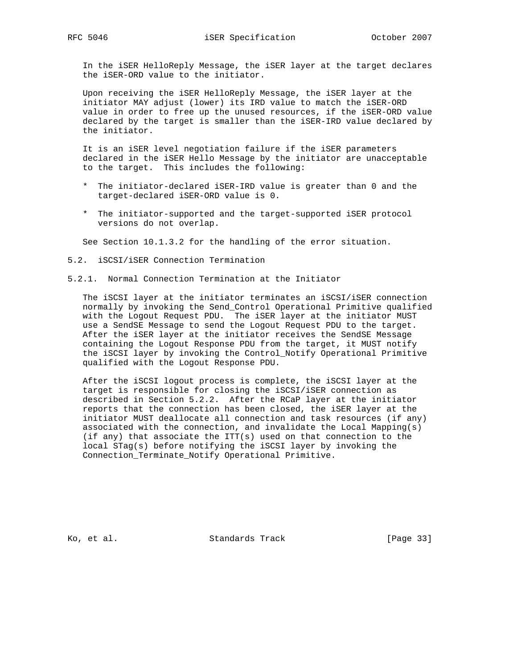In the iSER HelloReply Message, the iSER layer at the target declares the iSER-ORD value to the initiator.

 Upon receiving the iSER HelloReply Message, the iSER layer at the initiator MAY adjust (lower) its IRD value to match the iSER-ORD value in order to free up the unused resources, if the iSER-ORD value declared by the target is smaller than the iSER-IRD value declared by the initiator.

 It is an iSER level negotiation failure if the iSER parameters declared in the iSER Hello Message by the initiator are unacceptable to the target. This includes the following:

- \* The initiator-declared iSER-IRD value is greater than 0 and the target-declared iSER-ORD value is 0.
- \* The initiator-supported and the target-supported iSER protocol versions do not overlap.

See Section 10.1.3.2 for the handling of the error situation.

- 5.2. iSCSI/iSER Connection Termination
- 5.2.1. Normal Connection Termination at the Initiator

 The iSCSI layer at the initiator terminates an iSCSI/iSER connection normally by invoking the Send\_Control Operational Primitive qualified with the Logout Request PDU. The iSER layer at the initiator MUST use a SendSE Message to send the Logout Request PDU to the target. After the iSER layer at the initiator receives the SendSE Message containing the Logout Response PDU from the target, it MUST notify the iSCSI layer by invoking the Control\_Notify Operational Primitive qualified with the Logout Response PDU.

 After the iSCSI logout process is complete, the iSCSI layer at the target is responsible for closing the iSCSI/iSER connection as described in Section 5.2.2. After the RCaP layer at the initiator reports that the connection has been closed, the iSER layer at the initiator MUST deallocate all connection and task resources (if any) associated with the connection, and invalidate the Local Mapping(s) (if any) that associate the ITT(s) used on that connection to the local STag(s) before notifying the iSCSI layer by invoking the Connection\_Terminate\_Notify Operational Primitive.

Ko, et al. Standards Track [Page 33]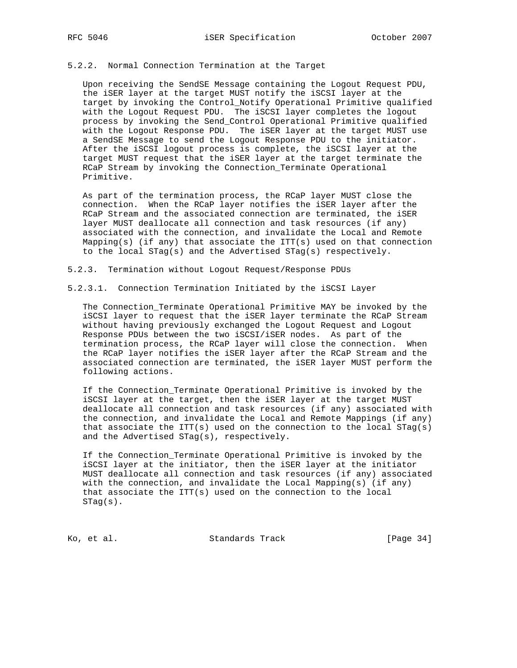#### 5.2.2. Normal Connection Termination at the Target

 Upon receiving the SendSE Message containing the Logout Request PDU, the iSER layer at the target MUST notify the iSCSI layer at the target by invoking the Control\_Notify Operational Primitive qualified with the Logout Request PDU. The iSCSI layer completes the logout process by invoking the Send\_Control Operational Primitive qualified with the Logout Response PDU. The iSER layer at the target MUST use a SendSE Message to send the Logout Response PDU to the initiator. After the iSCSI logout process is complete, the iSCSI layer at the target MUST request that the iSER layer at the target terminate the RCaP Stream by invoking the Connection\_Terminate Operational Primitive.

 As part of the termination process, the RCaP layer MUST close the connection. When the RCaP layer notifies the iSER layer after the RCaP Stream and the associated connection are terminated, the iSER layer MUST deallocate all connection and task resources (if any) associated with the connection, and invalidate the Local and Remote Mapping(s) (if any) that associate the  $ITT(s)$  used on that connection to the local STag(s) and the Advertised STag(s) respectively.

5.2.3. Termination without Logout Request/Response PDUs

5.2.3.1. Connection Termination Initiated by the iSCSI Layer

 The Connection\_Terminate Operational Primitive MAY be invoked by the iSCSI layer to request that the iSER layer terminate the RCaP Stream without having previously exchanged the Logout Request and Logout Response PDUs between the two iSCSI/iSER nodes. As part of the termination process, the RCaP layer will close the connection. When the RCaP layer notifies the iSER layer after the RCaP Stream and the associated connection are terminated, the iSER layer MUST perform the following actions.

 If the Connection\_Terminate Operational Primitive is invoked by the iSCSI layer at the target, then the iSER layer at the target MUST deallocate all connection and task resources (if any) associated with the connection, and invalidate the Local and Remote Mappings (if any) that associate the ITT(s) used on the connection to the local  $STag(s)$ and the Advertised STag(s), respectively.

 If the Connection\_Terminate Operational Primitive is invoked by the iSCSI layer at the initiator, then the iSER layer at the initiator MUST deallocate all connection and task resources (if any) associated with the connection, and invalidate the Local Mapping(s) (if any) that associate the  $IT(S)$  used on the connection to the local STag(s).

Ko, et al. Standards Track [Page 34]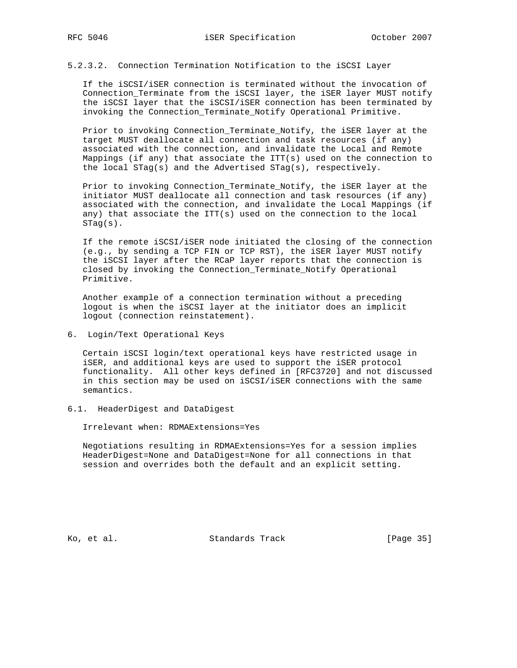# 5.2.3.2. Connection Termination Notification to the iSCSI Layer

 If the iSCSI/iSER connection is terminated without the invocation of Connection\_Terminate from the iSCSI layer, the iSER layer MUST notify the iSCSI layer that the iSCSI/iSER connection has been terminated by invoking the Connection\_Terminate\_Notify Operational Primitive.

 Prior to invoking Connection\_Terminate\_Notify, the iSER layer at the target MUST deallocate all connection and task resources (if any) associated with the connection, and invalidate the Local and Remote Mappings (if any) that associate the  $ITT(s)$  used on the connection to the local STag(s) and the Advertised STag(s), respectively.

 Prior to invoking Connection\_Terminate\_Notify, the iSER layer at the initiator MUST deallocate all connection and task resources (if any) associated with the connection, and invalidate the Local Mappings (if any) that associate the ITT(s) used on the connection to the local STag(s).

 If the remote iSCSI/iSER node initiated the closing of the connection (e.g., by sending a TCP FIN or TCP RST), the iSER layer MUST notify the iSCSI layer after the RCaP layer reports that the connection is closed by invoking the Connection\_Terminate\_Notify Operational Primitive.

 Another example of a connection termination without a preceding logout is when the iSCSI layer at the initiator does an implicit logout (connection reinstatement).

6. Login/Text Operational Keys

 Certain iSCSI login/text operational keys have restricted usage in iSER, and additional keys are used to support the iSER protocol functionality. All other keys defined in [RFC3720] and not discussed in this section may be used on iSCSI/iSER connections with the same semantics.

6.1. HeaderDigest and DataDigest

Irrelevant when: RDMAExtensions=Yes

 Negotiations resulting in RDMAExtensions=Yes for a session implies HeaderDigest=None and DataDigest=None for all connections in that session and overrides both the default and an explicit setting.

Ko, et al. Standards Track [Page 35]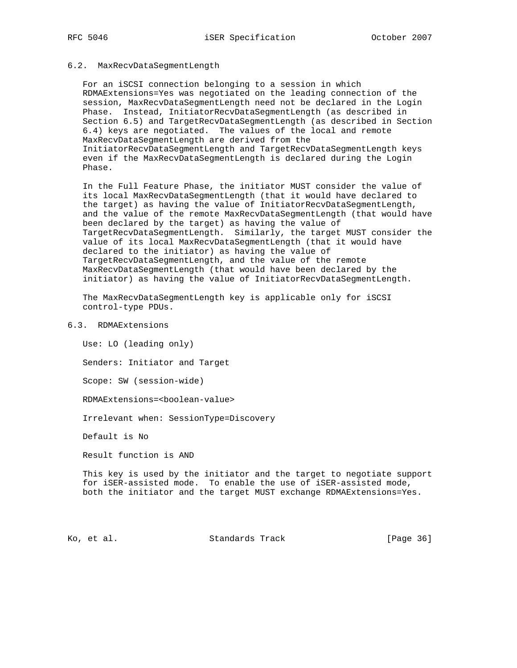#### 6.2. MaxRecvDataSegmentLength

 For an iSCSI connection belonging to a session in which RDMAExtensions=Yes was negotiated on the leading connection of the session, MaxRecvDataSegmentLength need not be declared in the Login Phase. Instead, InitiatorRecvDataSegmentLength (as described in Section 6.5) and TargetRecvDataSegmentLength (as described in Section 6.4) keys are negotiated. The values of the local and remote MaxRecvDataSegmentLength are derived from the InitiatorRecvDataSegmentLength and TargetRecvDataSegmentLength keys even if the MaxRecvDataSegmentLength is declared during the Login Phase.

 In the Full Feature Phase, the initiator MUST consider the value of its local MaxRecvDataSegmentLength (that it would have declared to the target) as having the value of InitiatorRecvDataSegmentLength, and the value of the remote MaxRecvDataSegmentLength (that would have been declared by the target) as having the value of TargetRecvDataSegmentLength. Similarly, the target MUST consider the value of its local MaxRecvDataSegmentLength (that it would have declared to the initiator) as having the value of TargetRecvDataSegmentLength, and the value of the remote MaxRecvDataSegmentLength (that would have been declared by the initiator) as having the value of InitiatorRecvDataSegmentLength.

 The MaxRecvDataSegmentLength key is applicable only for iSCSI control-type PDUs.

6.3. RDMAExtensions

Use: LO (leading only)

Senders: Initiator and Target

Scope: SW (session-wide)

RDMAExtensions=<boolean-value>

Irrelevant when: SessionType=Discovery

Default is No

Result function is AND

 This key is used by the initiator and the target to negotiate support for iSER-assisted mode. To enable the use of iSER-assisted mode, both the initiator and the target MUST exchange RDMAExtensions=Yes.

Ko, et al. Standards Track [Page 36]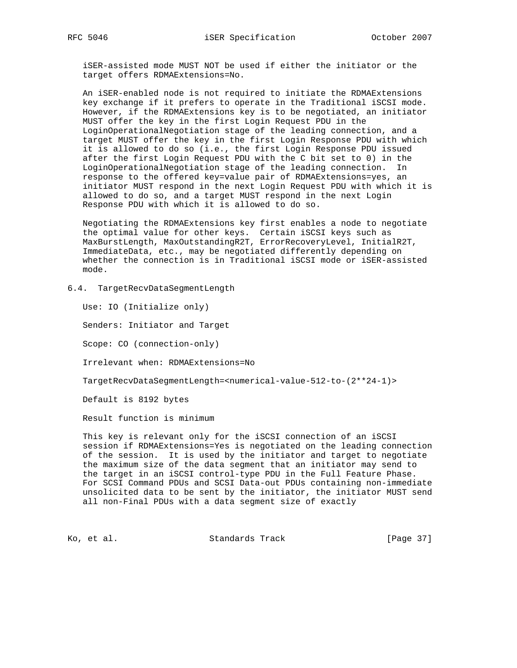iSER-assisted mode MUST NOT be used if either the initiator or the target offers RDMAExtensions=No.

 An iSER-enabled node is not required to initiate the RDMAExtensions key exchange if it prefers to operate in the Traditional iSCSI mode. However, if the RDMAExtensions key is to be negotiated, an initiator MUST offer the key in the first Login Request PDU in the LoginOperationalNegotiation stage of the leading connection, and a target MUST offer the key in the first Login Response PDU with which it is allowed to do so (i.e., the first Login Response PDU issued after the first Login Request PDU with the C bit set to 0) in the LoginOperationalNegotiation stage of the leading connection. In response to the offered key=value pair of RDMAExtensions=yes, an initiator MUST respond in the next Login Request PDU with which it is allowed to do so, and a target MUST respond in the next Login Response PDU with which it is allowed to do so.

 Negotiating the RDMAExtensions key first enables a node to negotiate the optimal value for other keys. Certain iSCSI keys such as MaxBurstLength, MaxOutstandingR2T, ErrorRecoveryLevel, InitialR2T, ImmediateData, etc., may be negotiated differently depending on whether the connection is in Traditional iSCSI mode or iSER-assisted mode.

6.4. TargetRecvDataSegmentLength

Use: IO (Initialize only)

Senders: Initiator and Target

Scope: CO (connection-only)

Irrelevant when: RDMAExtensions=No

TargetRecvDataSegmentLength=<numerical-value-512-to-(2\*\*24-1)>

Default is 8192 bytes

Result function is minimum

 This key is relevant only for the iSCSI connection of an iSCSI session if RDMAExtensions=Yes is negotiated on the leading connection of the session. It is used by the initiator and target to negotiate the maximum size of the data segment that an initiator may send to the target in an iSCSI control-type PDU in the Full Feature Phase. For SCSI Command PDUs and SCSI Data-out PDUs containing non-immediate unsolicited data to be sent by the initiator, the initiator MUST send all non-Final PDUs with a data segment size of exactly

Ko, et al. Standards Track [Page 37]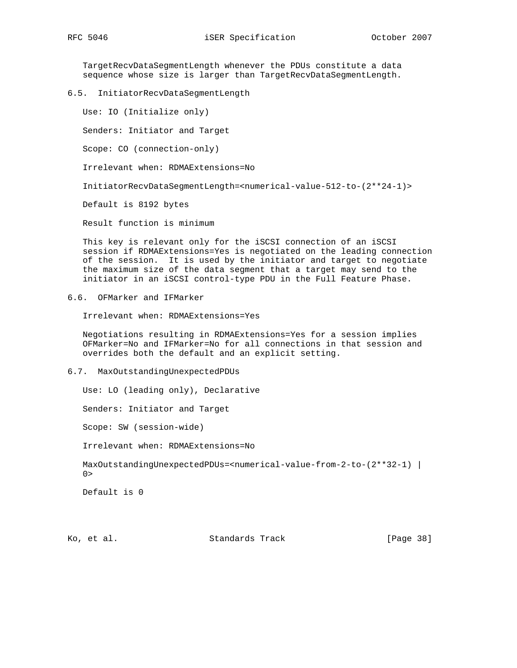TargetRecvDataSegmentLength whenever the PDUs constitute a data sequence whose size is larger than TargetRecvDataSegmentLength.

6.5. InitiatorRecvDataSegmentLength

Use: IO (Initialize only)

Senders: Initiator and Target

Scope: CO (connection-only)

Irrelevant when: RDMAExtensions=No

InitiatorRecvDataSegmentLength=<numerical-value-512-to-(2\*\*24-1)>

Default is 8192 bytes

Result function is minimum

 This key is relevant only for the iSCSI connection of an iSCSI session if RDMAExtensions=Yes is negotiated on the leading connection of the session. It is used by the initiator and target to negotiate the maximum size of the data segment that a target may send to the initiator in an iSCSI control-type PDU in the Full Feature Phase.

6.6. OFMarker and IFMarker

Irrelevant when: RDMAExtensions=Yes

 Negotiations resulting in RDMAExtensions=Yes for a session implies OFMarker=No and IFMarker=No for all connections in that session and overrides both the default and an explicit setting.

#### 6.7. MaxOutstandingUnexpectedPDUs

Use: LO (leading only), Declarative

Senders: Initiator and Target

Scope: SW (session-wide)

Irrelevant when: RDMAExtensions=No

MaxOutstandingUnexpectedPDUs=<numerical-value-from-2-to-(2\*\*32-1) |  $0>$ 

Default is 0

Ko, et al. Standards Track [Page 38]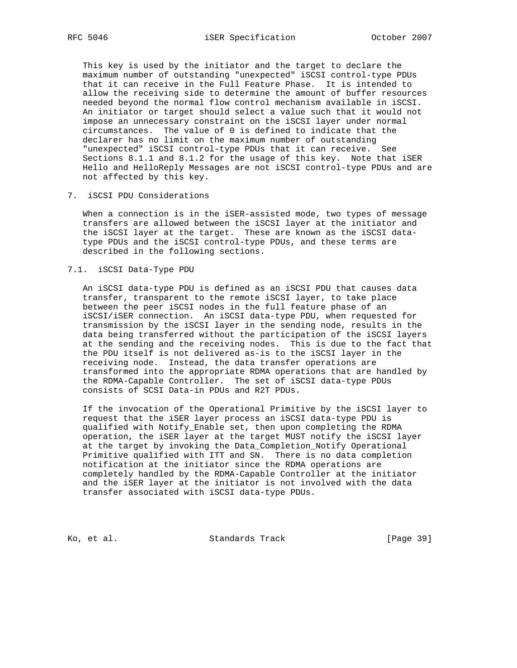This key is used by the initiator and the target to declare the maximum number of outstanding "unexpected" iSCSI control-type PDUs that it can receive in the Full Feature Phase. It is intended to allow the receiving side to determine the amount of buffer resources needed beyond the normal flow control mechanism available in iSCSI. An initiator or target should select a value such that it would not impose an unnecessary constraint on the iSCSI layer under normal circumstances. The value of 0 is defined to indicate that the declarer has no limit on the maximum number of outstanding "unexpected" iSCSI control-type PDUs that it can receive. See Sections 8.1.1 and 8.1.2 for the usage of this key. Note that iSER Hello and HelloReply Messages are not iSCSI control-type PDUs and are not affected by this key.

#### 7. iSCSI PDU Considerations

 When a connection is in the iSER-assisted mode, two types of message transfers are allowed between the iSCSI layer at the initiator and the iSCSI layer at the target. These are known as the iSCSI data type PDUs and the iSCSI control-type PDUs, and these terms are described in the following sections.

#### 7.1. iSCSI Data-Type PDU

 An iSCSI data-type PDU is defined as an iSCSI PDU that causes data transfer, transparent to the remote iSCSI layer, to take place between the peer iSCSI nodes in the full feature phase of an iSCSI/iSER connection. An iSCSI data-type PDU, when requested for transmission by the iSCSI layer in the sending node, results in the data being transferred without the participation of the iSCSI layers at the sending and the receiving nodes. This is due to the fact that the PDU itself is not delivered as-is to the iSCSI layer in the receiving node. Instead, the data transfer operations are transformed into the appropriate RDMA operations that are handled by the RDMA-Capable Controller. The set of iSCSI data-type PDUs consists of SCSI Data-in PDUs and R2T PDUs.

 If the invocation of the Operational Primitive by the iSCSI layer to request that the iSER layer process an iSCSI data-type PDU is qualified with Notify\_Enable set, then upon completing the RDMA operation, the iSER layer at the target MUST notify the iSCSI layer at the target by invoking the Data\_Completion\_Notify Operational Primitive qualified with ITT and SN. There is no data completion notification at the initiator since the RDMA operations are completely handled by the RDMA-Capable Controller at the initiator and the iSER layer at the initiator is not involved with the data transfer associated with iSCSI data-type PDUs.

Ko, et al. Standards Track [Page 39]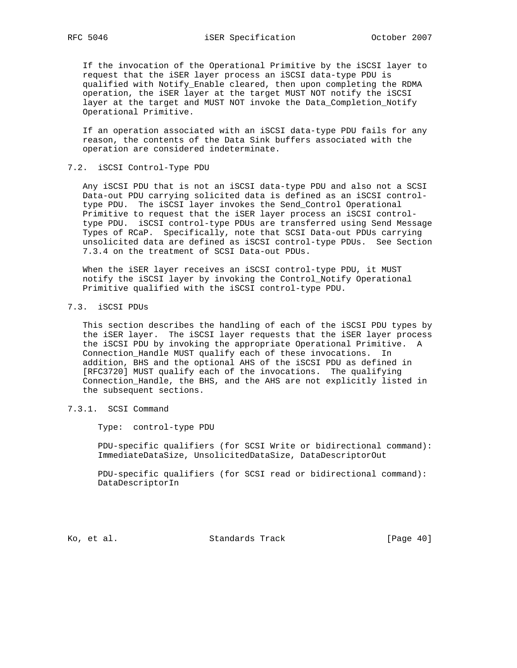If the invocation of the Operational Primitive by the iSCSI layer to request that the iSER layer process an iSCSI data-type PDU is qualified with Notify\_Enable cleared, then upon completing the RDMA operation, the iSER layer at the target MUST NOT notify the iSCSI layer at the target and MUST NOT invoke the Data\_Completion\_Notify Operational Primitive.

 If an operation associated with an iSCSI data-type PDU fails for any reason, the contents of the Data Sink buffers associated with the operation are considered indeterminate.

#### 7.2. iSCSI Control-Type PDU

 Any iSCSI PDU that is not an iSCSI data-type PDU and also not a SCSI Data-out PDU carrying solicited data is defined as an iSCSI control type PDU. The iSCSI layer invokes the Send\_Control Operational Primitive to request that the iSER layer process an iSCSI control type PDU. iSCSI control-type PDUs are transferred using Send Message Types of RCaP. Specifically, note that SCSI Data-out PDUs carrying unsolicited data are defined as iSCSI control-type PDUs. See Section 7.3.4 on the treatment of SCSI Data-out PDUs.

When the iSER layer receives an iSCSI control-type PDU, it MUST notify the iSCSI layer by invoking the Control\_Notify Operational Primitive qualified with the iSCSI control-type PDU.

# 7.3. iSCSI PDUs

 This section describes the handling of each of the iSCSI PDU types by the iSER layer. The iSCSI layer requests that the iSER layer process the iSCSI PDU by invoking the appropriate Operational Primitive. A Connection\_Handle MUST qualify each of these invocations. In addition, BHS and the optional AHS of the iSCSI PDU as defined in [RFC3720] MUST qualify each of the invocations. The qualifying Connection\_Handle, the BHS, and the AHS are not explicitly listed in the subsequent sections.

## 7.3.1. SCSI Command

Type: control-type PDU

 PDU-specific qualifiers (for SCSI Write or bidirectional command): ImmediateDataSize, UnsolicitedDataSize, DataDescriptorOut

 PDU-specific qualifiers (for SCSI read or bidirectional command): DataDescriptorIn

Ko, et al. Standards Track [Page 40]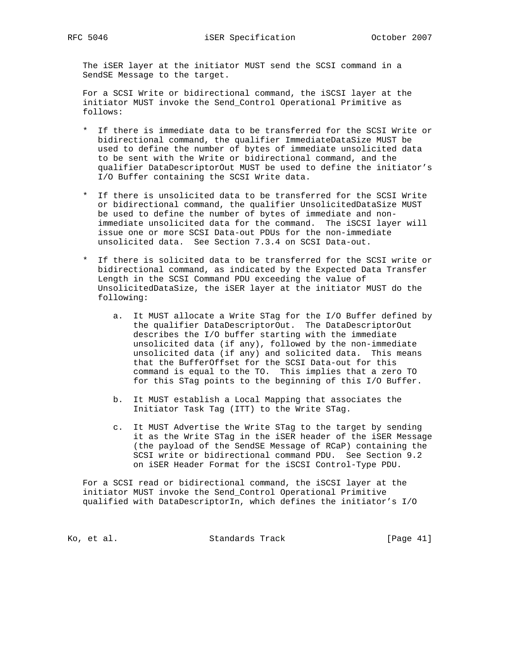The iSER layer at the initiator MUST send the SCSI command in a SendSE Message to the target.

 For a SCSI Write or bidirectional command, the iSCSI layer at the initiator MUST invoke the Send\_Control Operational Primitive as follows:

- \* If there is immediate data to be transferred for the SCSI Write or bidirectional command, the qualifier ImmediateDataSize MUST be used to define the number of bytes of immediate unsolicited data to be sent with the Write or bidirectional command, and the qualifier DataDescriptorOut MUST be used to define the initiator's I/O Buffer containing the SCSI Write data.
- \* If there is unsolicited data to be transferred for the SCSI Write or bidirectional command, the qualifier UnsolicitedDataSize MUST be used to define the number of bytes of immediate and non immediate unsolicited data for the command. The iSCSI layer will issue one or more SCSI Data-out PDUs for the non-immediate unsolicited data. See Section 7.3.4 on SCSI Data-out.
- \* If there is solicited data to be transferred for the SCSI write or bidirectional command, as indicated by the Expected Data Transfer Length in the SCSI Command PDU exceeding the value of UnsolicitedDataSize, the iSER layer at the initiator MUST do the following:
- a. It MUST allocate a Write STag for the I/O Buffer defined by the qualifier DataDescriptorOut. The DataDescriptorOut describes the I/O buffer starting with the immediate unsolicited data (if any), followed by the non-immediate unsolicited data (if any) and solicited data. This means that the BufferOffset for the SCSI Data-out for this command is equal to the TO. This implies that a zero TO for this STag points to the beginning of this I/O Buffer.
	- b. It MUST establish a Local Mapping that associates the Initiator Task Tag (ITT) to the Write STag.
	- c. It MUST Advertise the Write STag to the target by sending it as the Write STag in the iSER header of the iSER Message (the payload of the SendSE Message of RCaP) containing the SCSI write or bidirectional command PDU. See Section 9.2 on iSER Header Format for the iSCSI Control-Type PDU.

 For a SCSI read or bidirectional command, the iSCSI layer at the initiator MUST invoke the Send\_Control Operational Primitive qualified with DataDescriptorIn, which defines the initiator's I/O

Ko, et al. Standards Track [Page 41]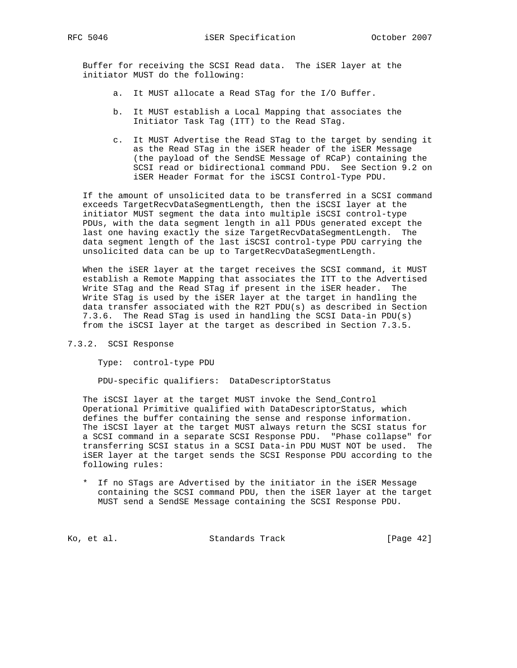Buffer for receiving the SCSI Read data. The iSER layer at the initiator MUST do the following:

- a. It MUST allocate a Read STag for the I/O Buffer.
- b. It MUST establish a Local Mapping that associates the Initiator Task Tag (ITT) to the Read STag.
- c. It MUST Advertise the Read STag to the target by sending it as the Read STag in the iSER header of the iSER Message (the payload of the SendSE Message of RCaP) containing the SCSI read or bidirectional command PDU. See Section 9.2 on iSER Header Format for the iSCSI Control-Type PDU.

 If the amount of unsolicited data to be transferred in a SCSI command exceeds TargetRecvDataSegmentLength, then the iSCSI layer at the initiator MUST segment the data into multiple iSCSI control-type PDUs, with the data segment length in all PDUs generated except the last one having exactly the size TargetRecvDataSegmentLength. The data segment length of the last iSCSI control-type PDU carrying the unsolicited data can be up to TargetRecvDataSegmentLength.

 When the iSER layer at the target receives the SCSI command, it MUST establish a Remote Mapping that associates the ITT to the Advertised Write STag and the Read STag if present in the iSER header. The Write STag is used by the iSER layer at the target in handling the data transfer associated with the R2T PDU(s) as described in Section 7.3.6. The Read STag is used in handling the SCSI Data-in PDU(s) from the iSCSI layer at the target as described in Section 7.3.5.

7.3.2. SCSI Response

Type: control-type PDU

PDU-specific qualifiers: DataDescriptorStatus

 The iSCSI layer at the target MUST invoke the Send\_Control Operational Primitive qualified with DataDescriptorStatus, which defines the buffer containing the sense and response information. The iSCSI layer at the target MUST always return the SCSI status for a SCSI command in a separate SCSI Response PDU. "Phase collapse" for transferring SCSI status in a SCSI Data-in PDU MUST NOT be used. The iSER layer at the target sends the SCSI Response PDU according to the following rules:

 \* If no STags are Advertised by the initiator in the iSER Message containing the SCSI command PDU, then the iSER layer at the target MUST send a SendSE Message containing the SCSI Response PDU.

Ko, et al. Standards Track [Page 42]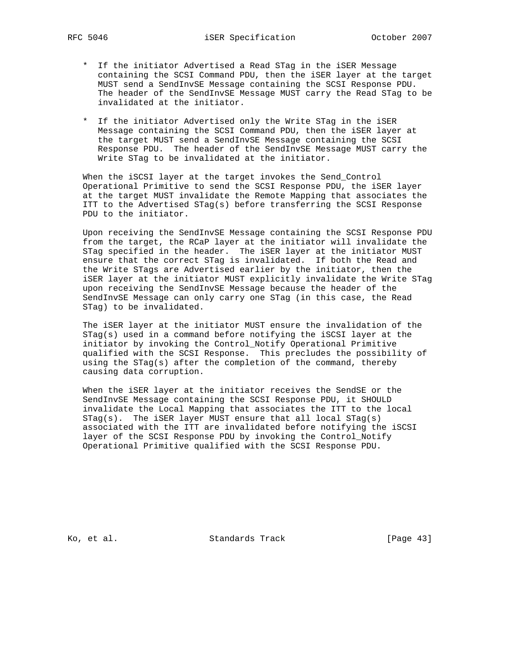- \* If the initiator Advertised a Read STag in the iSER Message containing the SCSI Command PDU, then the iSER layer at the target MUST send a SendInvSE Message containing the SCSI Response PDU. The header of the SendInvSE Message MUST carry the Read STag to be invalidated at the initiator.
- \* If the initiator Advertised only the Write STag in the iSER Message containing the SCSI Command PDU, then the iSER layer at the target MUST send a SendInvSE Message containing the SCSI Response PDU. The header of the SendInvSE Message MUST carry the Write STag to be invalidated at the initiator.

 When the iSCSI layer at the target invokes the Send\_Control Operational Primitive to send the SCSI Response PDU, the iSER layer at the target MUST invalidate the Remote Mapping that associates the ITT to the Advertised STag(s) before transferring the SCSI Response PDU to the initiator.

 Upon receiving the SendInvSE Message containing the SCSI Response PDU from the target, the RCaP layer at the initiator will invalidate the STag specified in the header. The iSER layer at the initiator MUST ensure that the correct STag is invalidated. If both the Read and the Write STags are Advertised earlier by the initiator, then the iSER layer at the initiator MUST explicitly invalidate the Write STag upon receiving the SendInvSE Message because the header of the SendInvSE Message can only carry one STag (in this case, the Read STag) to be invalidated.

 The iSER layer at the initiator MUST ensure the invalidation of the STag(s) used in a command before notifying the iSCSI layer at the initiator by invoking the Control\_Notify Operational Primitive qualified with the SCSI Response. This precludes the possibility of using the STag(s) after the completion of the command, thereby causing data corruption.

 When the iSER layer at the initiator receives the SendSE or the SendInvSE Message containing the SCSI Response PDU, it SHOULD invalidate the Local Mapping that associates the ITT to the local STag(s). The iSER layer MUST ensure that all local STag(s) associated with the ITT are invalidated before notifying the iSCSI layer of the SCSI Response PDU by invoking the Control\_Notify Operational Primitive qualified with the SCSI Response PDU.

Ko, et al. Standards Track [Page 43]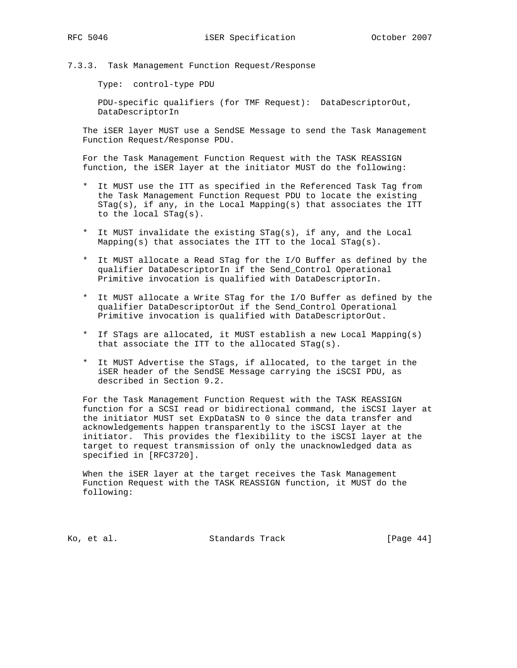7.3.3. Task Management Function Request/Response

Type: control-type PDU

 PDU-specific qualifiers (for TMF Request): DataDescriptorOut, DataDescriptorIn

 The iSER layer MUST use a SendSE Message to send the Task Management Function Request/Response PDU.

 For the Task Management Function Request with the TASK REASSIGN function, the iSER layer at the initiator MUST do the following:

- \* It MUST use the ITT as specified in the Referenced Task Tag from the Task Management Function Request PDU to locate the existing STag(s), if any, in the Local Mapping(s) that associates the ITT to the local STag(s).
- \* It MUST invalidate the existing STag(s), if any, and the Local Mapping(s) that associates the ITT to the local  $STag(s)$ .
- \* It MUST allocate a Read STag for the I/O Buffer as defined by the qualifier DataDescriptorIn if the Send\_Control Operational Primitive invocation is qualified with DataDescriptorIn.
- \* It MUST allocate a Write STag for the I/O Buffer as defined by the qualifier DataDescriptorOut if the Send\_Control Operational Primitive invocation is qualified with DataDescriptorOut.
- \* If STags are allocated, it MUST establish a new Local Mapping(s) that associate the ITT to the allocated STag(s).
- \* It MUST Advertise the STags, if allocated, to the target in the iSER header of the SendSE Message carrying the iSCSI PDU, as described in Section 9.2.

 For the Task Management Function Request with the TASK REASSIGN function for a SCSI read or bidirectional command, the iSCSI layer at the initiator MUST set ExpDataSN to 0 since the data transfer and acknowledgements happen transparently to the iSCSI layer at the initiator. This provides the flexibility to the iSCSI layer at the target to request transmission of only the unacknowledged data as specified in [RFC3720].

 When the iSER layer at the target receives the Task Management Function Request with the TASK REASSIGN function, it MUST do the following:

Ko, et al. Standards Track [Page 44]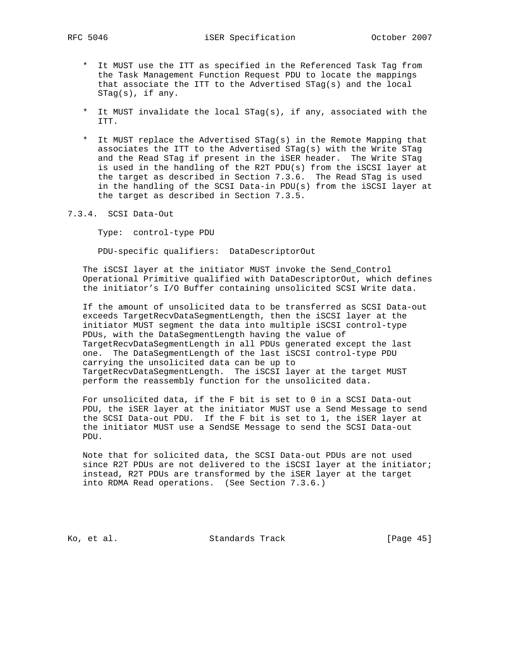- \* It MUST use the ITT as specified in the Referenced Task Tag from the Task Management Function Request PDU to locate the mappings that associate the ITT to the Advertised STag(s) and the local STag(s), if any.
- \* It MUST invalidate the local STag(s), if any, associated with the ITT.
- \* It MUST replace the Advertised STag(s) in the Remote Mapping that associates the ITT to the Advertised STag(s) with the Write STag and the Read STag if present in the iSER header. The Write STag is used in the handling of the R2T PDU(s) from the iSCSI layer at the target as described in Section 7.3.6. The Read STag is used in the handling of the SCSI Data-in PDU(s) from the iSCSI layer at the target as described in Section 7.3.5.
- 7.3.4. SCSI Data-Out

Type: control-type PDU

PDU-specific qualifiers: DataDescriptorOut

 The iSCSI layer at the initiator MUST invoke the Send\_Control Operational Primitive qualified with DataDescriptorOut, which defines the initiator's I/O Buffer containing unsolicited SCSI Write data.

 If the amount of unsolicited data to be transferred as SCSI Data-out exceeds TargetRecvDataSegmentLength, then the iSCSI layer at the initiator MUST segment the data into multiple iSCSI control-type PDUs, with the DataSegmentLength having the value of TargetRecvDataSegmentLength in all PDUs generated except the last one. The DataSegmentLength of the last iSCSI control-type PDU carrying the unsolicited data can be up to TargetRecvDataSegmentLength. The iSCSI layer at the target MUST perform the reassembly function for the unsolicited data.

 For unsolicited data, if the F bit is set to 0 in a SCSI Data-out PDU, the iSER layer at the initiator MUST use a Send Message to send the SCSI Data-out PDU. If the F bit is set to 1, the iSER layer at the initiator MUST use a SendSE Message to send the SCSI Data-out PDU.

 Note that for solicited data, the SCSI Data-out PDUs are not used since R2T PDUs are not delivered to the iSCSI layer at the initiator; instead, R2T PDUs are transformed by the iSER layer at the target into RDMA Read operations. (See Section 7.3.6.)

Ko, et al. Standards Track [Page 45]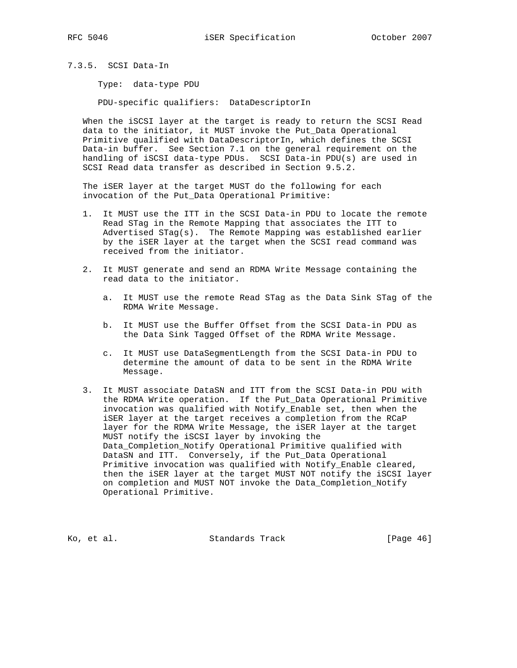7.3.5. SCSI Data-In

Type: data-type PDU

PDU-specific qualifiers: DataDescriptorIn

 When the iSCSI layer at the target is ready to return the SCSI Read data to the initiator, it MUST invoke the Put\_Data Operational Primitive qualified with DataDescriptorIn, which defines the SCSI Data-in buffer. See Section 7.1 on the general requirement on the handling of iSCSI data-type PDUs. SCSI Data-in PDU(s) are used in SCSI Read data transfer as described in Section 9.5.2.

 The iSER layer at the target MUST do the following for each invocation of the Put\_Data Operational Primitive:

- 1. It MUST use the ITT in the SCSI Data-in PDU to locate the remote Read STag in the Remote Mapping that associates the ITT to Advertised STag(s). The Remote Mapping was established earlier by the iSER layer at the target when the SCSI read command was received from the initiator.
- 2. It MUST generate and send an RDMA Write Message containing the read data to the initiator.
	- a. It MUST use the remote Read STag as the Data Sink STag of the RDMA Write Message.
	- b. It MUST use the Buffer Offset from the SCSI Data-in PDU as the Data Sink Tagged Offset of the RDMA Write Message.
	- c. It MUST use DataSegmentLength from the SCSI Data-in PDU to determine the amount of data to be sent in the RDMA Write Message.
- 3. It MUST associate DataSN and ITT from the SCSI Data-in PDU with the RDMA Write operation. If the Put\_Data Operational Primitive invocation was qualified with Notify\_Enable set, then when the iSER layer at the target receives a completion from the RCaP layer for the RDMA Write Message, the iSER layer at the target MUST notify the iSCSI layer by invoking the Data\_Completion\_Notify Operational Primitive qualified with DataSN and ITT. Conversely, if the Put\_Data Operational Primitive invocation was qualified with Notify\_Enable cleared, then the iSER layer at the target MUST NOT notify the iSCSI layer on completion and MUST NOT invoke the Data\_Completion\_Notify Operational Primitive.

Ko, et al. Standards Track [Page 46]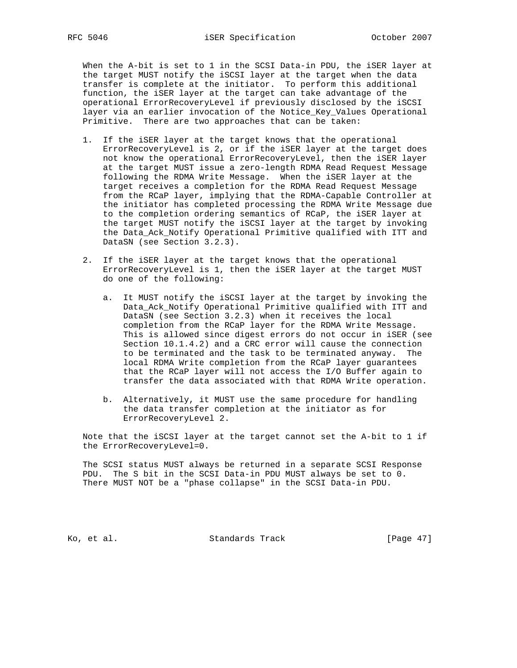When the A-bit is set to 1 in the SCSI Data-in PDU, the iSER layer at the target MUST notify the iSCSI layer at the target when the data transfer is complete at the initiator. To perform this additional function, the iSER layer at the target can take advantage of the operational ErrorRecoveryLevel if previously disclosed by the iSCSI layer via an earlier invocation of the Notice\_Key\_Values Operational Primitive. There are two approaches that can be taken:

- 1. If the iSER layer at the target knows that the operational ErrorRecoveryLevel is 2, or if the iSER layer at the target does not know the operational ErrorRecoveryLevel, then the iSER layer at the target MUST issue a zero-length RDMA Read Request Message following the RDMA Write Message. When the iSER layer at the target receives a completion for the RDMA Read Request Message from the RCaP layer, implying that the RDMA-Capable Controller at the initiator has completed processing the RDMA Write Message due to the completion ordering semantics of RCaP, the iSER layer at the target MUST notify the iSCSI layer at the target by invoking the Data\_Ack\_Notify Operational Primitive qualified with ITT and DataSN (see Section 3.2.3).
- 2. If the iSER layer at the target knows that the operational ErrorRecoveryLevel is 1, then the iSER layer at the target MUST do one of the following:
	- a. It MUST notify the iSCSI layer at the target by invoking the Data\_Ack\_Notify Operational Primitive qualified with ITT and DataSN (see Section 3.2.3) when it receives the local completion from the RCaP layer for the RDMA Write Message. This is allowed since digest errors do not occur in iSER (see Section 10.1.4.2) and a CRC error will cause the connection to be terminated and the task to be terminated anyway. The local RDMA Write completion from the RCaP layer guarantees that the RCaP layer will not access the I/O Buffer again to transfer the data associated with that RDMA Write operation.
	- b. Alternatively, it MUST use the same procedure for handling the data transfer completion at the initiator as for ErrorRecoveryLevel 2.

 Note that the iSCSI layer at the target cannot set the A-bit to 1 if the ErrorRecoveryLevel=0.

 The SCSI status MUST always be returned in a separate SCSI Response PDU. The S bit in the SCSI Data-in PDU MUST always be set to 0. There MUST NOT be a "phase collapse" in the SCSI Data-in PDU.

Ko, et al. Standards Track [Page 47]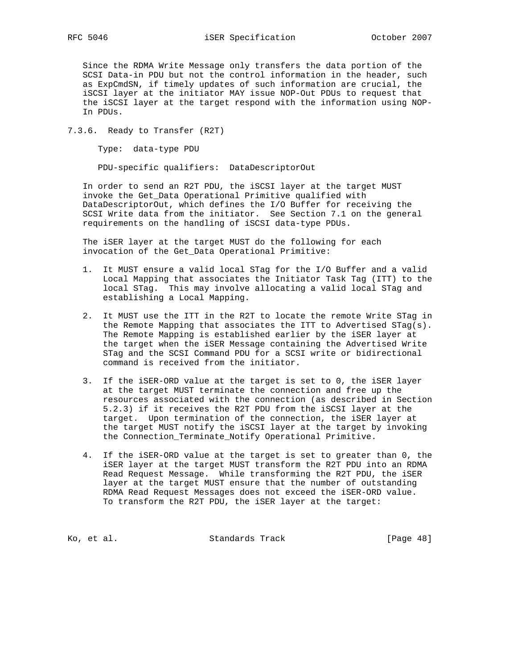Since the RDMA Write Message only transfers the data portion of the SCSI Data-in PDU but not the control information in the header, such as ExpCmdSN, if timely updates of such information are crucial, the iSCSI layer at the initiator MAY issue NOP-Out PDUs to request that the iSCSI layer at the target respond with the information using NOP- In PDUs.

7.3.6. Ready to Transfer (R2T)

Type: data-type PDU

PDU-specific qualifiers: DataDescriptorOut

 In order to send an R2T PDU, the iSCSI layer at the target MUST invoke the Get\_Data Operational Primitive qualified with DataDescriptorOut, which defines the I/O Buffer for receiving the SCSI Write data from the initiator. See Section 7.1 on the general requirements on the handling of iSCSI data-type PDUs.

 The iSER layer at the target MUST do the following for each invocation of the Get\_Data Operational Primitive:

- 1. It MUST ensure a valid local STag for the I/O Buffer and a valid Local Mapping that associates the Initiator Task Tag (ITT) to the local STag. This may involve allocating a valid local STag and establishing a Local Mapping.
- 2. It MUST use the ITT in the R2T to locate the remote Write STag in the Remote Mapping that associates the ITT to Advertised STag(s). The Remote Mapping is established earlier by the iSER layer at the target when the iSER Message containing the Advertised Write STag and the SCSI Command PDU for a SCSI write or bidirectional command is received from the initiator.
- 3. If the iSER-ORD value at the target is set to 0, the iSER layer at the target MUST terminate the connection and free up the resources associated with the connection (as described in Section 5.2.3) if it receives the R2T PDU from the iSCSI layer at the target. Upon termination of the connection, the iSER layer at the target MUST notify the iSCSI layer at the target by invoking the Connection\_Terminate\_Notify Operational Primitive.
- 4. If the iSER-ORD value at the target is set to greater than 0, the iSER layer at the target MUST transform the R2T PDU into an RDMA Read Request Message. While transforming the R2T PDU, the iSER layer at the target MUST ensure that the number of outstanding RDMA Read Request Messages does not exceed the iSER-ORD value. To transform the R2T PDU, the iSER layer at the target:

Ko, et al. Standards Track [Page 48]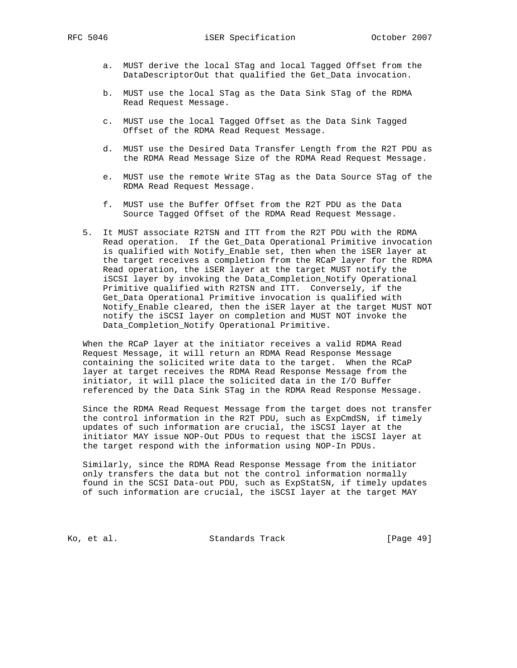- a. MUST derive the local STag and local Tagged Offset from the DataDescriptorOut that qualified the Get\_Data invocation.
- b. MUST use the local STag as the Data Sink STag of the RDMA Read Request Message.
- c. MUST use the local Tagged Offset as the Data Sink Tagged Offset of the RDMA Read Request Message.
- d. MUST use the Desired Data Transfer Length from the R2T PDU as the RDMA Read Message Size of the RDMA Read Request Message.
- e. MUST use the remote Write STag as the Data Source STag of the RDMA Read Request Message.
- f. MUST use the Buffer Offset from the R2T PDU as the Data Source Tagged Offset of the RDMA Read Request Message.
- 5. It MUST associate R2TSN and ITT from the R2T PDU with the RDMA Read operation. If the Get\_Data Operational Primitive invocation is qualified with Notify\_Enable set, then when the iSER layer at the target receives a completion from the RCaP layer for the RDMA Read operation, the iSER layer at the target MUST notify the iSCSI layer by invoking the Data\_Completion\_Notify Operational Primitive qualified with R2TSN and ITT. Conversely, if the Get\_Data Operational Primitive invocation is qualified with Notify\_Enable cleared, then the iSER layer at the target MUST NOT notify the iSCSI layer on completion and MUST NOT invoke the Data\_Completion\_Notify Operational Primitive.

 When the RCaP layer at the initiator receives a valid RDMA Read Request Message, it will return an RDMA Read Response Message containing the solicited write data to the target. When the RCaP layer at target receives the RDMA Read Response Message from the initiator, it will place the solicited data in the I/O Buffer referenced by the Data Sink STag in the RDMA Read Response Message.

 Since the RDMA Read Request Message from the target does not transfer the control information in the R2T PDU, such as ExpCmdSN, if timely updates of such information are crucial, the iSCSI layer at the initiator MAY issue NOP-Out PDUs to request that the iSCSI layer at the target respond with the information using NOP-In PDUs.

 Similarly, since the RDMA Read Response Message from the initiator only transfers the data but not the control information normally found in the SCSI Data-out PDU, such as ExpStatSN, if timely updates of such information are crucial, the iSCSI layer at the target MAY

Ko, et al. Standards Track [Page 49]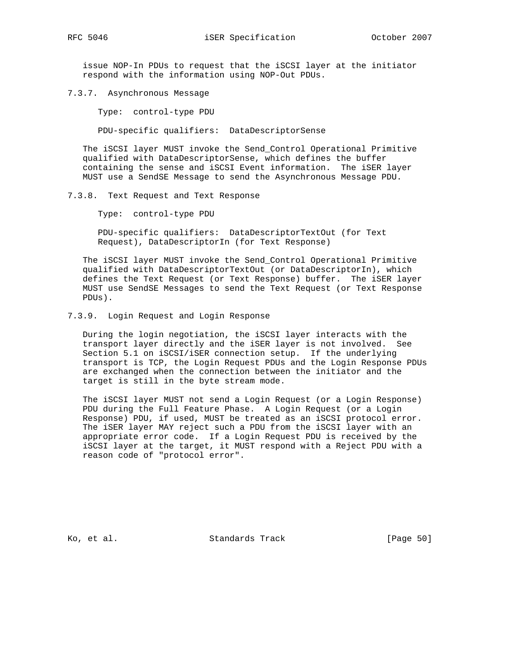issue NOP-In PDUs to request that the iSCSI layer at the initiator respond with the information using NOP-Out PDUs.

7.3.7. Asynchronous Message

Type: control-type PDU

PDU-specific qualifiers: DataDescriptorSense

 The iSCSI layer MUST invoke the Send\_Control Operational Primitive qualified with DataDescriptorSense, which defines the buffer containing the sense and iSCSI Event information. The iSER layer MUST use a SendSE Message to send the Asynchronous Message PDU.

7.3.8. Text Request and Text Response

Type: control-type PDU

 PDU-specific qualifiers: DataDescriptorTextOut (for Text Request), DataDescriptorIn (for Text Response)

 The iSCSI layer MUST invoke the Send\_Control Operational Primitive qualified with DataDescriptorTextOut (or DataDescriptorIn), which defines the Text Request (or Text Response) buffer. The iSER layer MUST use SendSE Messages to send the Text Request (or Text Response PDUs).

7.3.9. Login Request and Login Response

 During the login negotiation, the iSCSI layer interacts with the transport layer directly and the iSER layer is not involved. See Section 5.1 on iSCSI/iSER connection setup. If the underlying transport is TCP, the Login Request PDUs and the Login Response PDUs are exchanged when the connection between the initiator and the target is still in the byte stream mode.

 The iSCSI layer MUST not send a Login Request (or a Login Response) PDU during the Full Feature Phase. A Login Request (or a Login Response) PDU, if used, MUST be treated as an iSCSI protocol error. The iSER layer MAY reject such a PDU from the iSCSI layer with an appropriate error code. If a Login Request PDU is received by the iSCSI layer at the target, it MUST respond with a Reject PDU with a reason code of "protocol error".

Ko, et al. Standards Track [Page 50]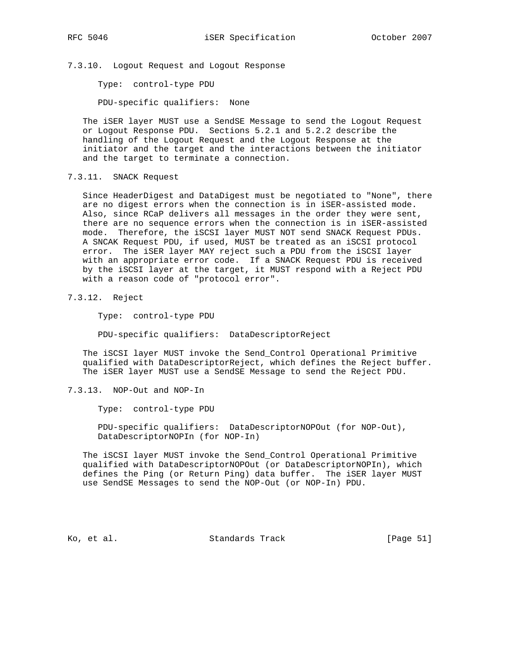7.3.10. Logout Request and Logout Response

Type: control-type PDU

PDU-specific qualifiers: None

 The iSER layer MUST use a SendSE Message to send the Logout Request or Logout Response PDU. Sections 5.2.1 and 5.2.2 describe the handling of the Logout Request and the Logout Response at the initiator and the target and the interactions between the initiator and the target to terminate a connection.

7.3.11. SNACK Request

 Since HeaderDigest and DataDigest must be negotiated to "None", there are no digest errors when the connection is in iSER-assisted mode. Also, since RCaP delivers all messages in the order they were sent, there are no sequence errors when the connection is in iSER-assisted mode. Therefore, the iSCSI layer MUST NOT send SNACK Request PDUs. A SNCAK Request PDU, if used, MUST be treated as an iSCSI protocol error. The iSER layer MAY reject such a PDU from the iSCSI layer with an appropriate error code. If a SNACK Request PDU is received by the iSCSI layer at the target, it MUST respond with a Reject PDU with a reason code of "protocol error".

7.3.12. Reject

Type: control-type PDU

PDU-specific qualifiers: DataDescriptorReject

 The iSCSI layer MUST invoke the Send\_Control Operational Primitive qualified with DataDescriptorReject, which defines the Reject buffer. The iSER layer MUST use a SendSE Message to send the Reject PDU.

7.3.13. NOP-Out and NOP-In

Type: control-type PDU

 PDU-specific qualifiers: DataDescriptorNOPOut (for NOP-Out), DataDescriptorNOPIn (for NOP-In)

 The iSCSI layer MUST invoke the Send\_Control Operational Primitive qualified with DataDescriptorNOPOut (or DataDescriptorNOPIn), which defines the Ping (or Return Ping) data buffer. The iSER layer MUST use SendSE Messages to send the NOP-Out (or NOP-In) PDU.

Ko, et al. Standards Track [Page 51]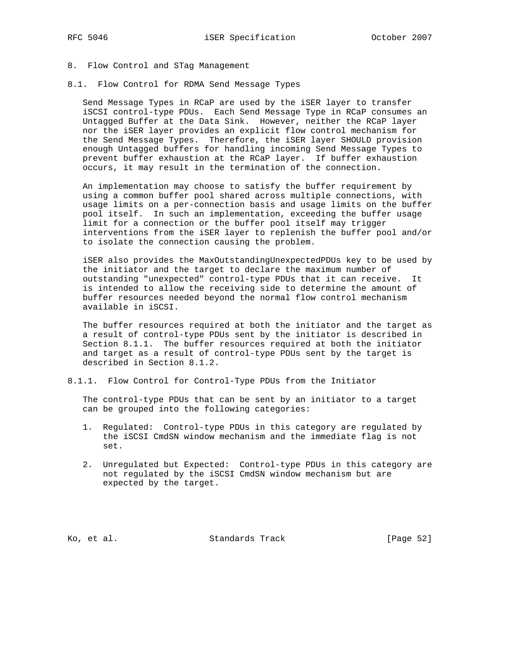#### 8. Flow Control and STag Management

8.1. Flow Control for RDMA Send Message Types

 Send Message Types in RCaP are used by the iSER layer to transfer iSCSI control-type PDUs. Each Send Message Type in RCaP consumes an Untagged Buffer at the Data Sink. However, neither the RCaP layer nor the iSER layer provides an explicit flow control mechanism for the Send Message Types. Therefore, the iSER layer SHOULD provision enough Untagged buffers for handling incoming Send Message Types to prevent buffer exhaustion at the RCaP layer. If buffer exhaustion occurs, it may result in the termination of the connection.

 An implementation may choose to satisfy the buffer requirement by using a common buffer pool shared across multiple connections, with usage limits on a per-connection basis and usage limits on the buffer pool itself. In such an implementation, exceeding the buffer usage limit for a connection or the buffer pool itself may trigger interventions from the iSER layer to replenish the buffer pool and/or to isolate the connection causing the problem.

 iSER also provides the MaxOutstandingUnexpectedPDUs key to be used by the initiator and the target to declare the maximum number of outstanding "unexpected" control-type PDUs that it can receive. It is intended to allow the receiving side to determine the amount of buffer resources needed beyond the normal flow control mechanism available in iSCSI.

 The buffer resources required at both the initiator and the target as a result of control-type PDUs sent by the initiator is described in Section 8.1.1. The buffer resources required at both the initiator and target as a result of control-type PDUs sent by the target is described in Section 8.1.2.

8.1.1. Flow Control for Control-Type PDUs from the Initiator

 The control-type PDUs that can be sent by an initiator to a target can be grouped into the following categories:

- 1. Regulated: Control-type PDUs in this category are regulated by the iSCSI CmdSN window mechanism and the immediate flag is not set.
- 2. Unregulated but Expected: Control-type PDUs in this category are not regulated by the iSCSI CmdSN window mechanism but are expected by the target.

Ko, et al. Standards Track [Page 52]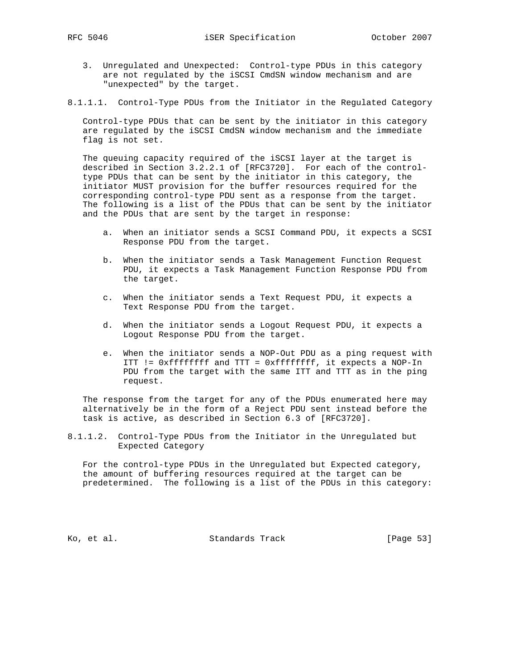- 3. Unregulated and Unexpected: Control-type PDUs in this category are not regulated by the iSCSI CmdSN window mechanism and are "unexpected" by the target.
- 8.1.1.1. Control-Type PDUs from the Initiator in the Regulated Category

 Control-type PDUs that can be sent by the initiator in this category are regulated by the iSCSI CmdSN window mechanism and the immediate flag is not set.

 The queuing capacity required of the iSCSI layer at the target is described in Section 3.2.2.1 of [RFC3720]. For each of the control type PDUs that can be sent by the initiator in this category, the initiator MUST provision for the buffer resources required for the corresponding control-type PDU sent as a response from the target. The following is a list of the PDUs that can be sent by the initiator and the PDUs that are sent by the target in response:

- a. When an initiator sends a SCSI Command PDU, it expects a SCSI Response PDU from the target.
- b. When the initiator sends a Task Management Function Request PDU, it expects a Task Management Function Response PDU from the target.
- c. When the initiator sends a Text Request PDU, it expects a Text Response PDU from the target.
- d. When the initiator sends a Logout Request PDU, it expects a Logout Response PDU from the target.
- e. When the initiator sends a NOP-Out PDU as a ping request with ITT != 0xffffffff and TTT = 0xffffffff, it expects a NOP-In PDU from the target with the same ITT and TTT as in the ping request.

 The response from the target for any of the PDUs enumerated here may alternatively be in the form of a Reject PDU sent instead before the task is active, as described in Section 6.3 of [RFC3720].

8.1.1.2. Control-Type PDUs from the Initiator in the Unregulated but Expected Category

 For the control-type PDUs in the Unregulated but Expected category, the amount of buffering resources required at the target can be predetermined. The following is a list of the PDUs in this category:

Ko, et al. Standards Track [Page 53]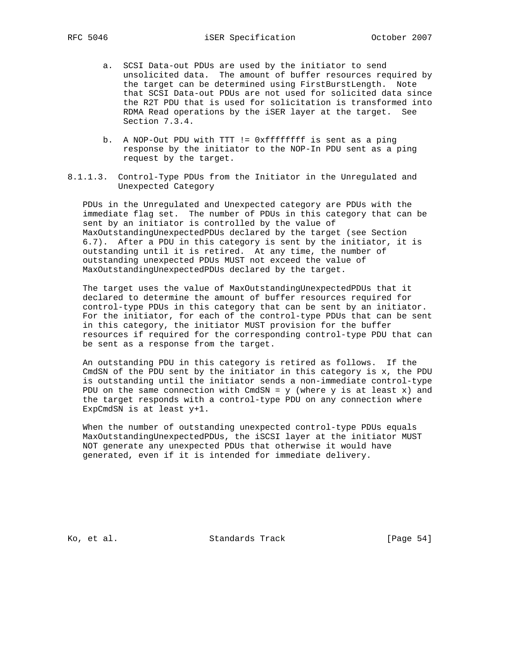- a. SCSI Data-out PDUs are used by the initiator to send unsolicited data. The amount of buffer resources required by the target can be determined using FirstBurstLength. Note that SCSI Data-out PDUs are not used for solicited data since the R2T PDU that is used for solicitation is transformed into RDMA Read operations by the iSER layer at the target. See Section 7.3.4.
- b. A NOP-Out PDU with TTT != 0xffffffff is sent as a ping response by the initiator to the NOP-In PDU sent as a ping request by the target.
- 8.1.1.3. Control-Type PDUs from the Initiator in the Unregulated and Unexpected Category

 PDUs in the Unregulated and Unexpected category are PDUs with the immediate flag set. The number of PDUs in this category that can be sent by an initiator is controlled by the value of MaxOutstandingUnexpectedPDUs declared by the target (see Section 6.7). After a PDU in this category is sent by the initiator, it is outstanding until it is retired. At any time, the number of outstanding unexpected PDUs MUST not exceed the value of MaxOutstandingUnexpectedPDUs declared by the target.

 The target uses the value of MaxOutstandingUnexpectedPDUs that it declared to determine the amount of buffer resources required for control-type PDUs in this category that can be sent by an initiator. For the initiator, for each of the control-type PDUs that can be sent in this category, the initiator MUST provision for the buffer resources if required for the corresponding control-type PDU that can be sent as a response from the target.

 An outstanding PDU in this category is retired as follows. If the CmdSN of the PDU sent by the initiator in this category is x, the PDU is outstanding until the initiator sends a non-immediate control-type PDU on the same connection with CmdSN =  $y$  (where  $y$  is at least  $x$ ) and the target responds with a control-type PDU on any connection where ExpCmdSN is at least y+1.

 When the number of outstanding unexpected control-type PDUs equals MaxOutstandingUnexpectedPDUs, the iSCSI layer at the initiator MUST NOT generate any unexpected PDUs that otherwise it would have generated, even if it is intended for immediate delivery.

Ko, et al. Standards Track [Page 54]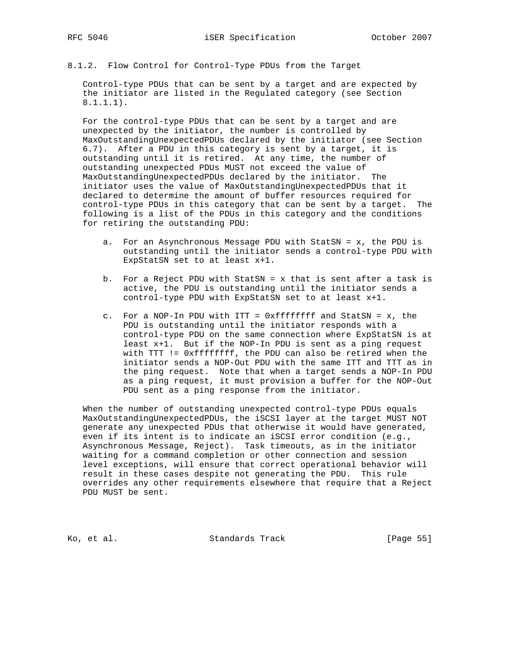8.1.2. Flow Control for Control-Type PDUs from the Target

 Control-type PDUs that can be sent by a target and are expected by the initiator are listed in the Regulated category (see Section 8.1.1.1).

 For the control-type PDUs that can be sent by a target and are unexpected by the initiator, the number is controlled by MaxOutstandingUnexpectedPDUs declared by the initiator (see Section 6.7). After a PDU in this category is sent by a target, it is outstanding until it is retired. At any time, the number of outstanding unexpected PDUs MUST not exceed the value of MaxOutstandingUnexpectedPDUs declared by the initiator. The initiator uses the value of MaxOutstandingUnexpectedPDUs that it declared to determine the amount of buffer resources required for control-type PDUs in this category that can be sent by a target. The following is a list of the PDUs in this category and the conditions for retiring the outstanding PDU:

- a. For an Asynchronous Message PDU with StatSN = x, the PDU is outstanding until the initiator sends a control-type PDU with ExpStatSN set to at least x+1.
- b. For a Reject PDU with StatSN = x that is sent after a task is active, the PDU is outstanding until the initiator sends a control-type PDU with ExpStatSN set to at least x+1.
- c. For a NOP-In PDU with ITT = 0xffffffff and StatSN = x, the PDU is outstanding until the initiator responds with a control-type PDU on the same connection where ExpStatSN is at least x+1. But if the NOP-In PDU is sent as a ping request with TTT != 0xffffffff, the PDU can also be retired when the initiator sends a NOP-Out PDU with the same ITT and TTT as in the ping request. Note that when a target sends a NOP-In PDU as a ping request, it must provision a buffer for the NOP-Out PDU sent as a ping response from the initiator.

 When the number of outstanding unexpected control-type PDUs equals MaxOutstandingUnexpectedPDUs, the iSCSI layer at the target MUST NOT generate any unexpected PDUs that otherwise it would have generated, even if its intent is to indicate an iSCSI error condition (e.g., Asynchronous Message, Reject). Task timeouts, as in the initiator waiting for a command completion or other connection and session level exceptions, will ensure that correct operational behavior will result in these cases despite not generating the PDU. This rule overrides any other requirements elsewhere that require that a Reject PDU MUST be sent.

Ko, et al. Standards Track [Page 55]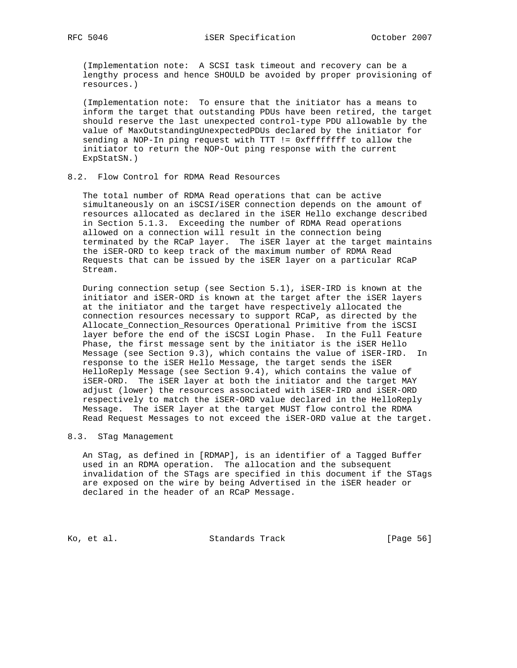(Implementation note: A SCSI task timeout and recovery can be a lengthy process and hence SHOULD be avoided by proper provisioning of resources.)

 (Implementation note: To ensure that the initiator has a means to inform the target that outstanding PDUs have been retired, the target should reserve the last unexpected control-type PDU allowable by the value of MaxOutstandingUnexpectedPDUs declared by the initiator for sending a NOP-In ping request with TTT != 0xffffffff to allow the initiator to return the NOP-Out ping response with the current ExpStatSN.)

## 8.2. Flow Control for RDMA Read Resources

 The total number of RDMA Read operations that can be active simultaneously on an iSCSI/iSER connection depends on the amount of resources allocated as declared in the iSER Hello exchange described in Section 5.1.3. Exceeding the number of RDMA Read operations allowed on a connection will result in the connection being terminated by the RCaP layer. The iSER layer at the target maintains the iSER-ORD to keep track of the maximum number of RDMA Read Requests that can be issued by the iSER layer on a particular RCaP Stream.

 During connection setup (see Section 5.1), iSER-IRD is known at the initiator and iSER-ORD is known at the target after the iSER layers at the initiator and the target have respectively allocated the connection resources necessary to support RCaP, as directed by the Allocate\_Connection\_Resources Operational Primitive from the iSCSI layer before the end of the iSCSI Login Phase. In the Full Feature Phase, the first message sent by the initiator is the iSER Hello Message (see Section 9.3), which contains the value of iSER-IRD. In response to the iSER Hello Message, the target sends the iSER HelloReply Message (see Section 9.4), which contains the value of iSER-ORD. The iSER layer at both the initiator and the target MAY adjust (lower) the resources associated with iSER-IRD and iSER-ORD respectively to match the iSER-ORD value declared in the HelloReply Message. The iSER layer at the target MUST flow control the RDMA Read Request Messages to not exceed the iSER-ORD value at the target.

#### 8.3. STag Management

 An STag, as defined in [RDMAP], is an identifier of a Tagged Buffer used in an RDMA operation. The allocation and the subsequent invalidation of the STags are specified in this document if the STags are exposed on the wire by being Advertised in the iSER header or declared in the header of an RCaP Message.

Ko, et al. Standards Track [Page 56]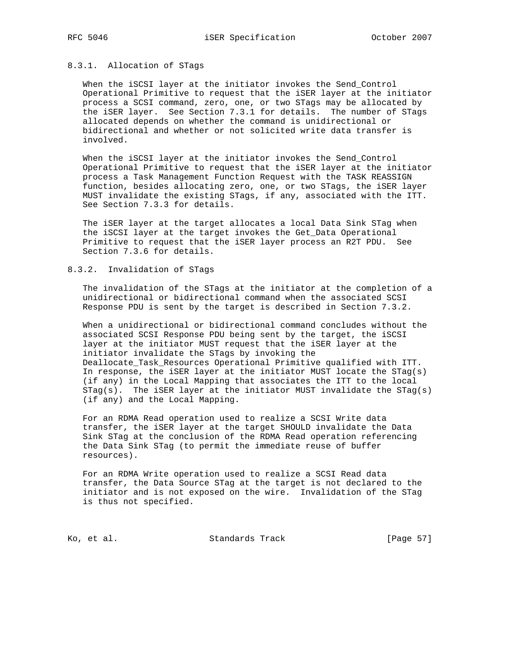### 8.3.1. Allocation of STags

 When the iSCSI layer at the initiator invokes the Send\_Control Operational Primitive to request that the iSER layer at the initiator process a SCSI command, zero, one, or two STags may be allocated by the iSER layer. See Section 7.3.1 for details. The number of STags allocated depends on whether the command is unidirectional or bidirectional and whether or not solicited write data transfer is involved.

 When the iSCSI layer at the initiator invokes the Send\_Control Operational Primitive to request that the iSER layer at the initiator process a Task Management Function Request with the TASK REASSIGN function, besides allocating zero, one, or two STags, the iSER layer MUST invalidate the existing STags, if any, associated with the ITT. See Section 7.3.3 for details.

 The iSER layer at the target allocates a local Data Sink STag when the iSCSI layer at the target invokes the Get\_Data Operational Primitive to request that the iSER layer process an R2T PDU. See Section 7.3.6 for details.

#### 8.3.2. Invalidation of STags

 The invalidation of the STags at the initiator at the completion of a unidirectional or bidirectional command when the associated SCSI Response PDU is sent by the target is described in Section 7.3.2.

 When a unidirectional or bidirectional command concludes without the associated SCSI Response PDU being sent by the target, the iSCSI layer at the initiator MUST request that the iSER layer at the initiator invalidate the STags by invoking the Deallocate\_Task\_Resources Operational Primitive qualified with ITT. In response, the iSER layer at the initiator MUST locate the STag(s) (if any) in the Local Mapping that associates the ITT to the local  $STag(s)$ . The iSER layer at the initiator MUST invalidate the  $STag(s)$ (if any) and the Local Mapping.

 For an RDMA Read operation used to realize a SCSI Write data transfer, the iSER layer at the target SHOULD invalidate the Data Sink STag at the conclusion of the RDMA Read operation referencing the Data Sink STag (to permit the immediate reuse of buffer resources).

 For an RDMA Write operation used to realize a SCSI Read data transfer, the Data Source STag at the target is not declared to the initiator and is not exposed on the wire. Invalidation of the STag is thus not specified.

Ko, et al. Standards Track [Page 57]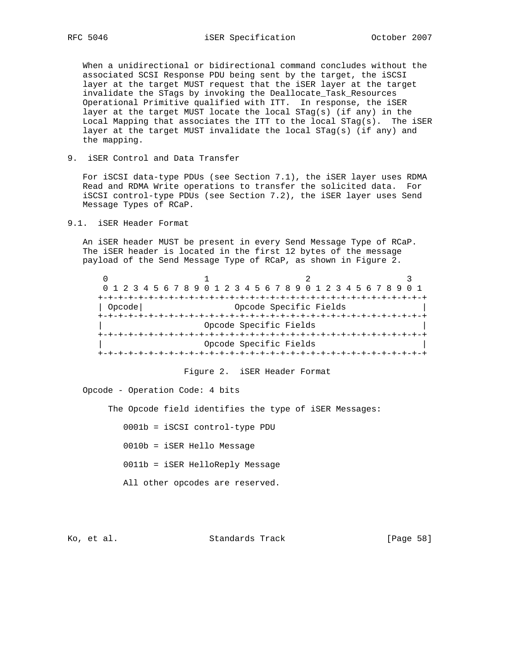When a unidirectional or bidirectional command concludes without the associated SCSI Response PDU being sent by the target, the iSCSI layer at the target MUST request that the iSER layer at the target invalidate the STags by invoking the Deallocate\_Task\_Resources Operational Primitive qualified with ITT. In response, the iSER layer at the target MUST locate the local STag(s) (if any) in the Local Mapping that associates the ITT to the local STag(s). The iSER layer at the target MUST invalidate the local STag(s) (if any) and the mapping.

9. iSER Control and Data Transfer

 For iSCSI data-type PDUs (see Section 7.1), the iSER layer uses RDMA Read and RDMA Write operations to transfer the solicited data. For iSCSI control-type PDUs (see Section 7.2), the iSER layer uses Send Message Types of RCaP.

9.1. iSER Header Format

 An iSER header MUST be present in every Send Message Type of RCaP. The iSER header is located in the first 12 bytes of the message payload of the Send Message Type of RCaP, as shown in Figure 2.

|        | 0 1 2 3 4 5 6 7 8 9 0 1 2 3 4 5 6 7 8 9 0 1 2 3 4 5 6 7 8 9 |                        |  |  |  |  |  |
|--------|-------------------------------------------------------------|------------------------|--|--|--|--|--|
|        |                                                             |                        |  |  |  |  |  |
| Opcode |                                                             | Opcode Specific Fields |  |  |  |  |  |
|        |                                                             |                        |  |  |  |  |  |
|        | Opcode Specific Fields                                      |                        |  |  |  |  |  |
|        |                                                             |                        |  |  |  |  |  |
|        | Opcode Specific Fields                                      |                        |  |  |  |  |  |
|        |                                                             |                        |  |  |  |  |  |

#### Figure 2. iSER Header Format

Opcode - Operation Code: 4 bits

The Opcode field identifies the type of iSER Messages:

0001b = iSCSI control-type PDU

0010b = iSER Hello Message

0011b = iSER HelloReply Message

All other opcodes are reserved.

Ko, et al. Standards Track [Page 58]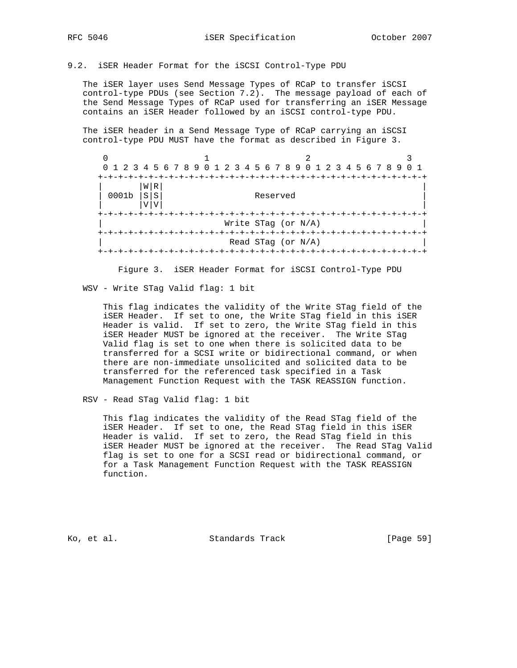#### 9.2. iSER Header Format for the iSCSI Control-Type PDU

 The iSER layer uses Send Message Types of RCaP to transfer iSCSI control-type PDUs (see Section 7.2). The message payload of each of the Send Message Types of RCaP used for transferring an iSER Message contains an iSER Header followed by an iSCSI control-type PDU.

 The iSER header in a Send Message Type of RCaP carrying an iSCSI control-type PDU MUST have the format as described in Figure 3.

 $0$  1 2 3 0 1 2 3 4 5 6 7 8 9 0 1 2 3 4 5 6 7 8 9 0 1 2 3 4 5 6 7 8 9 0 1 +-+-+-+-+-+-+-+-+-+-+-+-+-+-+-+-+-+-+-+-+-+-+-+-+-+-+-+-+-+-+-+-+  $|W|R|$  $| 0001b | s | s |$  Reserved  $|V|V|$  +-+-+-+-+-+-+-+-+-+-+-+-+-+-+-+-+-+-+-+-+-+-+-+-+-+-+-+-+-+-+-+-+ Write STag (or N/A) +-+-+-+-+-+-+-+-+-+-+-+-+-+-+-+-+-+-+-+-+-+-+-+-+-+-+-+-+-+-+-+-+ | Read STag (or N/A) | +-+-+-+-+-+-+-+-+-+-+-+-+-+-+-+-+-+-+-+-+-+-+-+-+-+-+-+-+-+-+-+-+

Figure 3. iSER Header Format for iSCSI Control-Type PDU

WSV - Write STag Valid flag: 1 bit

 This flag indicates the validity of the Write STag field of the iSER Header. If set to one, the Write STag field in this iSER Header is valid. If set to zero, the Write STag field in this iSER Header MUST be ignored at the receiver. The Write STag Valid flag is set to one when there is solicited data to be transferred for a SCSI write or bidirectional command, or when there are non-immediate unsolicited and solicited data to be transferred for the referenced task specified in a Task Management Function Request with the TASK REASSIGN function.

RSV - Read STag Valid flag: 1 bit

 This flag indicates the validity of the Read STag field of the iSER Header. If set to one, the Read STag field in this iSER Header is valid. If set to zero, the Read STag field in this iSER Header MUST be ignored at the receiver. The Read STag Valid flag is set to one for a SCSI read or bidirectional command, or for a Task Management Function Request with the TASK REASSIGN function.

Ko, et al. Standards Track [Page 59]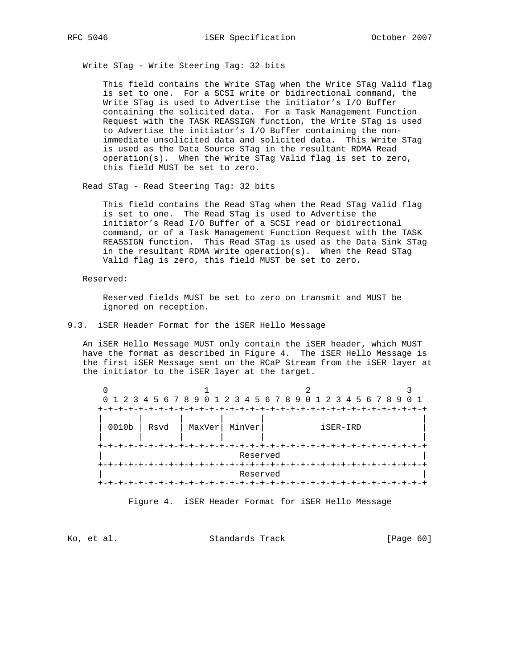Write STag - Write Steering Tag: 32 bits

 This field contains the Write STag when the Write STag Valid flag is set to one. For a SCSI write or bidirectional command, the Write STag is used to Advertise the initiator's I/O Buffer containing the solicited data. For a Task Management Function Request with the TASK REASSIGN function, the Write STag is used to Advertise the initiator's I/O Buffer containing the non immediate unsolicited data and solicited data. This Write STag is used as the Data Source STag in the resultant RDMA Read operation(s). When the Write STag Valid flag is set to zero, this field MUST be set to zero.

Read STag - Read Steering Tag: 32 bits

 This field contains the Read STag when the Read STag Valid flag is set to one. The Read STag is used to Advertise the initiator's Read I/O Buffer of a SCSI read or bidirectional command, or of a Task Management Function Request with the TASK REASSIGN function. This Read STag is used as the Data Sink STag in the resultant RDMA Write operation(s). When the Read STag Valid flag is zero, this field MUST be set to zero.

Reserved:

 Reserved fields MUST be set to zero on transmit and MUST be ignored on reception.

#### 9.3. iSER Header Format for the iSER Hello Message

 An iSER Hello Message MUST only contain the iSER header, which MUST have the format as described in Figure 4. The iSER Hello Message is the first iSER Message sent on the RCaP Stream from the iSER layer at the initiator to the iSER layer at the target.

|          |      |        |          | 0 1 2 3 4 5 6 7 8 9 0 1 2 3 4 5 6 7 8 9 0 1 2 3 4 5 6 7 8 9 |          |  |
|----------|------|--------|----------|-------------------------------------------------------------|----------|--|
| 0010b    | Rsvd | MaxVer | MinVer   |                                                             | iSER-IRD |  |
| Reserved |      |        |          |                                                             |          |  |
| $+-+$    |      |        | Reserved |                                                             |          |  |

Figure 4. iSER Header Format for iSER Hello Message

Ko, et al. Standards Track [Page 60]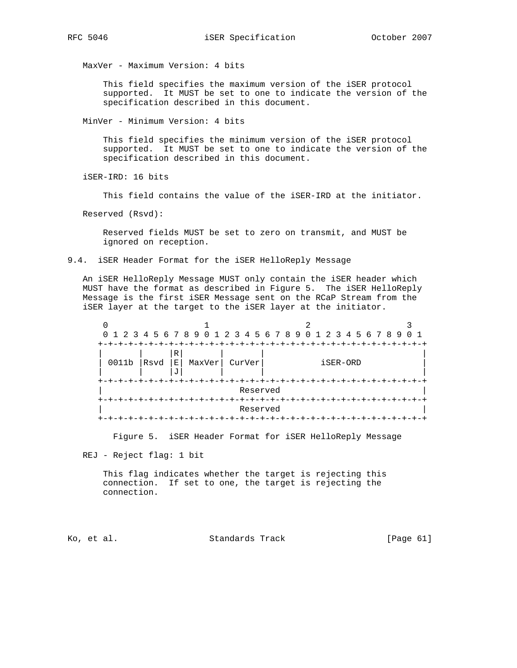MaxVer - Maximum Version: 4 bits

 This field specifies the maximum version of the iSER protocol supported. It MUST be set to one to indicate the version of the specification described in this document.

MinVer - Minimum Version: 4 bits

 This field specifies the minimum version of the iSER protocol supported. It MUST be set to one to indicate the version of the specification described in this document.

iSER-IRD: 16 bits

This field contains the value of the iSER-IRD at the initiator.

Reserved (Rsvd):

 Reserved fields MUST be set to zero on transmit, and MUST be ignored on reception.

9.4. iSER Header Format for the iSER HelloReply Message

 An iSER HelloReply Message MUST only contain the iSER header which MUST have the format as described in Figure 5. The iSER HelloReply Message is the first iSER Message sent on the RCaP Stream from the iSER layer at the target to the iSER layer at the initiator.

|                            |      |                                       |        | 0 1 2 3 4 5 6 7 8 9 0 1 2 3 4 5 6 7 8 9 0 1 2 3 4 5 6 7 8 9 |          |  |
|----------------------------|------|---------------------------------------|--------|-------------------------------------------------------------|----------|--|
| 0011b                      | Rsvd | $\mathbb R$<br>$\mathbf{E}$<br>MaxVer | CurVer |                                                             | iSER-ORD |  |
| +-+-+-+-+-+-+-<br>Reserved |      |                                       |        |                                                             |          |  |
| Reserved<br>$+-$           |      |                                       |        |                                                             |          |  |

Figure 5. iSER Header Format for iSER HelloReply Message

REJ - Reject flag: 1 bit

 This flag indicates whether the target is rejecting this connection. If set to one, the target is rejecting the connection.

Ko, et al. Standards Track [Page 61]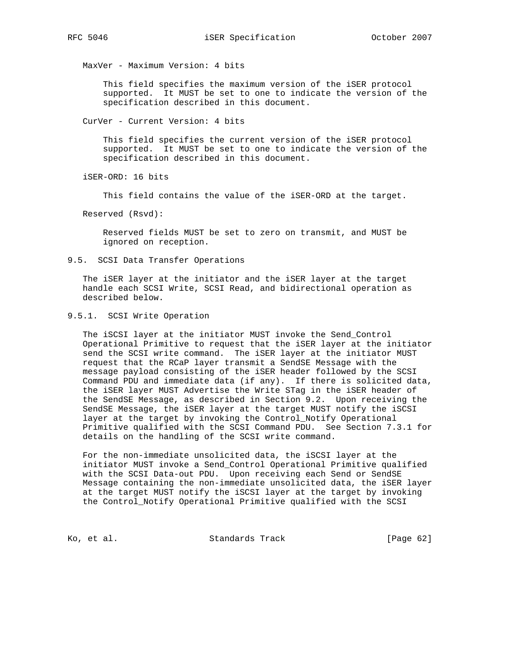MaxVer - Maximum Version: 4 bits

 This field specifies the maximum version of the iSER protocol supported. It MUST be set to one to indicate the version of the specification described in this document.

CurVer - Current Version: 4 bits

 This field specifies the current version of the iSER protocol supported. It MUST be set to one to indicate the version of the specification described in this document.

iSER-ORD: 16 bits

This field contains the value of the iSER-ORD at the target.

Reserved (Rsvd):

 Reserved fields MUST be set to zero on transmit, and MUST be ignored on reception.

9.5. SCSI Data Transfer Operations

 The iSER layer at the initiator and the iSER layer at the target handle each SCSI Write, SCSI Read, and bidirectional operation as described below.

9.5.1. SCSI Write Operation

 The iSCSI layer at the initiator MUST invoke the Send\_Control Operational Primitive to request that the iSER layer at the initiator send the SCSI write command. The iSER layer at the initiator MUST request that the RCaP layer transmit a SendSE Message with the message payload consisting of the iSER header followed by the SCSI Command PDU and immediate data (if any). If there is solicited data, the iSER layer MUST Advertise the Write STag in the iSER header of the SendSE Message, as described in Section 9.2. Upon receiving the SendSE Message, the iSER layer at the target MUST notify the iSCSI layer at the target by invoking the Control\_Notify Operational Primitive qualified with the SCSI Command PDU. See Section 7.3.1 for details on the handling of the SCSI write command.

 For the non-immediate unsolicited data, the iSCSI layer at the initiator MUST invoke a Send\_Control Operational Primitive qualified with the SCSI Data-out PDU. Upon receiving each Send or SendSE Message containing the non-immediate unsolicited data, the iSER layer at the target MUST notify the iSCSI layer at the target by invoking the Control\_Notify Operational Primitive qualified with the SCSI

Ko, et al. Standards Track [Page 62]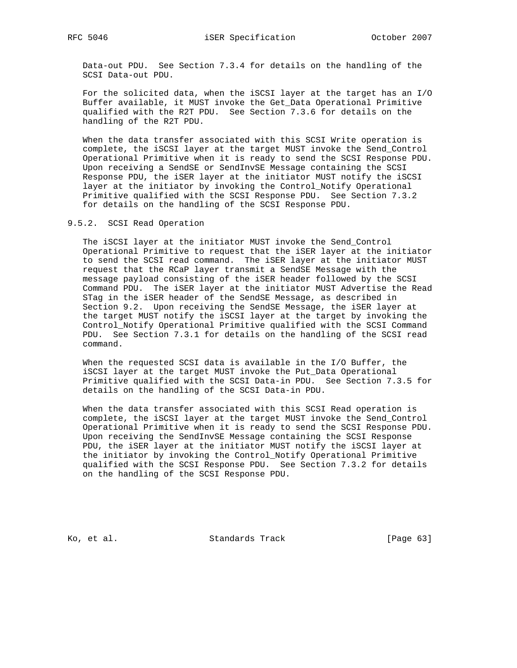Data-out PDU. See Section 7.3.4 for details on the handling of the SCSI Data-out PDU.

 For the solicited data, when the iSCSI layer at the target has an I/O Buffer available, it MUST invoke the Get\_Data Operational Primitive qualified with the R2T PDU. See Section 7.3.6 for details on the handling of the R2T PDU.

 When the data transfer associated with this SCSI Write operation is complete, the iSCSI layer at the target MUST invoke the Send\_Control Operational Primitive when it is ready to send the SCSI Response PDU. Upon receiving a SendSE or SendInvSE Message containing the SCSI Response PDU, the iSER layer at the initiator MUST notify the iSCSI layer at the initiator by invoking the Control\_Notify Operational Primitive qualified with the SCSI Response PDU. See Section 7.3.2 for details on the handling of the SCSI Response PDU.

9.5.2. SCSI Read Operation

 The iSCSI layer at the initiator MUST invoke the Send\_Control Operational Primitive to request that the iSER layer at the initiator to send the SCSI read command. The iSER layer at the initiator MUST request that the RCaP layer transmit a SendSE Message with the message payload consisting of the iSER header followed by the SCSI Command PDU. The iSER layer at the initiator MUST Advertise the Read STag in the iSER header of the SendSE Message, as described in Section 9.2. Upon receiving the SendSE Message, the iSER layer at the target MUST notify the iSCSI layer at the target by invoking the Control\_Notify Operational Primitive qualified with the SCSI Command PDU. See Section 7.3.1 for details on the handling of the SCSI read command.

 When the requested SCSI data is available in the I/O Buffer, the iSCSI layer at the target MUST invoke the Put\_Data Operational Primitive qualified with the SCSI Data-in PDU. See Section 7.3.5 for details on the handling of the SCSI Data-in PDU.

 When the data transfer associated with this SCSI Read operation is complete, the iSCSI layer at the target MUST invoke the Send\_Control Operational Primitive when it is ready to send the SCSI Response PDU. Upon receiving the SendInvSE Message containing the SCSI Response PDU, the iSER layer at the initiator MUST notify the iSCSI layer at the initiator by invoking the Control\_Notify Operational Primitive qualified with the SCSI Response PDU. See Section 7.3.2 for details on the handling of the SCSI Response PDU.

Ko, et al. Standards Track [Page 63]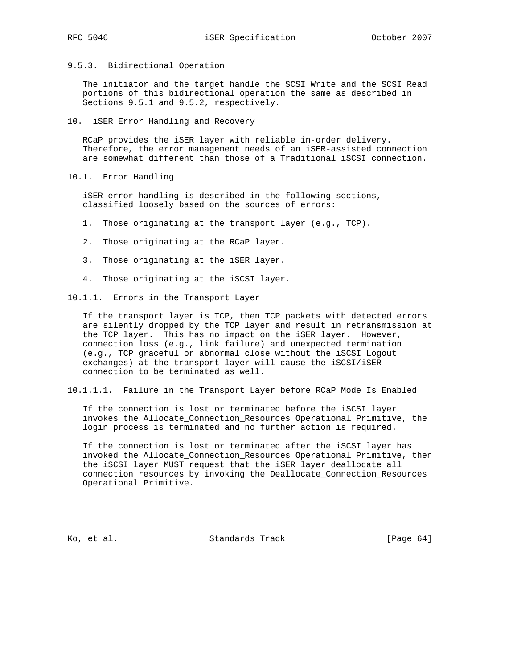9.5.3. Bidirectional Operation

 The initiator and the target handle the SCSI Write and the SCSI Read portions of this bidirectional operation the same as described in Sections 9.5.1 and 9.5.2, respectively.

10. iSER Error Handling and Recovery

 RCaP provides the iSER layer with reliable in-order delivery. Therefore, the error management needs of an iSER-assisted connection are somewhat different than those of a Traditional iSCSI connection.

10.1. Error Handling

 iSER error handling is described in the following sections, classified loosely based on the sources of errors:

- 1. Those originating at the transport layer (e.g., TCP).
- 2. Those originating at the RCaP layer.
- 3. Those originating at the iSER layer.
- 4. Those originating at the iSCSI layer.

10.1.1. Errors in the Transport Layer

 If the transport layer is TCP, then TCP packets with detected errors are silently dropped by the TCP layer and result in retransmission at the TCP layer. This has no impact on the iSER layer. However, connection loss (e.g., link failure) and unexpected termination (e.g., TCP graceful or abnormal close without the iSCSI Logout exchanges) at the transport layer will cause the iSCSI/iSER connection to be terminated as well.

10.1.1.1. Failure in the Transport Layer before RCaP Mode Is Enabled

 If the connection is lost or terminated before the iSCSI layer invokes the Allocate\_Connection\_Resources Operational Primitive, the login process is terminated and no further action is required.

 If the connection is lost or terminated after the iSCSI layer has invoked the Allocate\_Connection\_Resources Operational Primitive, then the iSCSI layer MUST request that the iSER layer deallocate all connection resources by invoking the Deallocate\_Connection\_Resources Operational Primitive.

Ko, et al. Standards Track [Page 64]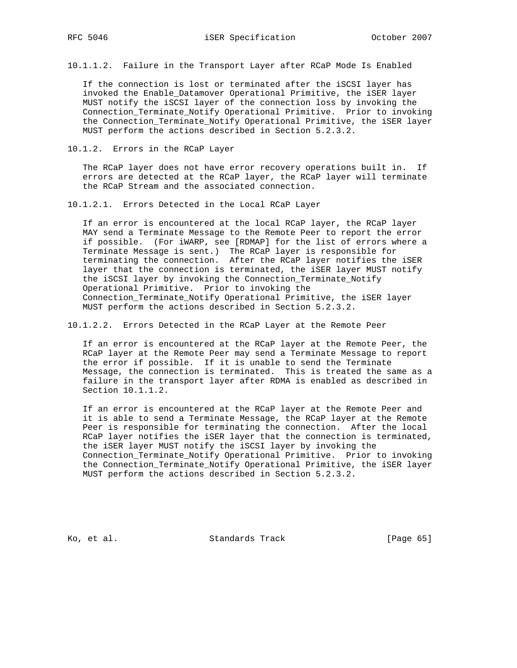10.1.1.2. Failure in the Transport Layer after RCaP Mode Is Enabled

 If the connection is lost or terminated after the iSCSI layer has invoked the Enable\_Datamover Operational Primitive, the iSER layer MUST notify the iSCSI layer of the connection loss by invoking the Connection\_Terminate\_Notify Operational Primitive. Prior to invoking the Connection\_Terminate\_Notify Operational Primitive, the iSER layer MUST perform the actions described in Section 5.2.3.2.

10.1.2. Errors in the RCaP Layer

 The RCaP layer does not have error recovery operations built in. If errors are detected at the RCaP layer, the RCaP layer will terminate the RCaP Stream and the associated connection.

10.1.2.1. Errors Detected in the Local RCaP Layer

 If an error is encountered at the local RCaP layer, the RCaP layer MAY send a Terminate Message to the Remote Peer to report the error if possible. (For iWARP, see [RDMAP] for the list of errors where a Terminate Message is sent.) The RCaP layer is responsible for terminating the connection. After the RCaP layer notifies the iSER layer that the connection is terminated, the iSER layer MUST notify the iSCSI layer by invoking the Connection\_Terminate\_Notify Operational Primitive. Prior to invoking the Connection\_Terminate\_Notify Operational Primitive, the iSER layer MUST perform the actions described in Section 5.2.3.2.

10.1.2.2. Errors Detected in the RCaP Layer at the Remote Peer

 If an error is encountered at the RCaP layer at the Remote Peer, the RCaP layer at the Remote Peer may send a Terminate Message to report the error if possible. If it is unable to send the Terminate Message, the connection is terminated. This is treated the same as a failure in the transport layer after RDMA is enabled as described in Section 10.1.1.2.

 If an error is encountered at the RCaP layer at the Remote Peer and it is able to send a Terminate Message, the RCaP layer at the Remote Peer is responsible for terminating the connection. After the local RCaP layer notifies the iSER layer that the connection is terminated, the iSER layer MUST notify the iSCSI layer by invoking the Connection\_Terminate\_Notify Operational Primitive. Prior to invoking the Connection\_Terminate\_Notify Operational Primitive, the iSER layer MUST perform the actions described in Section 5.2.3.2.

Ko, et al. Standards Track [Page 65]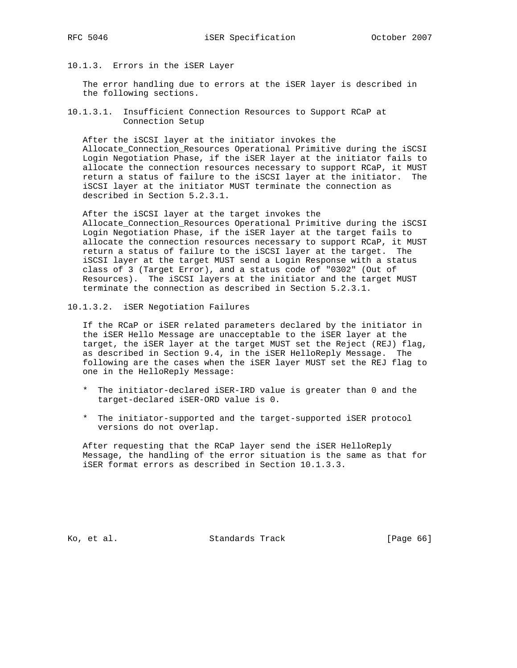10.1.3. Errors in the iSER Layer

 The error handling due to errors at the iSER layer is described in the following sections.

10.1.3.1. Insufficient Connection Resources to Support RCaP at Connection Setup

 After the iSCSI layer at the initiator invokes the Allocate\_Connection\_Resources Operational Primitive during the iSCSI Login Negotiation Phase, if the iSER layer at the initiator fails to allocate the connection resources necessary to support RCaP, it MUST return a status of failure to the iSCSI layer at the initiator. The iSCSI layer at the initiator MUST terminate the connection as described in Section 5.2.3.1.

 After the iSCSI layer at the target invokes the Allocate\_Connection\_Resources Operational Primitive during the iSCSI Login Negotiation Phase, if the iSER layer at the target fails to allocate the connection resources necessary to support RCaP, it MUST return a status of failure to the iSCSI layer at the target. The iSCSI layer at the target MUST send a Login Response with a status class of 3 (Target Error), and a status code of "0302" (Out of Resources). The iSCSI layers at the initiator and the target MUST terminate the connection as described in Section 5.2.3.1.

10.1.3.2. iSER Negotiation Failures

 If the RCaP or iSER related parameters declared by the initiator in the iSER Hello Message are unacceptable to the iSER layer at the target, the iSER layer at the target MUST set the Reject (REJ) flag, as described in Section 9.4, in the iSER HelloReply Message. The following are the cases when the iSER layer MUST set the REJ flag to one in the HelloReply Message:

- \* The initiator-declared iSER-IRD value is greater than 0 and the target-declared iSER-ORD value is 0.
- \* The initiator-supported and the target-supported iSER protocol versions do not overlap.

 After requesting that the RCaP layer send the iSER HelloReply Message, the handling of the error situation is the same as that for iSER format errors as described in Section 10.1.3.3.

Ko, et al. Standards Track [Page 66]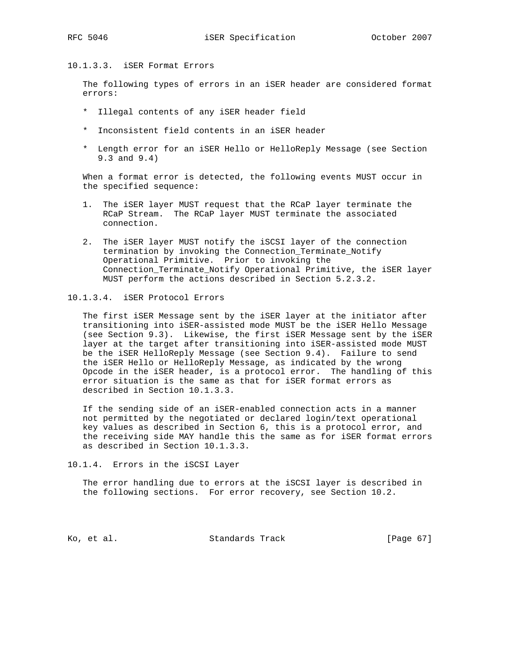## 10.1.3.3. iSER Format Errors

 The following types of errors in an iSER header are considered format errors:

- \* Illegal contents of any iSER header field
- \* Inconsistent field contents in an iSER header
- \* Length error for an iSER Hello or HelloReply Message (see Section 9.3 and 9.4)

 When a format error is detected, the following events MUST occur in the specified sequence:

- 1. The iSER layer MUST request that the RCaP layer terminate the RCaP Stream. The RCaP layer MUST terminate the associated connection.
- 2. The iSER layer MUST notify the iSCSI layer of the connection termination by invoking the Connection\_Terminate\_Notify Operational Primitive. Prior to invoking the Connection\_Terminate\_Notify Operational Primitive, the iSER layer MUST perform the actions described in Section 5.2.3.2.

### 10.1.3.4. iSER Protocol Errors

 The first iSER Message sent by the iSER layer at the initiator after transitioning into iSER-assisted mode MUST be the iSER Hello Message (see Section 9.3). Likewise, the first iSER Message sent by the iSER layer at the target after transitioning into iSER-assisted mode MUST be the iSER HelloReply Message (see Section 9.4). Failure to send the iSER Hello or HelloReply Message, as indicated by the wrong Opcode in the iSER header, is a protocol error. The handling of this error situation is the same as that for iSER format errors as described in Section 10.1.3.3.

 If the sending side of an iSER-enabled connection acts in a manner not permitted by the negotiated or declared login/text operational key values as described in Section 6, this is a protocol error, and the receiving side MAY handle this the same as for iSER format errors as described in Section 10.1.3.3.

10.1.4. Errors in the iSCSI Layer

 The error handling due to errors at the iSCSI layer is described in the following sections. For error recovery, see Section 10.2.

Ko, et al. Standards Track [Page 67]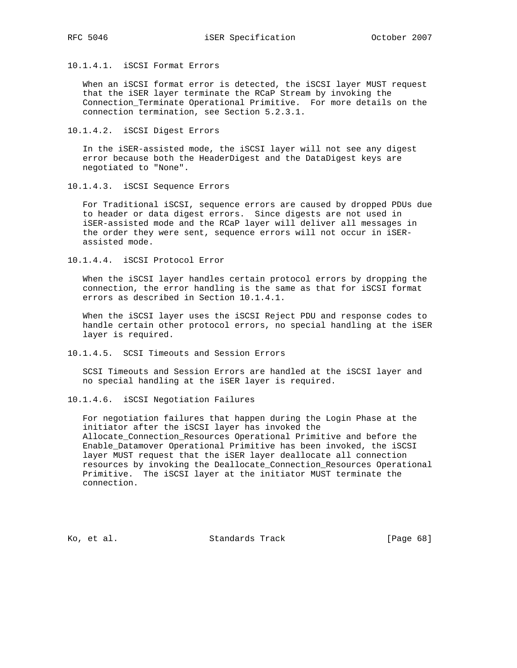10.1.4.1. iSCSI Format Errors

 When an iSCSI format error is detected, the iSCSI layer MUST request that the iSER layer terminate the RCaP Stream by invoking the Connection\_Terminate Operational Primitive. For more details on the connection termination, see Section 5.2.3.1.

10.1.4.2. iSCSI Digest Errors

 In the iSER-assisted mode, the iSCSI layer will not see any digest error because both the HeaderDigest and the DataDigest keys are negotiated to "None".

10.1.4.3. iSCSI Sequence Errors

 For Traditional iSCSI, sequence errors are caused by dropped PDUs due to header or data digest errors. Since digests are not used in iSER-assisted mode and the RCaP layer will deliver all messages in the order they were sent, sequence errors will not occur in iSER assisted mode.

10.1.4.4. iSCSI Protocol Error

 When the iSCSI layer handles certain protocol errors by dropping the connection, the error handling is the same as that for iSCSI format errors as described in Section 10.1.4.1.

 When the iSCSI layer uses the iSCSI Reject PDU and response codes to handle certain other protocol errors, no special handling at the iSER layer is required.

10.1.4.5. SCSI Timeouts and Session Errors

 SCSI Timeouts and Session Errors are handled at the iSCSI layer and no special handling at the iSER layer is required.

10.1.4.6. iSCSI Negotiation Failures

 For negotiation failures that happen during the Login Phase at the initiator after the iSCSI layer has invoked the Allocate\_Connection\_Resources Operational Primitive and before the Enable\_Datamover Operational Primitive has been invoked, the iSCSI layer MUST request that the iSER layer deallocate all connection resources by invoking the Deallocate\_Connection\_Resources Operational Primitive. The iSCSI layer at the initiator MUST terminate the connection.

Ko, et al. Standards Track [Page 68]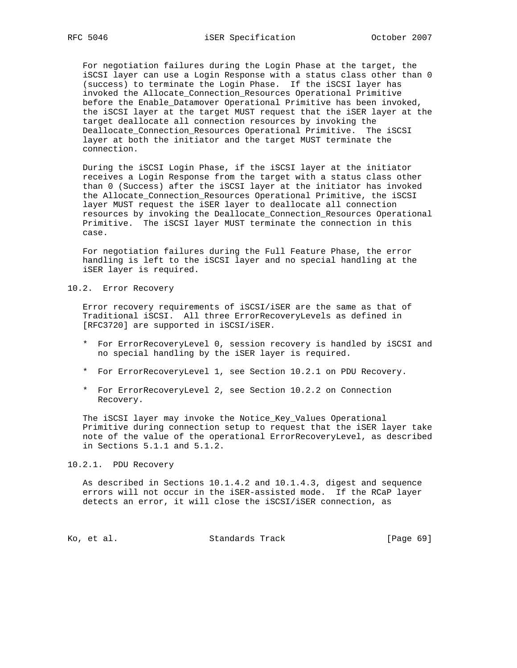For negotiation failures during the Login Phase at the target, the iSCSI layer can use a Login Response with a status class other than 0 (success) to terminate the Login Phase. If the iSCSI layer has invoked the Allocate\_Connection\_Resources Operational Primitive before the Enable\_Datamover Operational Primitive has been invoked, the iSCSI layer at the target MUST request that the iSER layer at the target deallocate all connection resources by invoking the Deallocate\_Connection\_Resources Operational Primitive. The iSCSI layer at both the initiator and the target MUST terminate the connection.

 During the iSCSI Login Phase, if the iSCSI layer at the initiator receives a Login Response from the target with a status class other than 0 (Success) after the iSCSI layer at the initiator has invoked the Allocate\_Connection\_Resources Operational Primitive, the iSCSI layer MUST request the iSER layer to deallocate all connection resources by invoking the Deallocate\_Connection\_Resources Operational Primitive. The iSCSI layer MUST terminate the connection in this case.

 For negotiation failures during the Full Feature Phase, the error handling is left to the iSCSI layer and no special handling at the iSER layer is required.

10.2. Error Recovery

 Error recovery requirements of iSCSI/iSER are the same as that of Traditional iSCSI. All three ErrorRecoveryLevels as defined in [RFC3720] are supported in iSCSI/iSER.

- \* For ErrorRecoveryLevel 0, session recovery is handled by iSCSI and no special handling by the iSER layer is required.
- \* For ErrorRecoveryLevel 1, see Section 10.2.1 on PDU Recovery.
- \* For ErrorRecoveryLevel 2, see Section 10.2.2 on Connection Recovery.

 The iSCSI layer may invoke the Notice\_Key\_Values Operational Primitive during connection setup to request that the iSER layer take note of the value of the operational ErrorRecoveryLevel, as described in Sections 5.1.1 and 5.1.2.

10.2.1. PDU Recovery

 As described in Sections 10.1.4.2 and 10.1.4.3, digest and sequence errors will not occur in the iSER-assisted mode. If the RCaP layer detects an error, it will close the iSCSI/iSER connection, as

Ko, et al. Standards Track [Page 69]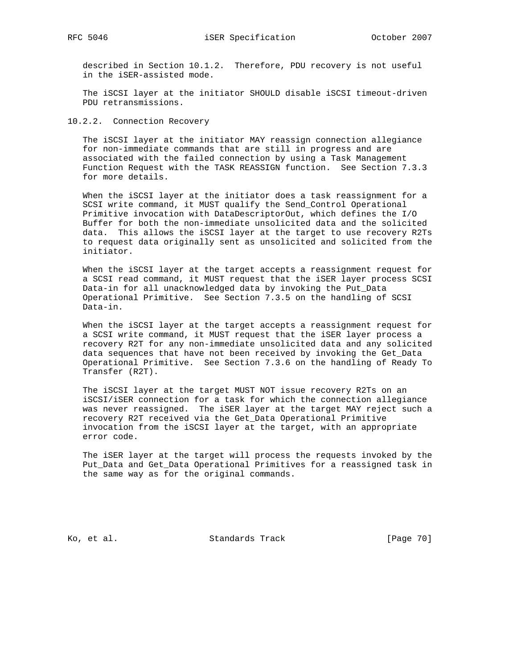described in Section 10.1.2. Therefore, PDU recovery is not useful in the iSER-assisted mode.

 The iSCSI layer at the initiator SHOULD disable iSCSI timeout-driven PDU retransmissions.

10.2.2. Connection Recovery

 The iSCSI layer at the initiator MAY reassign connection allegiance for non-immediate commands that are still in progress and are associated with the failed connection by using a Task Management Function Request with the TASK REASSIGN function. See Section 7.3.3 for more details.

 When the iSCSI layer at the initiator does a task reassignment for a SCSI write command, it MUST qualify the Send\_Control Operational Primitive invocation with DataDescriptorOut, which defines the I/O Buffer for both the non-immediate unsolicited data and the solicited data. This allows the iSCSI layer at the target to use recovery R2Ts to request data originally sent as unsolicited and solicited from the initiator.

 When the iSCSI layer at the target accepts a reassignment request for a SCSI read command, it MUST request that the iSER layer process SCSI Data-in for all unacknowledged data by invoking the Put\_Data Operational Primitive. See Section 7.3.5 on the handling of SCSI Data-in.

 When the iSCSI layer at the target accepts a reassignment request for a SCSI write command, it MUST request that the iSER layer process a recovery R2T for any non-immediate unsolicited data and any solicited data sequences that have not been received by invoking the Get\_Data Operational Primitive. See Section 7.3.6 on the handling of Ready To Transfer (R2T).

 The iSCSI layer at the target MUST NOT issue recovery R2Ts on an iSCSI/iSER connection for a task for which the connection allegiance was never reassigned. The iSER layer at the target MAY reject such a recovery R2T received via the Get\_Data Operational Primitive invocation from the iSCSI layer at the target, with an appropriate error code.

 The iSER layer at the target will process the requests invoked by the Put\_Data and Get\_Data Operational Primitives for a reassigned task in the same way as for the original commands.

Ko, et al. Standards Track [Page 70]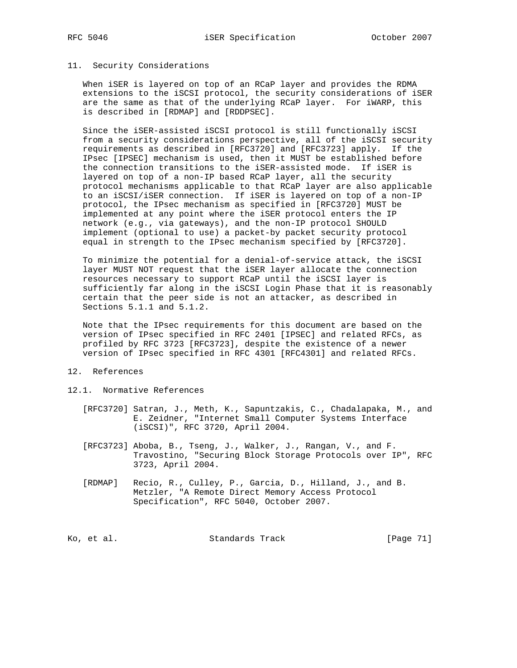#### 11. Security Considerations

 When iSER is layered on top of an RCaP layer and provides the RDMA extensions to the iSCSI protocol, the security considerations of iSER are the same as that of the underlying RCaP layer. For iWARP, this is described in [RDMAP] and [RDDPSEC].

 Since the iSER-assisted iSCSI protocol is still functionally iSCSI from a security considerations perspective, all of the iSCSI security requirements as described in [RFC3720] and [RFC3723] apply. If the IPsec [IPSEC] mechanism is used, then it MUST be established before the connection transitions to the iSER-assisted mode. If iSER is layered on top of a non-IP based RCaP layer, all the security protocol mechanisms applicable to that RCaP layer are also applicable to an iSCSI/iSER connection. If iSER is layered on top of a non-IP protocol, the IPsec mechanism as specified in [RFC3720] MUST be implemented at any point where the iSER protocol enters the IP network (e.g., via gateways), and the non-IP protocol SHOULD implement (optional to use) a packet-by packet security protocol equal in strength to the IPsec mechanism specified by [RFC3720].

 To minimize the potential for a denial-of-service attack, the iSCSI layer MUST NOT request that the iSER layer allocate the connection resources necessary to support RCaP until the iSCSI layer is sufficiently far along in the iSCSI Login Phase that it is reasonably certain that the peer side is not an attacker, as described in Sections 5.1.1 and 5.1.2.

 Note that the IPsec requirements for this document are based on the version of IPsec specified in RFC 2401 [IPSEC] and related RFCs, as profiled by RFC 3723 [RFC3723], despite the existence of a newer version of IPsec specified in RFC 4301 [RFC4301] and related RFCs.

### 12. References

- 12.1. Normative References
	- [RFC3720] Satran, J., Meth, K., Sapuntzakis, C., Chadalapaka, M., and E. Zeidner, "Internet Small Computer Systems Interface (iSCSI)", RFC 3720, April 2004.
	- [RFC3723] Aboba, B., Tseng, J., Walker, J., Rangan, V., and F. Travostino, "Securing Block Storage Protocols over IP", RFC 3723, April 2004.
	- [RDMAP] Recio, R., Culley, P., Garcia, D., Hilland, J., and B. Metzler, "A Remote Direct Memory Access Protocol Specification", RFC 5040, October 2007.

Ko, et al. Standards Track [Page 71]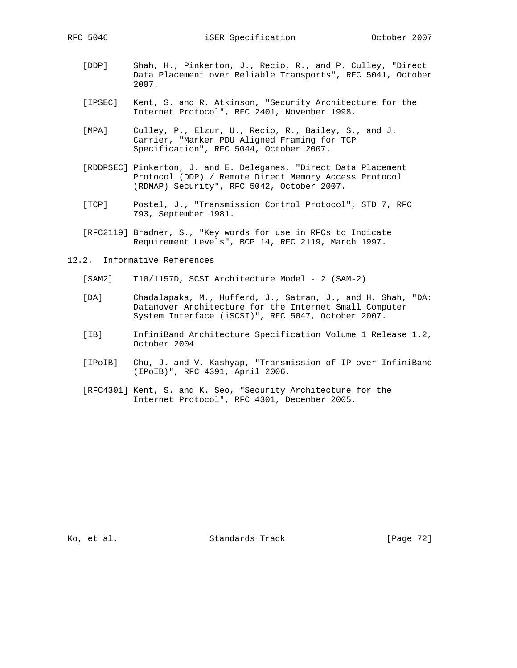RFC 5046 iSER Specification October 2007

- [DDP] Shah, H., Pinkerton, J., Recio, R., and P. Culley, "Direct Data Placement over Reliable Transports", RFC 5041, October 2007.
- [IPSEC] Kent, S. and R. Atkinson, "Security Architecture for the Internet Protocol", RFC 2401, November 1998.
- [MPA] Culley, P., Elzur, U., Recio, R., Bailey, S., and J. Carrier, "Marker PDU Aligned Framing for TCP Specification", RFC 5044, October 2007.
- [RDDPSEC] Pinkerton, J. and E. Deleganes, "Direct Data Placement Protocol (DDP) / Remote Direct Memory Access Protocol (RDMAP) Security", RFC 5042, October 2007.
- [TCP] Postel, J., "Transmission Control Protocol", STD 7, RFC 793, September 1981.
- [RFC2119] Bradner, S., "Key words for use in RFCs to Indicate Requirement Levels", BCP 14, RFC 2119, March 1997.
- 12.2. Informative References
	- [SAM2] T10/1157D, SCSI Architecture Model 2 (SAM-2)
	- [DA] Chadalapaka, M., Hufferd, J., Satran, J., and H. Shah, "DA: Datamover Architecture for the Internet Small Computer System Interface (iSCSI)", RFC 5047, October 2007.
	- [IB] InfiniBand Architecture Specification Volume 1 Release 1.2, October 2004
	- [IPoIB] Chu, J. and V. Kashyap, "Transmission of IP over InfiniBand (IPoIB)", RFC 4391, April 2006.
	- [RFC4301] Kent, S. and K. Seo, "Security Architecture for the Internet Protocol", RFC 4301, December 2005.

Ko, et al. Standards Track [Page 72]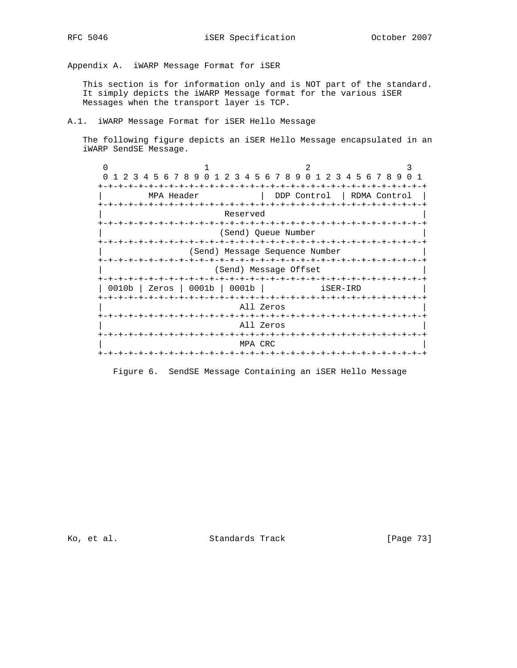Appendix A. iWARP Message Format for iSER

 This section is for information only and is NOT part of the standard. It simply depicts the iWARP Message format for the various iSER Messages when the transport layer is TCP.

A.1. iWARP Message Format for iSER Hello Message

 The following figure depicts an iSER Hello Message encapsulated in an iWARP SendSE Message.

0  $1$  2 3 0 1 2 3 4 5 6 7 8 9 0 1 2 3 4 5 6 7 8 9 0 1 2 3 4 5 6 7 8 9 0 1 +-+-+-+-+-+-+-+-+-+-+-+-+-+-+-+-+-+-+-+-+-+-+-+-+-+-+-+-+-+-+-+-+ | MPA Header | DDP Control | RDMA Control | +-+-+-+-+-+-+-+-+-+-+-+-+-+-+-+-+-+-+-+-+-+-+-+-+-+-+-+-+-+-+-+-+ Reserved +-+-+-+-+-+-+-+-+-+-+-+-+-+-+-+-+-+-+-+-+-+-+-+-+-+-+-+-+-+-+-+-+ (Send) Queue Number +-+-+-+-+-+-+-+-+-+-+-+-+-+-+-+-+-+-+-+-+-+-+-+-+-+-+-+-+-+-+-+-+ (Send) Message Sequence Number +-+-+-+-+-+-+-+-+-+-+-+-+-+-+-+-+-+-+-+-+-+-+-+-+-+-+-+-+-+-+-+-+ (Send) Message Offset +-+-+-+-+-+-+-+-+-+-+-+-+-+-+-+-+-+-+-+-+-+-+-+-+-+-+-+-+-+-+-+-+ | 0010b | Zeros | 0001b | 0001b | iSER-IRD | +-+-+-+-+-+-+-+-+-+-+-+-+-+-+-+-+-+-+-+-+-+-+-+-+-+-+-+-+-+-+-+-+ All Zeros +-+-+-+-+-+-+-+-+-+-+-+-+-+-+-+-+-+-+-+-+-+-+-+-+-+-+-+-+-+-+-+-+ All Zeros +-+-+-+-+-+-+-+-+-+-+-+-+-+-+-+-+-+-+-+-+-+-+-+-+-+-+-+-+-+-+-+-+ | MPA CRC | +-+-+-+-+-+-+-+-+-+-+-+-+-+-+-+-+-+-+-+-+-+-+-+-+-+-+-+-+-+-+-+-+

Figure 6. SendSE Message Containing an iSER Hello Message

Ko, et al. Standards Track [Page 73]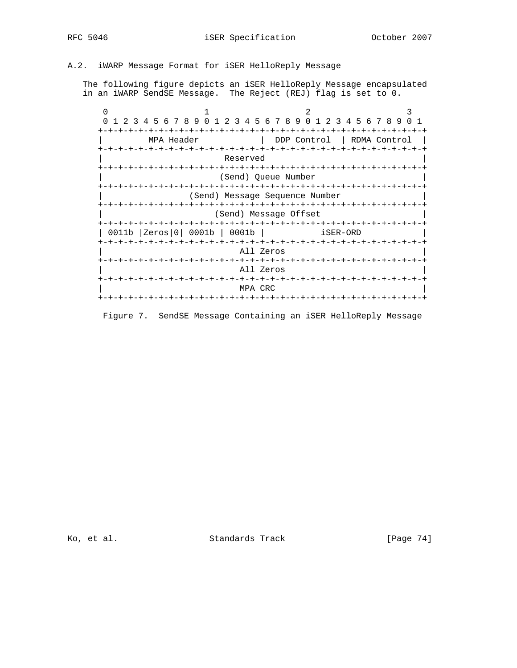# A.2. iWARP Message Format for iSER HelloReply Message

 The following figure depicts an iSER HelloReply Message encapsulated in an iWARP SendSE Message. The Reject (REJ) flag is set to 0.

|       | 1 2 3 4 5 6 7 8 9 0 1 2 3 4 5 6 7 8 9 0 1 2 3 4 5 6 7 8 9 |                          |             | n 1            |  |  |
|-------|-----------------------------------------------------------|--------------------------|-------------|----------------|--|--|
|       |                                                           |                          |             |                |  |  |
|       | MPA Header                                                |                          | DDP Control | RDMA Control   |  |  |
|       | +-+-+-+-+-+-+-+-+-+                                       |                          |             |                |  |  |
|       |                                                           | Reserved                 |             |                |  |  |
|       | -+-+-+-+-+-+-+-+-+-+-+-+<br>-+-+-+-+-+-+-+                |                          |             |                |  |  |
|       | (Send) Queue Number                                       |                          |             |                |  |  |
|       |                                                           |                          |             |                |  |  |
|       | (Send) Message Sequence Number                            |                          |             |                |  |  |
|       | (Send) Message Offset                                     |                          |             |                |  |  |
| 0011b | -+-+-+-+-+-+<br>0001b<br> Zeros 0                         | 0001b                    | iSER-ORD    | -+-+-+-+-+-+-+ |  |  |
|       |                                                           |                          |             |                |  |  |
|       |                                                           | All Zeros                |             |                |  |  |
|       |                                                           | -+-+-+-+-+-<br>All Zeros |             |                |  |  |
|       |                                                           | MPA CRC                  |             |                |  |  |
|       |                                                           | -+-+-+-+-+-+             |             |                |  |  |

Figure 7. SendSE Message Containing an iSER HelloReply Message

Ko, et al. Standards Track [Page 74]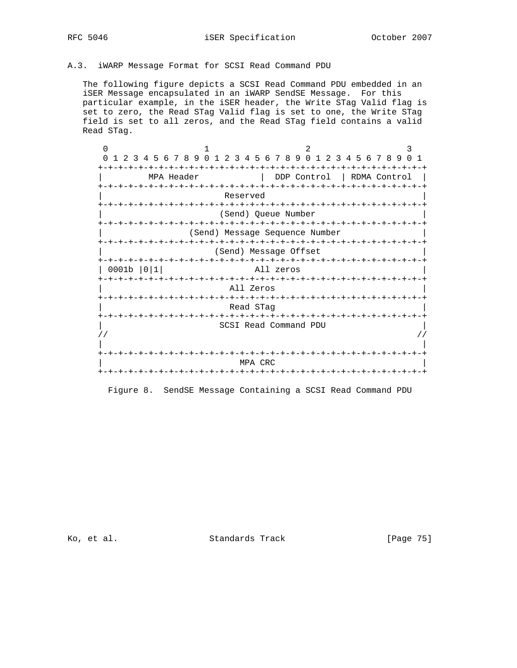# A.3. iWARP Message Format for SCSI Read Command PDU

 The following figure depicts a SCSI Read Command PDU embedded in an iSER Message encapsulated in an iWARP SendSE Message. For this particular example, in the iSER header, the Write STag Valid flag is set to zero, the Read STag Valid flag is set to one, the Write STag field is set to all zeros, and the Read STag field contains a valid Read STag.

 $0$  1 2 3 0 1 2 3 4 5 6 7 8 9 0 1 2 3 4 5 6 7 8 9 0 1 2 3 4 5 6 7 8 9 0 1 +-+-+-+-+-+-+-+-+-+-+-+-+-+-+-+-+-+-+-+-+-+-+-+-+-+-+-+-+-+-+-+-+ | MPA Header | DDP Control | RDMA Control | +-+-+-+-+-+-+-+-+-+-+-+-+-+-+-+-+-+-+-+-+-+-+-+-+-+-+-+-+-+-+-+-+ Reserved +-+-+-+-+-+-+-+-+-+-+-+-+-+-+-+-+-+-+-+-+-+-+-+-+-+-+-+-+-+-+-+-+ | (Send) Queue Number | +-+-+-+-+-+-+-+-+-+-+-+-+-+-+-+-+-+-+-+-+-+-+-+-+-+-+-+-+-+-+-+-+ | (Send) Message Sequence Number | +-+-+-+-+-+-+-+-+-+-+-+-+-+-+-+-+-+-+-+-+-+-+-+-+-+-+-+-+-+-+-+-+ (Send) Message Offset +-+-+-+-+-+-+-+-+-+-+-+-+-+-+-+-+-+-+-+-+-+-+-+-+-+-+-+-+-+-+-+-+ | 0001b |0|1| All zeros | +-+-+-+-+-+-+-+-+-+-+-+-+-+-+-+-+-+-+-+-+-+-+-+-+-+-+-+-+-+-+-+-+ All Zeros +-+-+-+-+-+-+-+-+-+-+-+-+-+-+-+-+-+-+-+-+-+-+-+-+-+-+-+-+-+-+-+-+ | Read STag | +-+-+-+-+-+-+-+-+-+-+-+-+-+-+-+-+-+-+-+-+-+-+-+-+-+-+-+-+-+-+-+-+ | SCSI Read Command PDU |  $\frac{1}{2}$  //  $\frac{1}{2}$  //  $\frac{1}{2}$  //  $\frac{1}{2}$  //  $\frac{1}{2}$  //  $\frac{1}{2}$  //  $\frac{1}{2}$  //  $\frac{1}{2}$  //  $\frac{1}{2}$  //  $\frac{1}{2}$  //  $\frac{1}{2}$  //  $\frac{1}{2}$  //  $\frac{1}{2}$  //  $\frac{1}{2}$  //  $\frac{1}{2}$  //  $\frac{1}{2}$  //  $\frac{1}{2}$  // | | +-+-+-+-+-+-+-+-+-+-+-+-+-+-+-+-+-+-+-+-+-+-+-+-+-+-+-+-+-+-+-+-+ | MPA CRC | +-+-+-+-+-+-+-+-+-+-+-+-+-+-+-+-+-+-+-+-+-+-+-+-+-+-+-+-+-+-+-+-+

Figure 8. SendSE Message Containing a SCSI Read Command PDU

Ko, et al. Standards Track [Page 75]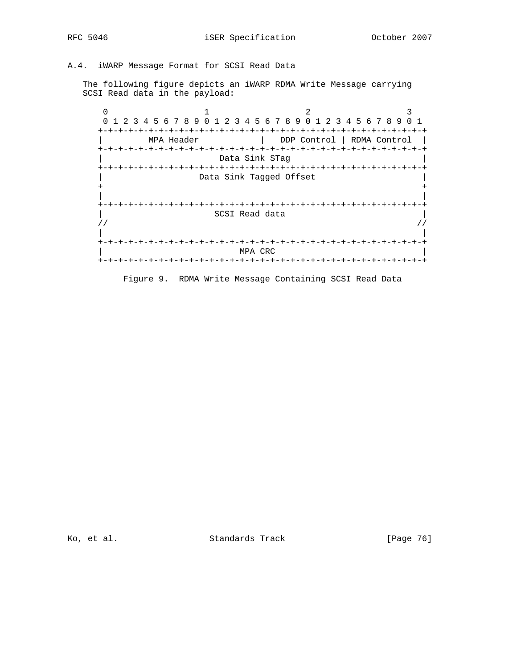A.4. iWARP Message Format for SCSI Read Data

 The following figure depicts an iWARP RDMA Write Message carrying SCSI Read data in the payload:

0  $1$  2 3 0 1 2 3 4 5 6 7 8 9 0 1 2 3 4 5 6 7 8 9 0 1 2 3 4 5 6 7 8 9 0 1 +-+-+-+-+-+-+-+-+-+-+-+-+-+-+-+-+-+-+-+-+-+-+-+-+-+-+-+-+-+-+-+-+ | MPA Header | DDP Control | RDMA Control | +-+-+-+-+-+-+-+-+-+-+-+-+-+-+-+-+-+-+-+-+-+-+-+-+-+-+-+-+-+-+-+-+ Data Sink STag +-+-+-+-+-+-+-+-+-+-+-+-+-+-+-+-+-+-+-+-+-+-+-+-+-+-+-+-+-+-+-+-+ Data Sink Tagged Offset + + | | +-+-+-+-+-+-+-+-+-+-+-+-+-+-+-+-+-+-+-+-+-+-+-+-+-+-+-+-+-+-+-+-+ | SCSI Read data |  $\frac{1}{2}$  //  $\frac{1}{2}$  //  $\frac{1}{2}$  //  $\frac{1}{2}$  //  $\frac{1}{2}$  //  $\frac{1}{2}$  //  $\frac{1}{2}$  //  $\frac{1}{2}$  //  $\frac{1}{2}$  //  $\frac{1}{2}$  //  $\frac{1}{2}$  //  $\frac{1}{2}$  //  $\frac{1}{2}$  //  $\frac{1}{2}$  //  $\frac{1}{2}$  //  $\frac{1}{2}$  //  $\frac{1}{2}$  // | | +-+-+-+-+-+-+-+-+-+-+-+-+-+-+-+-+-+-+-+-+-+-+-+-+-+-+-+-+-+-+-+-+ | MPA CRC | +-+-+-+-+-+-+-+-+-+-+-+-+-+-+-+-+-+-+-+-+-+-+-+-+-+-+-+-+-+-+-+-+

Figure 9. RDMA Write Message Containing SCSI Read Data

Ko, et al. Standards Track [Page 76]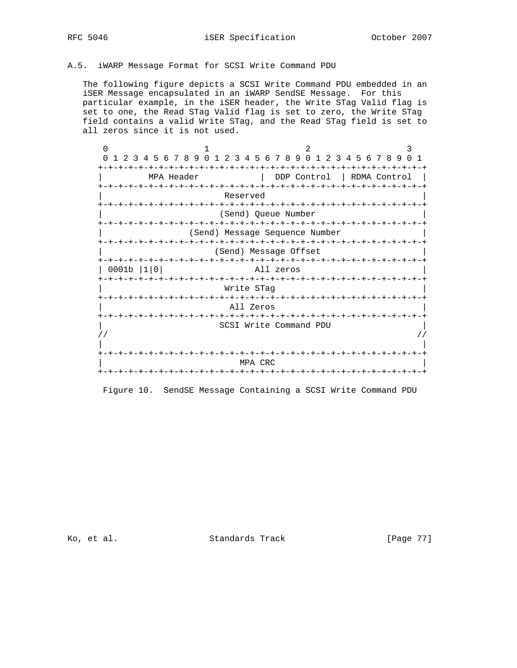## A.5. iWARP Message Format for SCSI Write Command PDU

 The following figure depicts a SCSI Write Command PDU embedded in an iSER Message encapsulated in an iWARP SendSE Message. For this particular example, in the iSER header, the Write STag Valid flag is set to one, the Read STag Valid flag is set to zero, the Write STag field contains a valid Write STag, and the Read STag field is set to all zeros since it is not used.

| $\Omega$           |                                                                                       | 2                                                        | 3                                |  |  |  |
|--------------------|---------------------------------------------------------------------------------------|----------------------------------------------------------|----------------------------------|--|--|--|
| $\Omega$<br>2<br>3 | 9<br>-5<br>$6\overline{6}$<br>78<br>$\Omega$<br>4<br>3<br>2                           | 789<br>$\Omega$<br>5<br>-6<br>$\mathbf 1$<br>3<br>4<br>2 | 456789<br>$\cap$<br>$\mathbf{1}$ |  |  |  |
|                    |                                                                                       |                                                          |                                  |  |  |  |
|                    | MPA Header                                                                            | DDP Control                                              | RDMA Control                     |  |  |  |
|                    | -+-+-+-+-+-+<br>-+-+-+-+-+-+-+-+                                                      |                                                          |                                  |  |  |  |
|                    | Reserved                                                                              |                                                          |                                  |  |  |  |
|                    | -+-+-+-+-+-+-+-+                                                                      |                                                          |                                  |  |  |  |
|                    |                                                                                       | (Send) Queue Number                                      |                                  |  |  |  |
|                    | -+-+-+-+-+-+-+-+-+<br>-+-+-+-+-+-+-+-+-+-+-+-+-+-+-<br>(Send) Message Sequence Number |                                                          |                                  |  |  |  |
|                    | -+-+-+-+-+<br>- +                                                                     | -+-+-+-+-+-+-+-+-+-+-+-+-+-+-+-+-+-+                     |                                  |  |  |  |
|                    |                                                                                       | (Send) Message Offset                                    |                                  |  |  |  |
|                    |                                                                                       | -+-+-+-+-+-+<br>-+-+-+-+-+-+-+-+-+-+                     |                                  |  |  |  |
| 0001b              | 10                                                                                    | All zeros                                                |                                  |  |  |  |
|                    | -+-+-+-+-+-+-+-+                                                                      |                                                          |                                  |  |  |  |
|                    | Write STag                                                                            |                                                          |                                  |  |  |  |
|                    | -+-+-+-+-+-+-+-+-+-+-+-+-                                                             |                                                          |                                  |  |  |  |
|                    | All Zeros                                                                             |                                                          |                                  |  |  |  |
|                    |                                                                                       | SCSI Write Command PDU                                   |                                  |  |  |  |
|                    |                                                                                       |                                                          |                                  |  |  |  |
|                    |                                                                                       |                                                          |                                  |  |  |  |
|                    |                                                                                       |                                                          |                                  |  |  |  |
|                    |                                                                                       | MPA CRC                                                  |                                  |  |  |  |
|                    |                                                                                       | -+-+-+-+-+-+-+-+                                         |                                  |  |  |  |

Figure 10. SendSE Message Containing a SCSI Write Command PDU

Ko, et al. Standards Track [Page 77]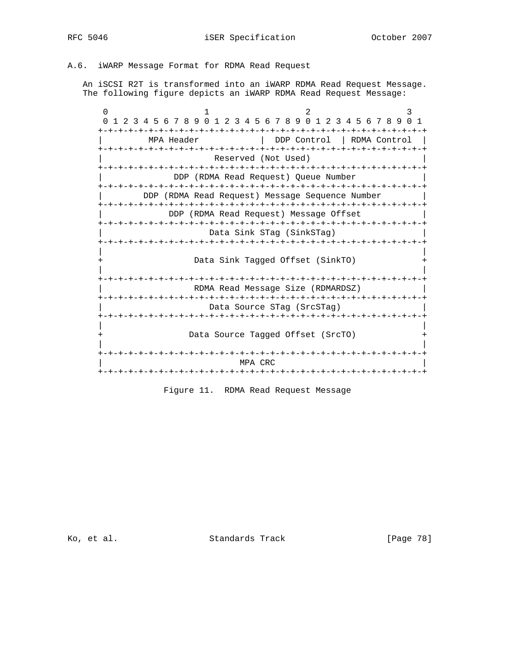## A.6. iWARP Message Format for RDMA Read Request

 An iSCSI R2T is transformed into an iWARP RDMA Read Request Message. The following figure depicts an iWARP RDMA Read Request Message:

| $\Omega$ | +-+-+-+-+-+-+-+-+ | 1 2 3 4 5 6 7 8 9 0 1 2 3 4 5 6 7 8 9 0 1 2 3 4 5 6 7 8 9<br>-+-+-+-+-+-+-+ | -1                         |
|----------|-------------------|-----------------------------------------------------------------------------|----------------------------|
|          | MPA Header        |                                                                             | DDP Control   RDMA Control |
|          |                   | Reserved (Not Used)                                                         |                            |
|          |                   | DDP (RDMA Read Request) Queue Number                                        |                            |
|          |                   | DDP (RDMA Read Request) Message Sequence Number                             |                            |
|          |                   | DDP (RDMA Read Request) Message Offset                                      |                            |
|          |                   | Data Sink STag (SinkSTag)                                                   |                            |
|          |                   |                                                                             |                            |
|          |                   | Data Sink Tagged Offset (SinkTO)                                            |                            |
|          |                   | RDMA Read Message Size (RDMARDSZ)                                           |                            |
|          |                   | Data Source STag (SrcSTag)                                                  |                            |
|          |                   |                                                                             |                            |
|          |                   | Data Source Taqqed Offset (SrcTO)                                           |                            |
|          |                   | MPA CRC                                                                     |                            |
|          |                   |                                                                             |                            |

Figure 11. RDMA Read Request Message

Ko, et al. Standards Track [Page 78]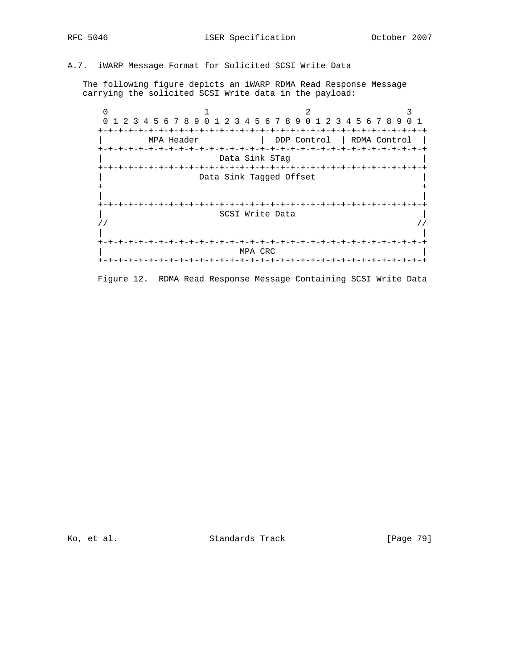# A.7. iWARP Message Format for Solicited SCSI Write Data

 The following figure depicts an iWARP RDMA Read Response Message carrying the solicited SCSI Write data in the payload:

0  $1$  2 3 0 1 2 3 4 5 6 7 8 9 0 1 2 3 4 5 6 7 8 9 0 1 2 3 4 5 6 7 8 9 0 1 +-+-+-+-+-+-+-+-+-+-+-+-+-+-+-+-+-+-+-+-+-+-+-+-+-+-+-+-+-+-+-+-+ | MPA Header | DDP Control | RDMA Control | +-+-+-+-+-+-+-+-+-+-+-+-+-+-+-+-+-+-+-+-+-+-+-+-+-+-+-+-+-+-+-+-+ Data Sink STag +-+-+-+-+-+-+-+-+-+-+-+-+-+-+-+-+-+-+-+-+-+-+-+-+-+-+-+-+-+-+-+-+ Data Sink Tagged Offset + + | | +-+-+-+-+-+-+-+-+-+-+-+-+-+-+-+-+-+-+-+-+-+-+-+-+-+-+-+-+-+-+-+-+ SCSI Write Data  $\frac{1}{2}$  //  $\frac{1}{2}$  //  $\frac{1}{2}$  //  $\frac{1}{2}$  //  $\frac{1}{2}$  //  $\frac{1}{2}$  //  $\frac{1}{2}$  //  $\frac{1}{2}$  //  $\frac{1}{2}$  //  $\frac{1}{2}$  //  $\frac{1}{2}$  //  $\frac{1}{2}$  //  $\frac{1}{2}$  //  $\frac{1}{2}$  //  $\frac{1}{2}$  //  $\frac{1}{2}$  //  $\frac{1}{2}$  // | | +-+-+-+-+-+-+-+-+-+-+-+-+-+-+-+-+-+-+-+-+-+-+-+-+-+-+-+-+-+-+-+-+ | MPA CRC | +-+-+-+-+-+-+-+-+-+-+-+-+-+-+-+-+-+-+-+-+-+-+-+-+-+-+-+-+-+-+-+-+

Figure 12. RDMA Read Response Message Containing SCSI Write Data

Ko, et al. Standards Track [Page 79]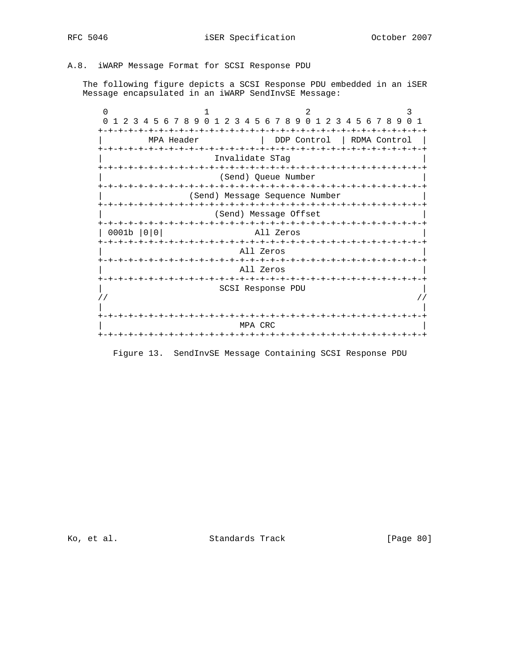# A.8. iWARP Message Format for SCSI Response PDU

 The following figure depicts a SCSI Response PDU embedded in an iSER Message encapsulated in an iWARP SendInvSE Message:

| $\Omega$                       |                                   | 2                                                   |                                | 3                          |
|--------------------------------|-----------------------------------|-----------------------------------------------------|--------------------------------|----------------------------|
| $\Omega$<br>2<br>3             | 4 5 6 7 8 9<br>$\Omega$<br>2<br>3 | 4 5 6 7 8 9 0<br>$\overline{1}$                     | $\mathcal{L}$<br>3 4 5 6 7 8 9 | $\Omega$<br>$\overline{1}$ |
|                                |                                   |                                                     |                                | -+                         |
|                                | MPA Header                        | DDP Control                                         | RDMA Control                   |                            |
| +-+-+-+-+-+-+-+-+-+-+-+        |                                   | Invalidate STag                                     |                                |                            |
|                                |                                   |                                                     |                                |                            |
|                                |                                   | (Send) Queue Number                                 |                                |                            |
|                                |                                   |                                                     |                                |                            |
| (Send) Message Sequence Number |                                   |                                                     |                                |                            |
|                                |                                   | (Send) Message Offset                               |                                |                            |
|                                |                                   |                                                     |                                |                            |
| 0001b                          |                                   | All Zeros                                           |                                |                            |
| キーキーキーキーキーキ                    |                                   | -+-+-+-+-+-+-+-+-+-+-+-+-+-+-+-+-+-+-+<br>All Zeros |                                |                            |
|                                |                                   |                                                     |                                |                            |
|                                |                                   | All Zeros                                           |                                |                            |
|                                |                                   | -+-+-+-+-+-+-+-+-+-+-+-+-+-+-+-+-+-+-+              |                                |                            |
|                                |                                   | SCSI Response PDU                                   |                                |                            |
|                                |                                   |                                                     |                                |                            |
|                                |                                   |                                                     |                                |                            |
|                                |                                   |                                                     |                                |                            |
|                                |                                   | MPA CRC                                             |                                |                            |
|                                |                                   |                                                     |                                |                            |

Figure 13. SendInvSE Message Containing SCSI Response PDU

Ko, et al. Standards Track [Page 80]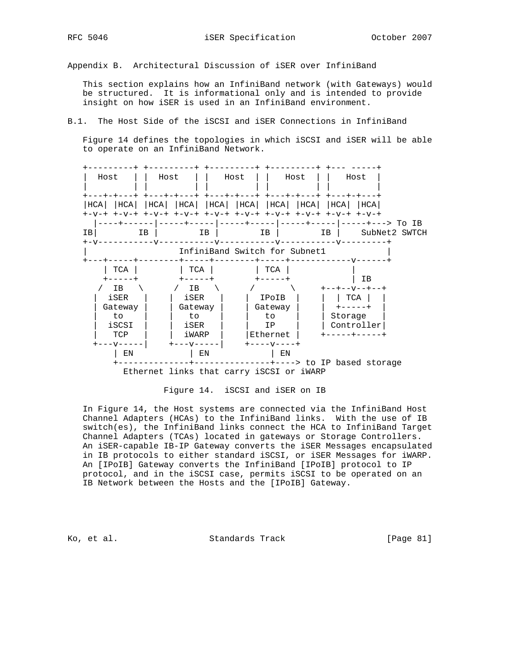Appendix B. Architectural Discussion of iSER over InfiniBand

 This section explains how an InfiniBand network (with Gateways) would be structured. It is informational only and is intended to provide insight on how iSER is used in an InfiniBand environment.

B.1. The Host Side of the iSCSI and iSER Connections in InfiniBand

 Figure 14 defines the topologies in which iSCSI and iSER will be able to operate on an InfiniBand Network.





 In Figure 14, the Host systems are connected via the InfiniBand Host Channel Adapters (HCAs) to the InfiniBand links. With the use of IB switch(es), the InfiniBand links connect the HCA to InfiniBand Target Channel Adapters (TCAs) located in gateways or Storage Controllers. An iSER-capable IB-IP Gateway converts the iSER Messages encapsulated in IB protocols to either standard iSCSI, or iSER Messages for iWARP. An [IPoIB] Gateway converts the InfiniBand [IPoIB] protocol to IP protocol, and in the iSCSI case, permits iSCSI to be operated on an IB Network between the Hosts and the [IPoIB] Gateway.

Ko, et al. Standards Track [Page 81]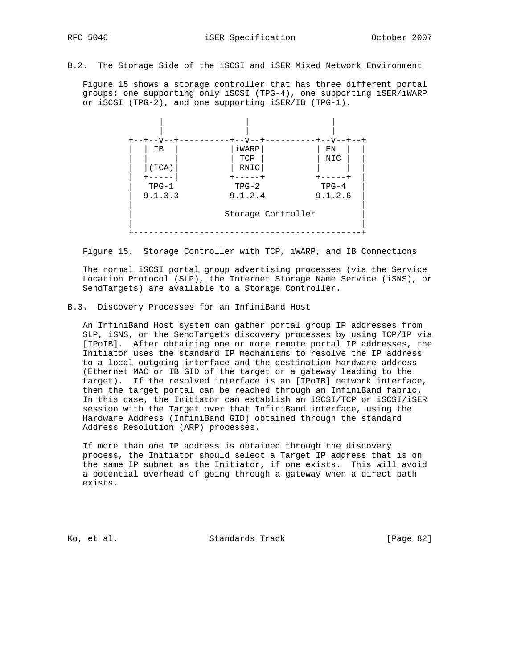B.2. The Storage Side of the iSCSI and iSER Mixed Network Environment

 Figure 15 shows a storage controller that has three different portal groups: one supporting only iSCSI (TPG-4), one supporting iSER/iWARP or iSCSI (TPG-2), and one supporting iSER/IB (TPG-1).



Figure 15. Storage Controller with TCP, iWARP, and IB Connections

 The normal iSCSI portal group advertising processes (via the Service Location Protocol (SLP), the Internet Storage Name Service (iSNS), or SendTargets) are available to a Storage Controller.

### B.3. Discovery Processes for an InfiniBand Host

 An InfiniBand Host system can gather portal group IP addresses from SLP, iSNS, or the SendTargets discovery processes by using TCP/IP via [IPoIB]. After obtaining one or more remote portal IP addresses, the Initiator uses the standard IP mechanisms to resolve the IP address to a local outgoing interface and the destination hardware address (Ethernet MAC or IB GID of the target or a gateway leading to the target). If the resolved interface is an [IPoIB] network interface, then the target portal can be reached through an InfiniBand fabric. In this case, the Initiator can establish an iSCSI/TCP or iSCSI/iSER session with the Target over that InfiniBand interface, using the Hardware Address (InfiniBand GID) obtained through the standard Address Resolution (ARP) processes.

 If more than one IP address is obtained through the discovery process, the Initiator should select a Target IP address that is on the same IP subnet as the Initiator, if one exists. This will avoid a potential overhead of going through a gateway when a direct path exists.

Ko, et al. Standards Track [Page 82]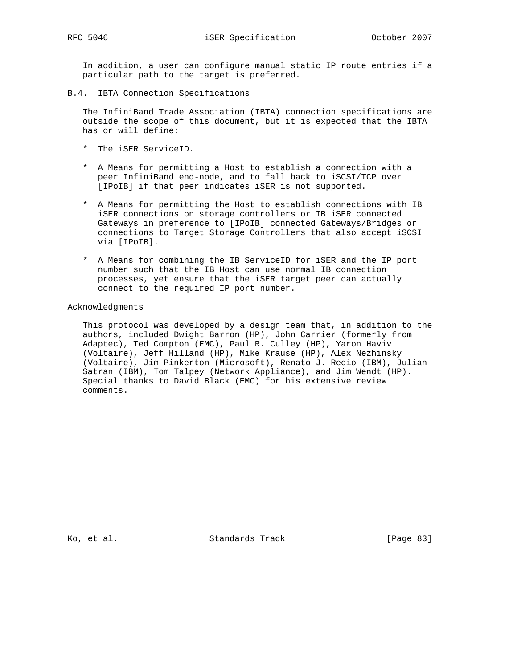In addition, a user can configure manual static IP route entries if a particular path to the target is preferred.

B.4. IBTA Connection Specifications

 The InfiniBand Trade Association (IBTA) connection specifications are outside the scope of this document, but it is expected that the IBTA has or will define:

- \* The iSER ServiceID.
- \* A Means for permitting a Host to establish a connection with a peer InfiniBand end-node, and to fall back to iSCSI/TCP over [IPoIB] if that peer indicates iSER is not supported.
- \* A Means for permitting the Host to establish connections with IB iSER connections on storage controllers or IB iSER connected Gateways in preference to [IPoIB] connected Gateways/Bridges or connections to Target Storage Controllers that also accept iSCSI via [IPoIB].
- \* A Means for combining the IB ServiceID for iSER and the IP port number such that the IB Host can use normal IB connection processes, yet ensure that the iSER target peer can actually connect to the required IP port number.

### Acknowledgments

 This protocol was developed by a design team that, in addition to the authors, included Dwight Barron (HP), John Carrier (formerly from Adaptec), Ted Compton (EMC), Paul R. Culley (HP), Yaron Haviv (Voltaire), Jeff Hilland (HP), Mike Krause (HP), Alex Nezhinsky (Voltaire), Jim Pinkerton (Microsoft), Renato J. Recio (IBM), Julian Satran (IBM), Tom Talpey (Network Appliance), and Jim Wendt (HP). Special thanks to David Black (EMC) for his extensive review comments.

Ko, et al. Standards Track [Page 83]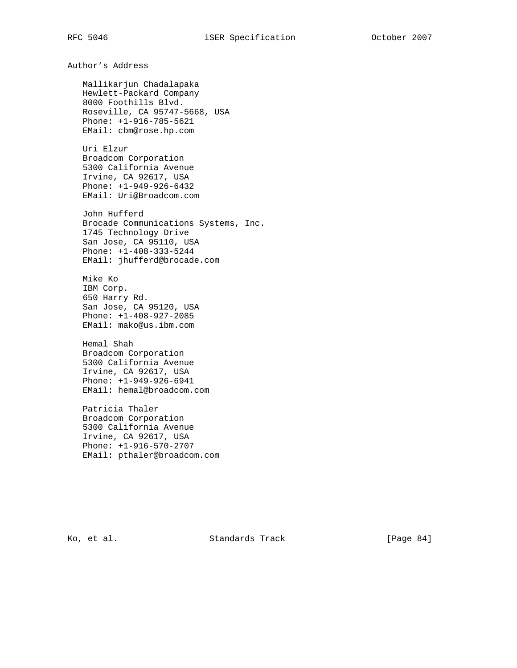Author's Address Mallikarjun Chadalapaka Hewlett-Packard Company 8000 Foothills Blvd. Roseville, CA 95747-5668, USA Phone: +1-916-785-5621 EMail: cbm@rose.hp.com Uri Elzur Broadcom Corporation 5300 California Avenue Irvine, CA 92617, USA Phone: +1-949-926-6432 EMail: Uri@Broadcom.com John Hufferd Brocade Communications Systems, Inc. 1745 Technology Drive San Jose, CA 95110, USA Phone: +1-408-333-5244 EMail: jhufferd@brocade.com Mike Ko IBM Corp. 650 Harry Rd. San Jose, CA 95120, USA Phone: +1-408-927-2085 EMail: mako@us.ibm.com Hemal Shah Broadcom Corporation 5300 California Avenue Irvine, CA 92617, USA Phone: +1-949-926-6941 EMail: hemal@broadcom.com Patricia Thaler Broadcom Corporation 5300 California Avenue Irvine, CA 92617, USA Phone: +1-916-570-2707 EMail: pthaler@broadcom.com

Ko, et al. Standards Track [Page 84]